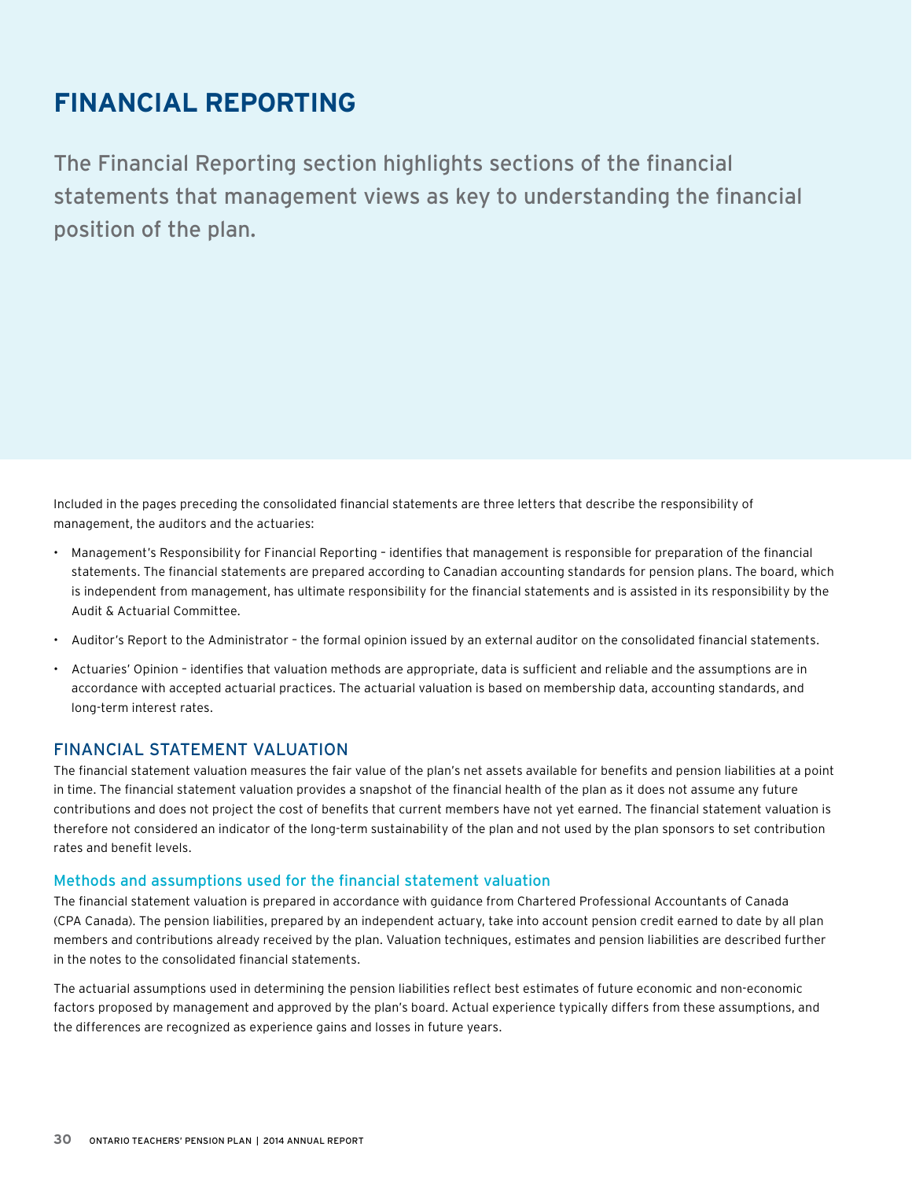## **FINANCIAL REPORTING**

The Financial Reporting section highlights sections of the financial statements that management views as key to understanding the financial position of the plan.

Included in the pages preceding the consolidated financial statements are three letters that describe the responsibility of management, the auditors and the actuaries:

- • Management's Responsibility for Financial Reporting identifies that management is responsible for preparation of the financial statements. The financial statements are prepared according to Canadian accounting standards for pension plans. The board, which is independent from management, has ultimate responsibility for the financial statements and is assisted in its responsibility by the Audit & Actuarial Committee.
- Auditor's Report to the Administrator the formal opinion issued by an external auditor on the consolidated financial statements.
- • Actuaries' Opinion identifies that valuation methods are appropriate, data is sufficient and reliable and the assumptions are in accordance with accepted actuarial practices. The actuarial valuation is based on membership data, accounting standards, and long-term interest rates.

#### FINANCIAL STATEMENT VALUATION

The financial statement valuation measures the fair value of the plan's net assets available for benefits and pension liabilities at a point in time. The financial statement valuation provides a snapshot of the financial health of the plan as it does not assume any future contributions and does not project the cost of benefits that current members have not yet earned. The financial statement valuation is therefore not considered an indicator of the long-term sustainability of the plan and not used by the plan sponsors to set contribution rates and benefit levels.

#### Methods and assumptions used for the financial statement valuation

The financial statement valuation is prepared in accordance with guidance from Chartered Professional Accountants of Canada (CPA Canada). The pension liabilities, prepared by an independent actuary, take into account pension credit earned to date by all plan members and contributions already received by the plan. Valuation techniques, estimates and pension liabilities are described further in the notes to the consolidated financial statements.

The actuarial assumptions used in determining the pension liabilities reflect best estimates of future economic and non-economic factors proposed by management and approved by the plan's board. Actual experience typically differs from these assumptions, and the differences are recognized as experience gains and losses in future years.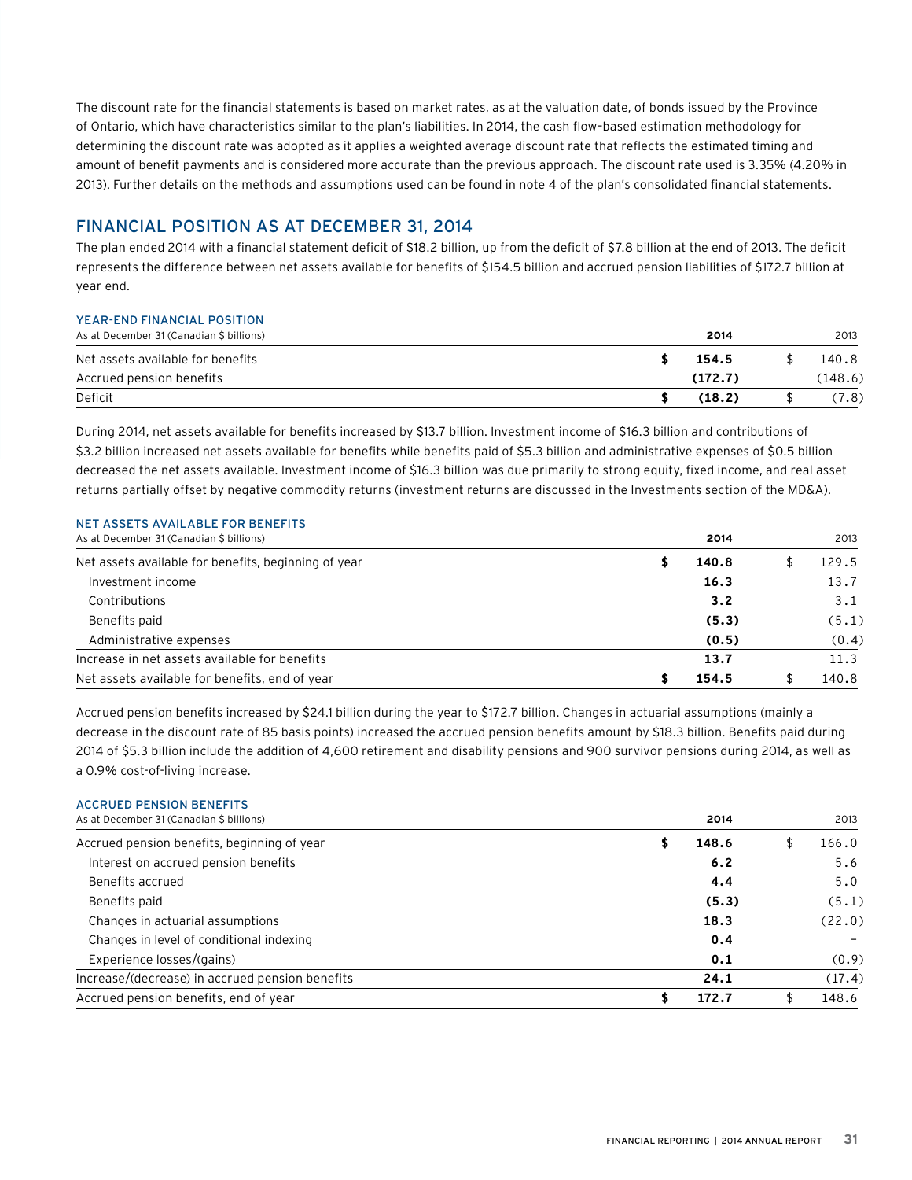The discount rate for the financial statements is based on market rates, as at the valuation date, of bonds issued by the Province of Ontario, which have characteristics similar to the plan's liabilities. In 2014, the cash flow–based estimation methodology for determining the discount rate was adopted as it applies a weighted average discount rate that reflects the estimated timing and amount of benefit payments and is considered more accurate than the previous approach. The discount rate used is 3.35% (4.20% in 2013). Further details on the methods and assumptions used can be found in note 4 of the plan's consolidated financial statements.

## FINANCIAL POSITION AS AT DECEMBER 31, 2014

The plan ended 2014 with a financial statement deficit of \$18.2 billion, up from the deficit of \$7.8 billion at the end of 2013. The deficit represents the difference between net assets available for benefits of \$154.5 billion and accrued pension liabilities of \$172.7 billion at year end.

| YEAR-END FINANCIAL POSITION              |         |         |  |
|------------------------------------------|---------|---------|--|
| As at December 31 (Canadian \$ billions) | 2014    | 2013    |  |
| Net assets available for benefits        | 154.5   | 140.8   |  |
| Accrued pension benefits                 | (172.7) | (148.6) |  |
| Deficit                                  | (18.2)  | (7.8)   |  |

During 2014, net assets available for benefits increased by \$13.7 billion. Investment income of \$16.3 billion and contributions of \$3.2 billion increased net assets available for benefits while benefits paid of \$5.3 billion and administrative expenses of \$0.5 billion decreased the net assets available. Investment income of \$16.3 billion was due primarily to strong equity, fixed income, and real asset returns partially offset by negative commodity returns (investment returns are discussed in the Investments section of the MD&A).

| NET ASSETS AVAILABLE FOR BENEFITS                    |       |       |
|------------------------------------------------------|-------|-------|
| As at December 31 (Canadian \$ billions)             | 2014  | 2013  |
| Net assets available for benefits, beginning of year | 140.8 | 129.5 |
| Investment income                                    | 16.3  | 13.7  |
| Contributions                                        | 3.2   | 3.1   |
| Benefits paid                                        | (5.3) | (5.1) |
| Administrative expenses                              | (0.5) | (0.4) |
| Increase in net assets available for benefits        | 13.7  | 11.3  |
| Net assets available for benefits, end of year       | 154.5 | 140.8 |

Accrued pension benefits increased by \$24.1 billion during the year to \$172.7 billion. Changes in actuarial assumptions (mainly a decrease in the discount rate of 85 basis points) increased the accrued pension benefits amount by \$18.3 billion. Benefits paid during 2014 of \$5.3 billion include the addition of 4,600 retirement and disability pensions and 900 survivor pensions during 2014, as well as a 0.9% cost-of-living increase.

#### ACCRUED PENSION BENEFITS

| As at December 31 (Canadian \$ billions)        | 2014  | 2013   |
|-------------------------------------------------|-------|--------|
| Accrued pension benefits, beginning of year     | 148.6 | 166.0  |
| Interest on accrued pension benefits            | 6.2   | 5.6    |
| Benefits accrued                                | 4.4   | 5.0    |
| Benefits paid                                   | (5.3) | (5.1)  |
| Changes in actuarial assumptions                | 18.3  | (22.0) |
| Changes in level of conditional indexing        | 0.4   |        |
| Experience losses/(gains)                       | 0.1   | (0.9)  |
| Increase/(decrease) in accrued pension benefits | 24.1  | (17.4) |
| Accrued pension benefits, end of year           | 172.7 | 148.6  |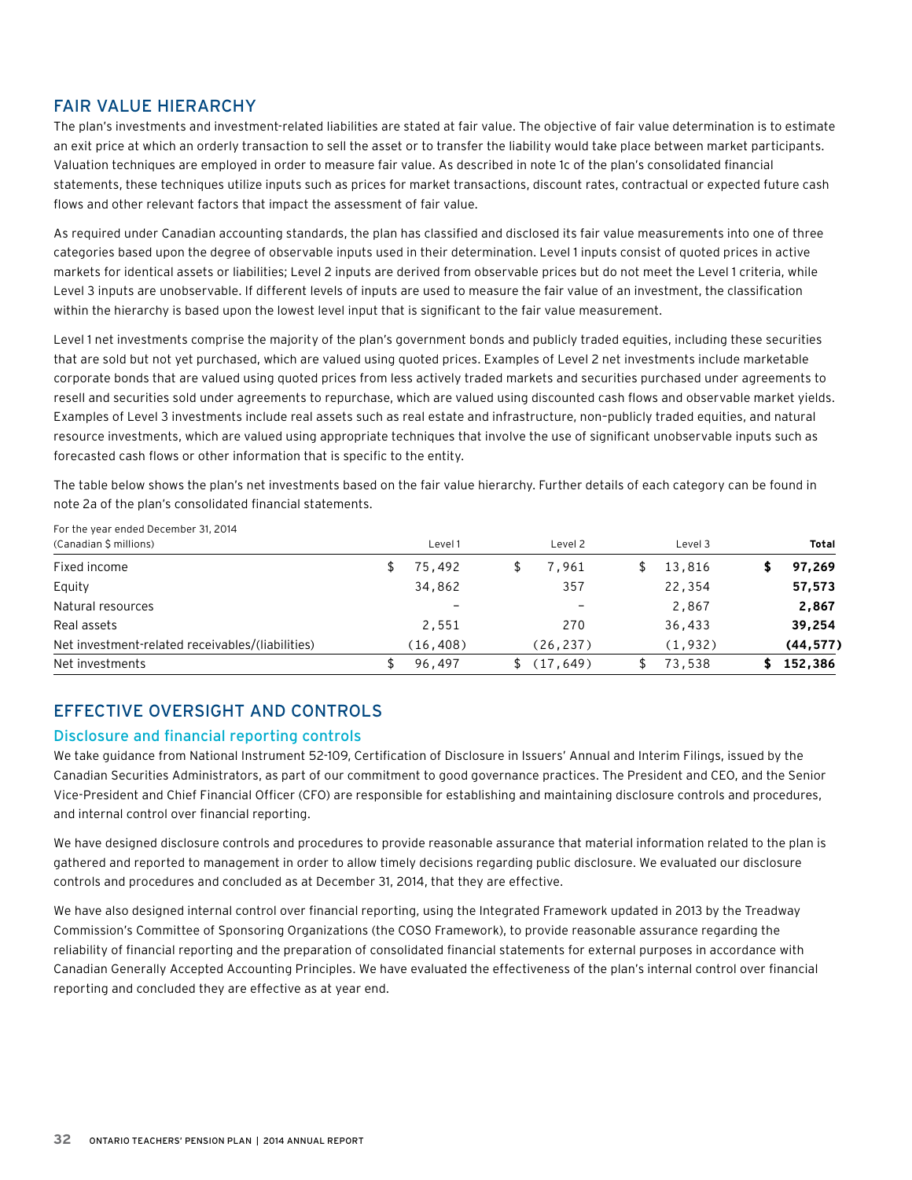### FAIR VALUE HIERARCHY

The plan's investments and investment-related liabilities are stated at fair value. The objective of fair value determination is to estimate an exit price at which an orderly transaction to sell the asset or to transfer the liability would take place between market participants. Valuation techniques are employed in order to measure fair value. As described in note 1c of the plan's consolidated financial statements, these techniques utilize inputs such as prices for market transactions, discount rates, contractual or expected future cash flows and other relevant factors that impact the assessment of fair value.

As required under Canadian accounting standards, the plan has classified and disclosed its fair value measurements into one of three categories based upon the degree of observable inputs used in their determination. Level 1 inputs consist of quoted prices in active markets for identical assets or liabilities; Level 2 inputs are derived from observable prices but do not meet the Level 1 criteria, while Level 3 inputs are unobservable. If different levels of inputs are used to measure the fair value of an investment, the classification within the hierarchy is based upon the lowest level input that is significant to the fair value measurement.

Level 1 net investments comprise the majority of the plan's government bonds and publicly traded equities, including these securities that are sold but not yet purchased, which are valued using quoted prices. Examples of Level 2 net investments include marketable corporate bonds that are valued using quoted prices from less actively traded markets and securities purchased under agreements to resell and securities sold under agreements to repurchase, which are valued using discounted cash flows and observable market yields. Examples of Level 3 investments include real assets such as real estate and infrastructure, non–publicly traded equities, and natural resource investments, which are valued using appropriate techniques that involve the use of significant unobservable inputs such as forecasted cash flows or other information that is specific to the entity.

The table below shows the plan's net investments based on the fair value hierarchy. Further details of each category can be found in note 2a of the plan's consolidated financial statements.

For the year ended December 31, 2014

| (Canadian \$ millions)                           | Level 1   | Level 2   | Level 3  | Total     |
|--------------------------------------------------|-----------|-----------|----------|-----------|
| Fixed income                                     | 75,492    | 7.961     | 13,816   | 97,269    |
| Equity                                           | 34,862    | 357       | 22,354   | 57,573    |
| Natural resources                                |           |           | 2,867    | 2,867     |
| Real assets                                      | 2,551     | 270       | 36,433   | 39,254    |
| Net investment-related receivables/(liabilities) | (16, 408) | (26, 237) | (1, 932) | (44, 577) |
| Net investments                                  | 96,497    | (17.649)  | 73,538   | 152,386   |

## EFFECTIVE OVERSIGHT AND CONTROLS

#### Disclosure and financial reporting controls

We take guidance from National Instrument 52-109, Certification of Disclosure in Issuers' Annual and Interim Filings, issued by the Canadian Securities Administrators, as part of our commitment to good governance practices. The President and CEO, and the Senior Vice-President and Chief Financial Officer (CFO) are responsible for establishing and maintaining disclosure controls and procedures, and internal control over financial reporting.

We have designed disclosure controls and procedures to provide reasonable assurance that material information related to the plan is gathered and reported to management in order to allow timely decisions regarding public disclosure. We evaluated our disclosure controls and procedures and concluded as at December 31, 2014, that they are effective.

We have also designed internal control over financial reporting, using the Integrated Framework updated in 2013 by the Treadway Commission's Committee of Sponsoring Organizations (the COSO Framework), to provide reasonable assurance regarding the reliability of financial reporting and the preparation of consolidated financial statements for external purposes in accordance with Canadian Generally Accepted Accounting Principles. We have evaluated the effectiveness of the plan's internal control over financial reporting and concluded they are effective as at year end.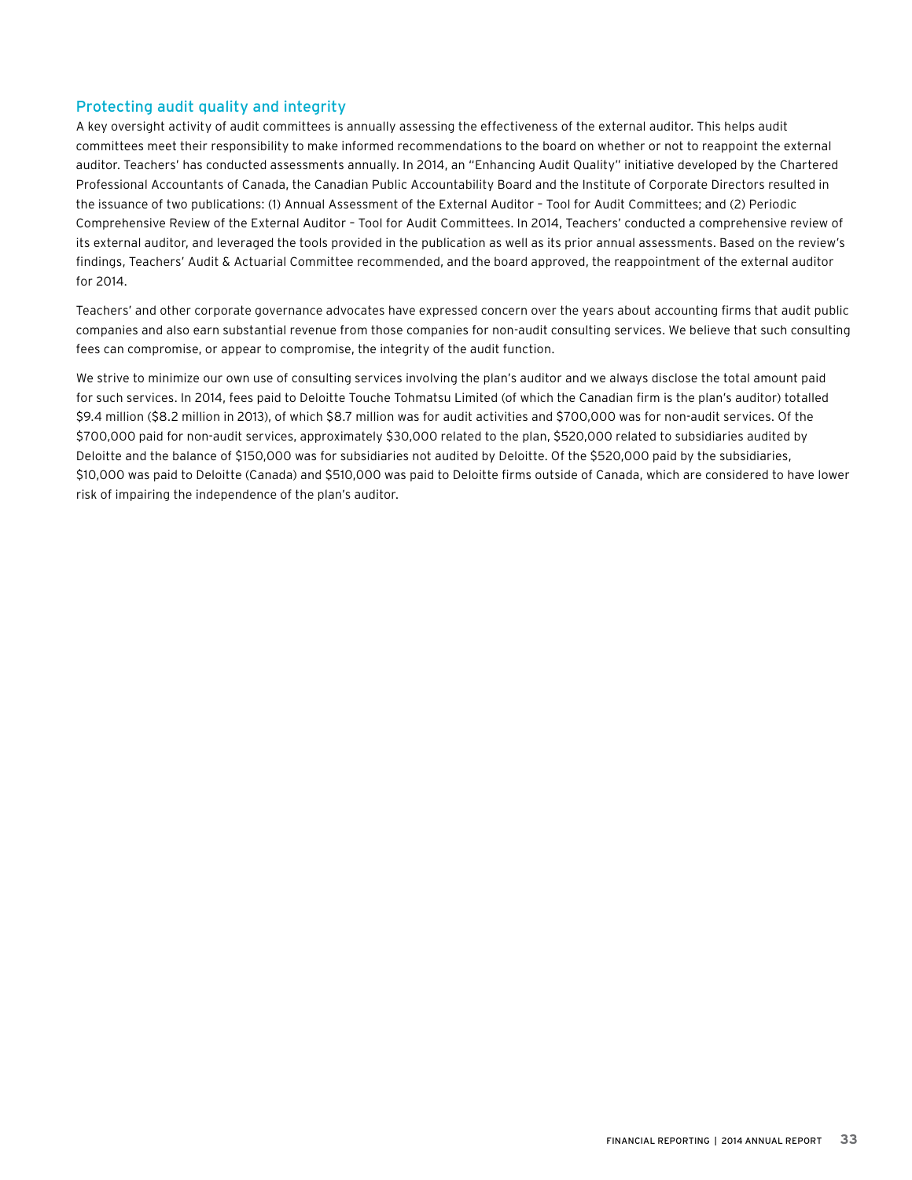#### Protecting audit quality and integrity

A key oversight activity of audit committees is annually assessing the effectiveness of the external auditor. This helps audit committees meet their responsibility to make informed recommendations to the board on whether or not to reappoint the external auditor. Teachers' has conducted assessments annually. In 2014, an "Enhancing Audit Quality" initiative developed by the Chartered Professional Accountants of Canada, the Canadian Public Accountability Board and the Institute of Corporate Directors resulted in the issuance of two publications: (1) Annual Assessment of the External Auditor – Tool for Audit Committees; and (2) Periodic Comprehensive Review of the External Auditor – Tool for Audit Committees. In 2014, Teachers' conducted a comprehensive review of its external auditor, and leveraged the tools provided in the publication as well as its prior annual assessments. Based on the review's findings, Teachers' Audit & Actuarial Committee recommended, and the board approved, the reappointment of the external auditor for 2014.

Teachers' and other corporate governance advocates have expressed concern over the years about accounting firms that audit public companies and also earn substantial revenue from those companies for non-audit consulting services. We believe that such consulting fees can compromise, or appear to compromise, the integrity of the audit function.

We strive to minimize our own use of consulting services involving the plan's auditor and we always disclose the total amount paid for such services. In 2014, fees paid to Deloitte Touche Tohmatsu Limited (of which the Canadian firm is the plan's auditor) totalled \$9.4 million (\$8.2 million in 2013), of which \$8.7 million was for audit activities and \$700,000 was for non-audit services. Of the \$700,000 paid for non-audit services, approximately \$30,000 related to the plan, \$520,000 related to subsidiaries audited by Deloitte and the balance of \$150,000 was for subsidiaries not audited by Deloitte. Of the \$520,000 paid by the subsidiaries, \$10,000 was paid to Deloitte (Canada) and \$510,000 was paid to Deloitte firms outside of Canada, which are considered to have lower risk of impairing the independence of the plan's auditor.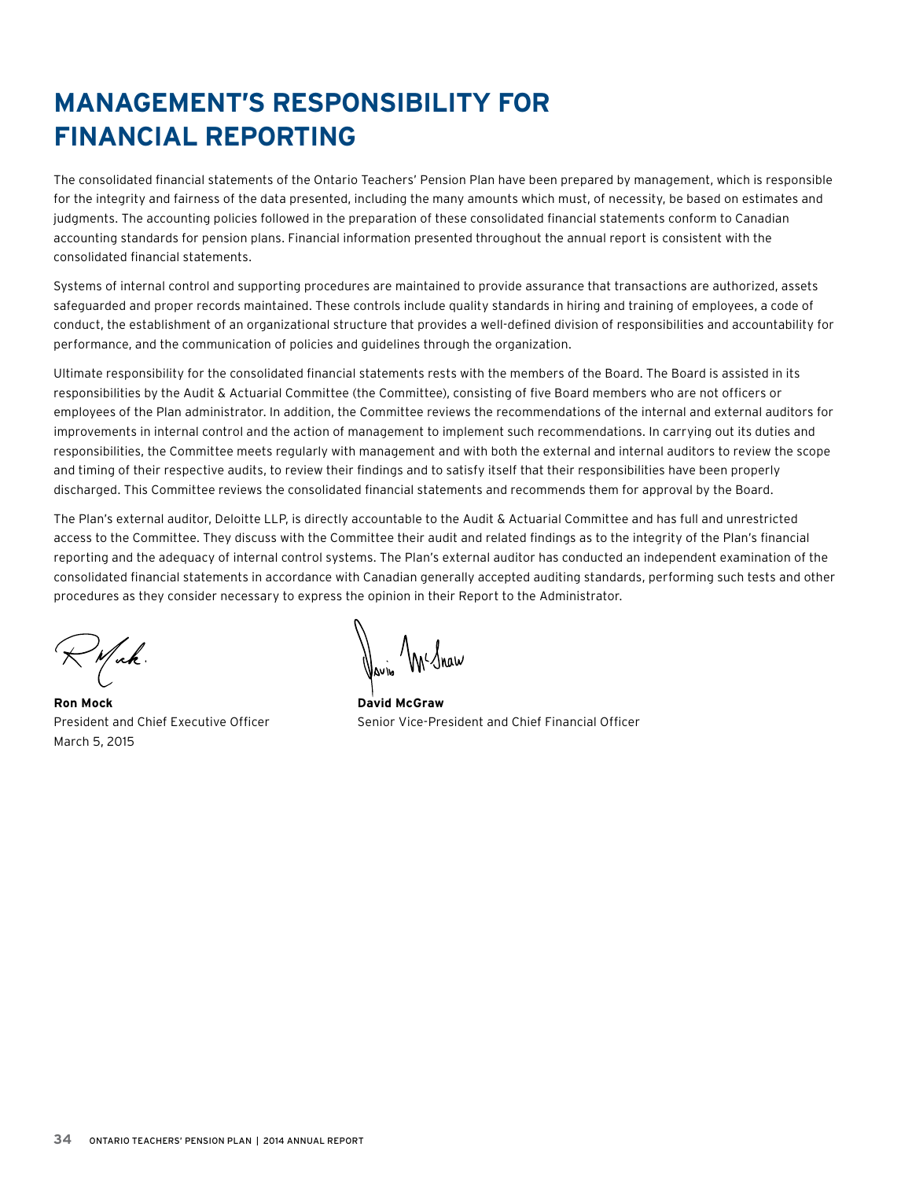## **MANAGEMENT'S RESPONSIBILITY FOR FINANCIAL REPORTING**

The consolidated financial statements of the Ontario Teachers' Pension Plan have been prepared by management, which is responsible for the integrity and fairness of the data presented, including the many amounts which must, of necessity, be based on estimates and judgments. The accounting policies followed in the preparation of these consolidated financial statements conform to Canadian accounting standards for pension plans. Financial information presented throughout the annual report is consistent with the consolidated financial statements.

Systems of internal control and supporting procedures are maintained to provide assurance that transactions are authorized, assets safeguarded and proper records maintained. These controls include quality standards in hiring and training of employees, a code of conduct, the establishment of an organizational structure that provides a well-defined division of responsibilities and accountability for performance, and the communication of policies and guidelines through the organization.

Ultimate responsibility for the consolidated financial statements rests with the members of the Board. The Board is assisted in its responsibilities by the Audit & Actuarial Committee (the Committee), consisting of five Board members who are not officers or employees of the Plan administrator. In addition, the Committee reviews the recommendations of the internal and external auditors for improvements in internal control and the action of management to implement such recommendations. In carrying out its duties and responsibilities, the Committee meets regularly with management and with both the external and internal auditors to review the scope and timing of their respective audits, to review their findings and to satisfy itself that their responsibilities have been properly discharged. This Committee reviews the consolidated financial statements and recommends them for approval by the Board.

The Plan's external auditor, Deloitte LLP, is directly accountable to the Audit & Actuarial Committee and has full and unrestricted access to the Committee. They discuss with the Committee their audit and related findings as to the integrity of the Plan's financial reporting and the adequacy of internal control systems. The Plan's external auditor has conducted an independent examination of the consolidated financial statements in accordance with Canadian generally accepted auditing standards, performing such tests and other procedures as they consider necessary to express the opinion in their Report to the Administrator.

<sup>1</sup>uk.

**Ron Mock David McGraw** March 5, 2015

President and Chief Executive Officer Senior Vice-President and Chief Financial Officer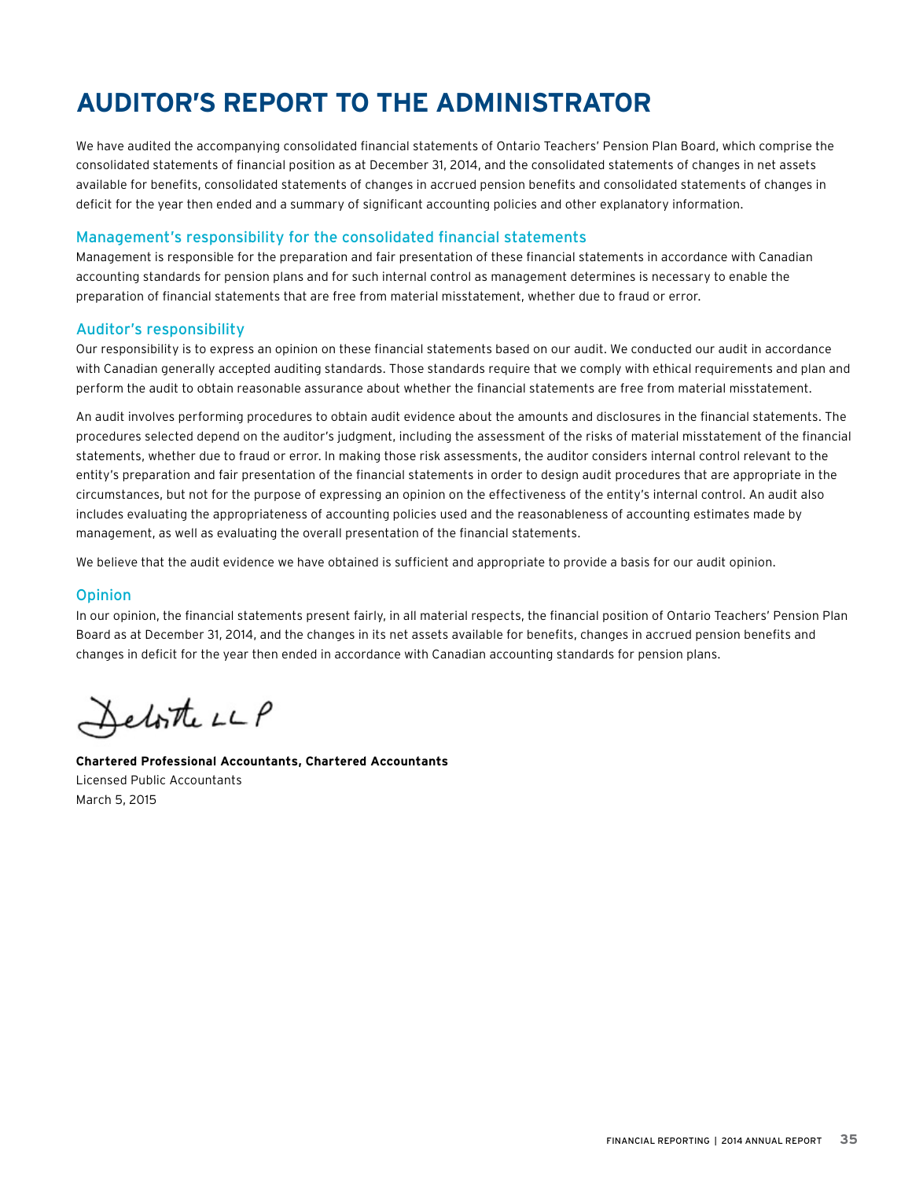## **AUDITOR'S REPORT TO THE ADMINISTRATOR**

We have audited the accompanying consolidated financial statements of Ontario Teachers' Pension Plan Board, which comprise the consolidated statements of financial position as at December 31, 2014, and the consolidated statements of changes in net assets available for benefits, consolidated statements of changes in accrued pension benefits and consolidated statements of changes in deficit for the year then ended and a summary of significant accounting policies and other explanatory information.

#### Management's responsibility for the consolidated financial statements

Management is responsible for the preparation and fair presentation of these financial statements in accordance with Canadian accounting standards for pension plans and for such internal control as management determines is necessary to enable the preparation of financial statements that are free from material misstatement, whether due to fraud or error.

#### Auditor's responsibility

Our responsibility is to express an opinion on these financial statements based on our audit. We conducted our audit in accordance with Canadian generally accepted auditing standards. Those standards require that we comply with ethical requirements and plan and perform the audit to obtain reasonable assurance about whether the financial statements are free from material misstatement.

An audit involves performing procedures to obtain audit evidence about the amounts and disclosures in the financial statements. The procedures selected depend on the auditor's judgment, including the assessment of the risks of material misstatement of the financial statements, whether due to fraud or error. In making those risk assessments, the auditor considers internal control relevant to the entity's preparation and fair presentation of the financial statements in order to design audit procedures that are appropriate in the circumstances, but not for the purpose of expressing an opinion on the effectiveness of the entity's internal control. An audit also includes evaluating the appropriateness of accounting policies used and the reasonableness of accounting estimates made by management, as well as evaluating the overall presentation of the financial statements.

We believe that the audit evidence we have obtained is sufficient and appropriate to provide a basis for our audit opinion.

#### Opinion

In our opinion, the financial statements present fairly, in all material respects, the financial position of Ontario Teachers' Pension Plan Board as at December 31, 2014, and the changes in its net assets available for benefits, changes in accrued pension benefits and changes in deficit for the year then ended in accordance with Canadian accounting standards for pension plans.

Detoite LLP

**Chartered Professional Accountants, Chartered Accountants** Licensed Public Accountants March 5, 2015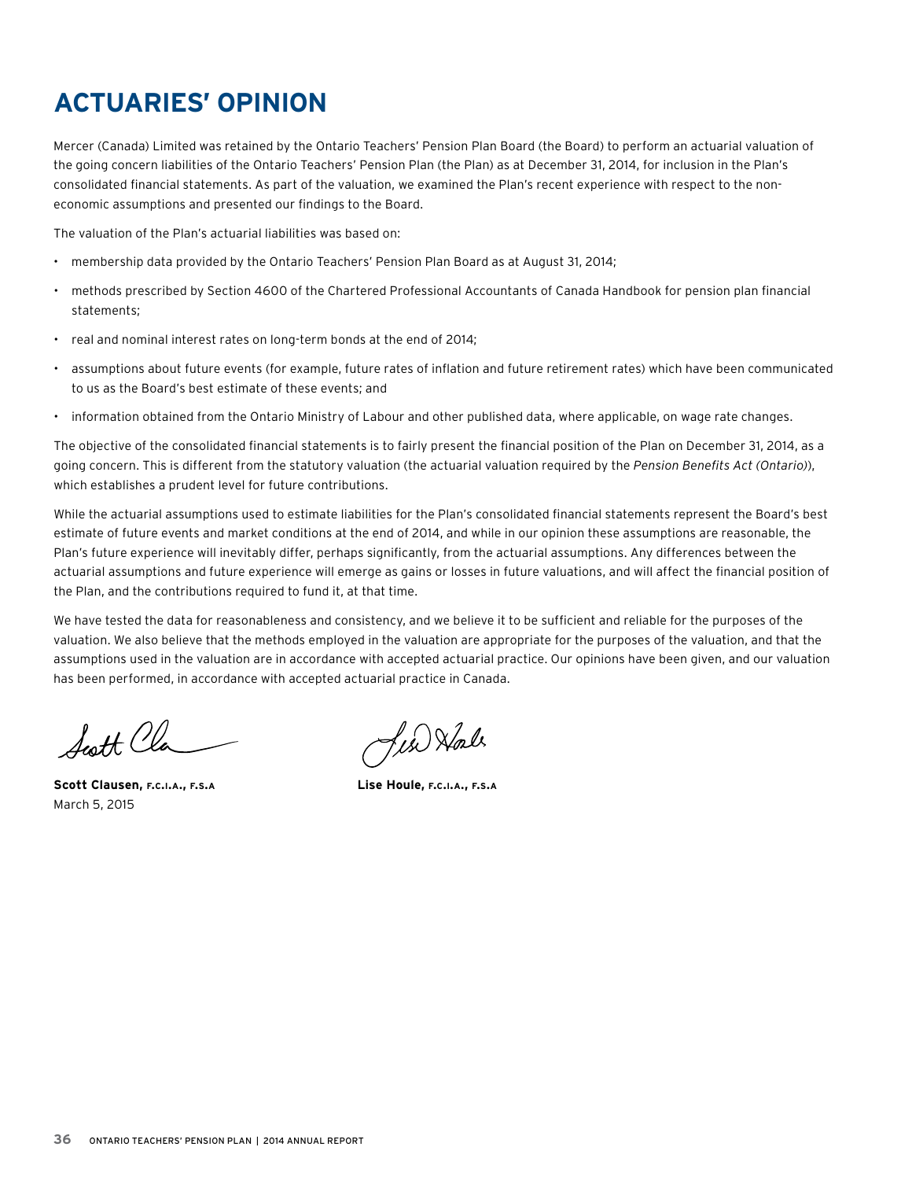## **ACTUARIES' OPINION**

Mercer (Canada) Limited was retained by the Ontario Teachers' Pension Plan Board (the Board) to perform an actuarial valuation of the going concern liabilities of the Ontario Teachers' Pension Plan (the Plan) as at December 31, 2014, for inclusion in the Plan's consolidated financial statements. As part of the valuation, we examined the Plan's recent experience with respect to the noneconomic assumptions and presented our findings to the Board.

The valuation of the Plan's actuarial liabilities was based on:

- membership data provided by the Ontario Teachers' Pension Plan Board as at August 31, 2014;
- methods prescribed by Section 4600 of the Chartered Professional Accountants of Canada Handbook for pension plan financial statements;
- real and nominal interest rates on long-term bonds at the end of 2014;
- • assumptions about future events (for example, future rates of inflation and future retirement rates) which have been communicated to us as the Board's best estimate of these events; and
- • information obtained from the Ontario Ministry of Labour and other published data, where applicable, on wage rate changes.

The objective of the consolidated financial statements is to fairly present the financial position of the Plan on December 31, 2014, as a going concern. This is different from the statutory valuation (the actuarial valuation required by the *Pension Benefits Act (Ontario)*), which establishes a prudent level for future contributions.

While the actuarial assumptions used to estimate liabilities for the Plan's consolidated financial statements represent the Board's best estimate of future events and market conditions at the end of 2014, and while in our opinion these assumptions are reasonable, the Plan's future experience will inevitably differ, perhaps significantly, from the actuarial assumptions. Any differences between the actuarial assumptions and future experience will emerge as gains or losses in future valuations, and will affect the financial position of the Plan, and the contributions required to fund it, at that time.

We have tested the data for reasonableness and consistency, and we believe it to be sufficient and reliable for the purposes of the valuation. We also believe that the methods employed in the valuation are appropriate for the purposes of the valuation, and that the assumptions used in the valuation are in accordance with accepted actuarial practice. Our opinions have been given, and our valuation has been performed, in accordance with accepted actuarial practice in Canada.

Scott Cla

**Scott Clausen, f.c.i.a., f.s.a Lise Houle, f.c.i.a., f.s.a** March 5, 2015

Jew Hale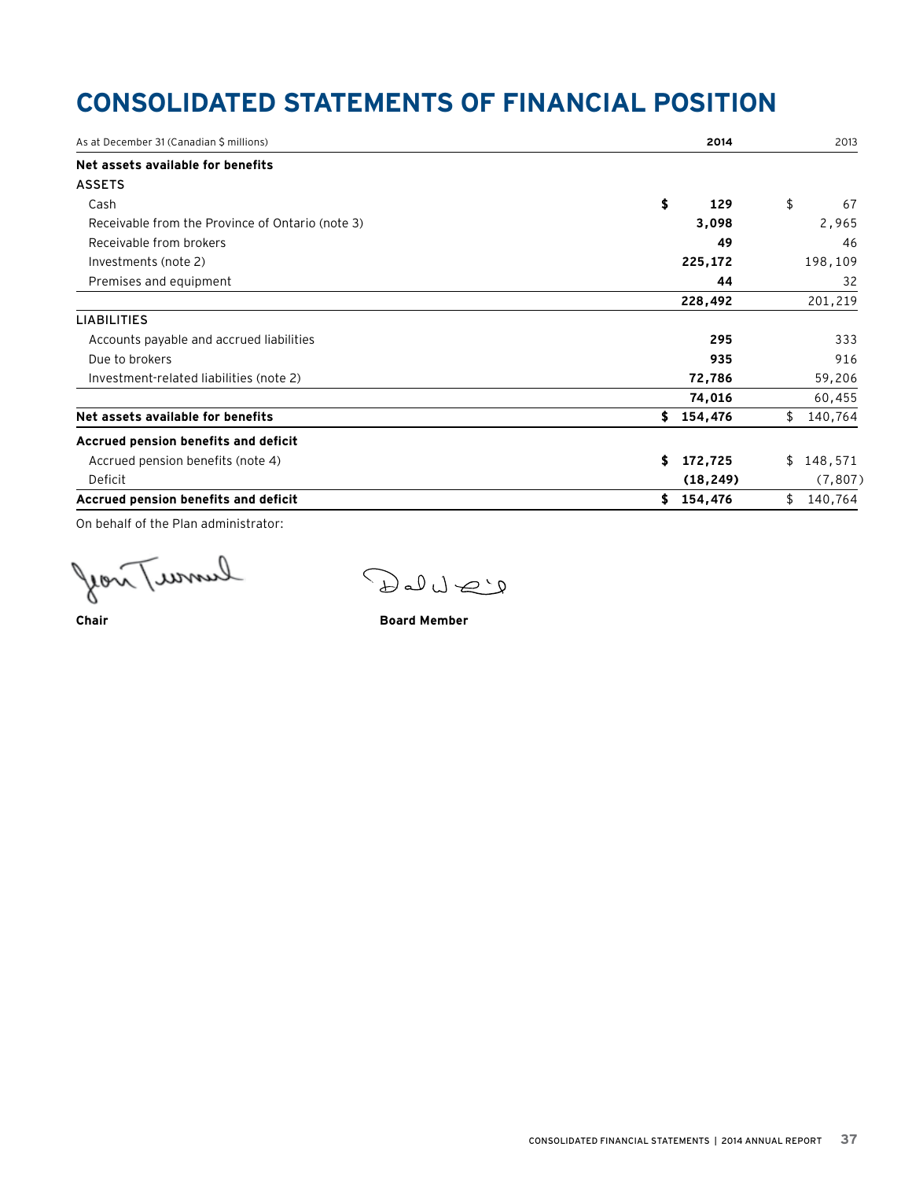# **CONSOLIDATED STATEMENTS OF FINANCIAL POSITION**

| As at December 31 (Canadian \$ millions)         | 2014          | 2013          |
|--------------------------------------------------|---------------|---------------|
| Net assets available for benefits                |               |               |
| <b>ASSETS</b>                                    |               |               |
| Cash                                             | \$<br>129     | \$<br>67      |
| Receivable from the Province of Ontario (note 3) | 3,098         | 2,965         |
| Receivable from brokers                          | 49            | 46            |
| Investments (note 2)                             | 225,172       | 198,109       |
| Premises and equipment                           | 44            | 32            |
|                                                  | 228,492       | 201,219       |
| <b>LIABILITIES</b>                               |               |               |
| Accounts payable and accrued liabilities         | 295           | 333           |
| Due to brokers                                   | 935           | 916           |
| Investment-related liabilities (note 2)          | 72,786        | 59,206        |
|                                                  | 74,016        | 60,455        |
| Net assets available for benefits                | \$<br>154,476 | \$<br>140,764 |
| Accrued pension benefits and deficit             |               |               |
| Accrued pension benefits (note 4)                | \$<br>172,725 | \$<br>148,571 |
| Deficit                                          | (18, 249)     | (7, 807)      |
| Accrued pension benefits and deficit             | \$<br>154,476 | \$<br>140,764 |

On behalf of the Plan administrator:

lumar Troy

Delues

**Chair Board Member**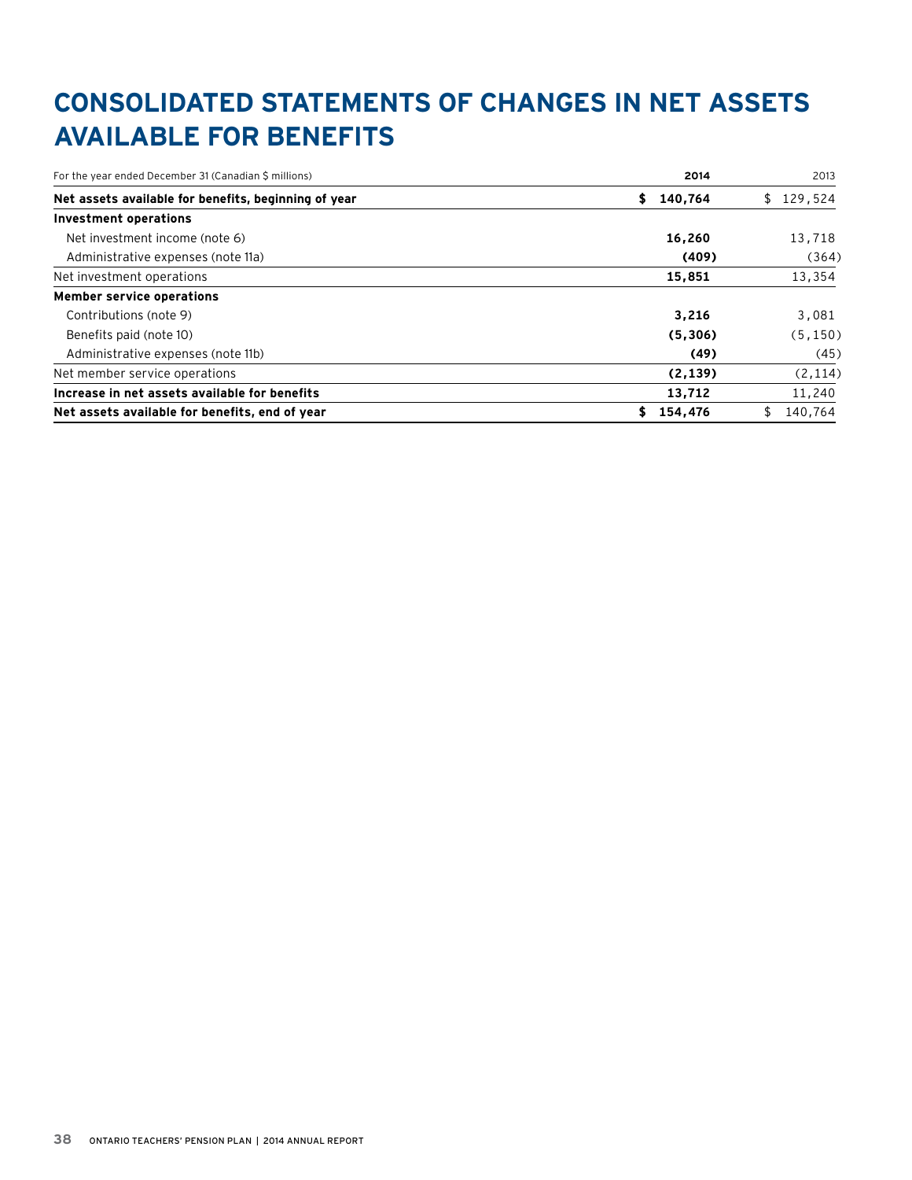## **CONSOLIDATED STATEMENTS OF CHANGES IN NET ASSETS AVAILABLE FOR BENEFITS**

| For the year ended December 31 (Canadian \$ millions) | 2014          | 2013          |
|-------------------------------------------------------|---------------|---------------|
| Net assets available for benefits, beginning of year  | \$<br>140,764 | 129,524<br>\$ |
| Investment operations                                 |               |               |
| Net investment income (note 6)<br>16,260              |               | 13,718        |
| Administrative expenses (note 11a)                    | (409)         | (364)         |
| Net investment operations                             | 15,851        | 13,354        |
| <b>Member service operations</b>                      |               |               |
| Contributions (note 9)                                | 3,216         | 3,081         |
| Benefits paid (note 10)                               | (5, 306)      | (5, 150)      |
| Administrative expenses (note 11b)                    | (49)          | (45)          |
| Net member service operations                         | (2, 139)      | (2, 114)      |
| Increase in net assets available for benefits         | 13,712        | 11,240        |
| Net assets available for benefits, end of year        | 154,476       | 140.764       |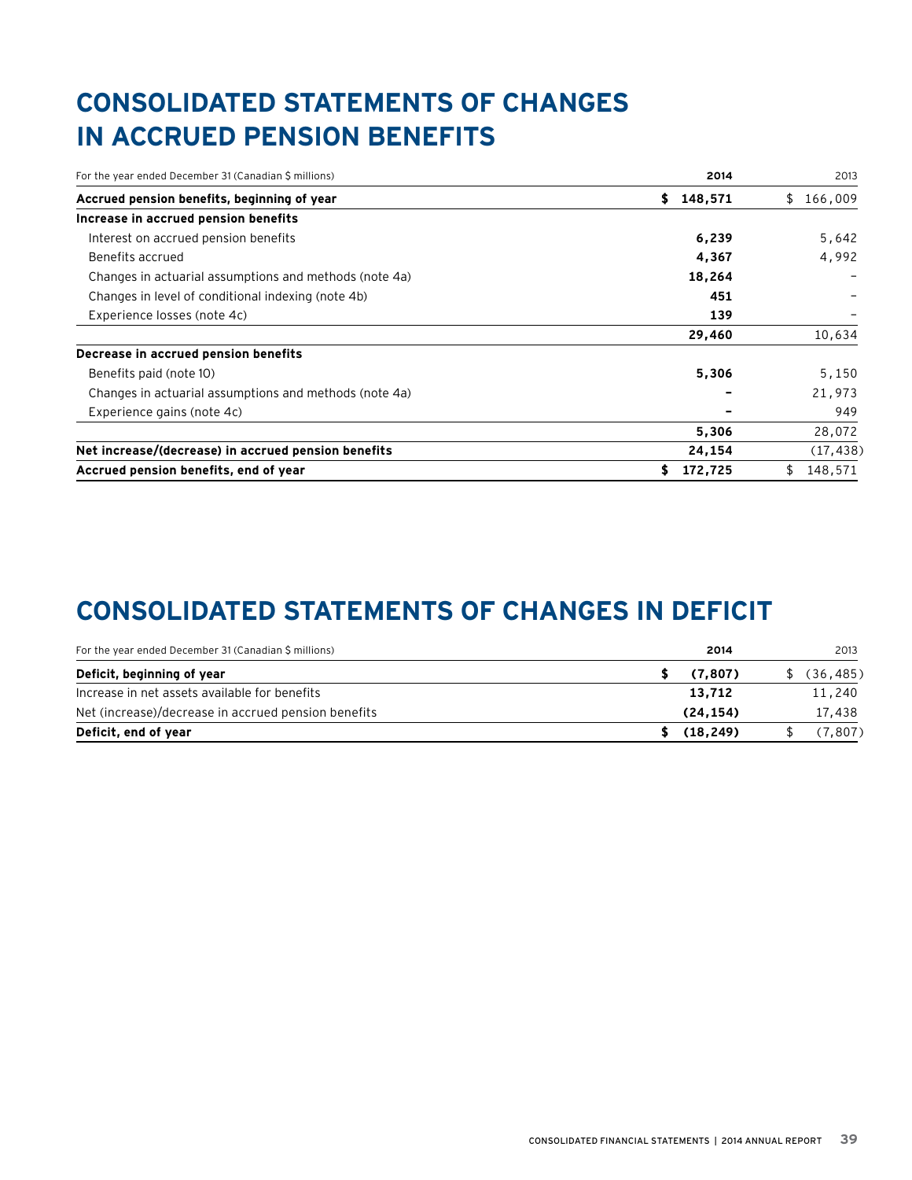## **CONSOLIDATED STATEMENTS OF CHANGES IN ACCRUED PENSION BENEFITS**

| For the year ended December 31 (Canadian \$ millions)  | 2014          | 2013         |
|--------------------------------------------------------|---------------|--------------|
| Accrued pension benefits, beginning of year            | 148,571<br>S. | 166,009<br>S |
| Increase in accrued pension benefits                   |               |              |
| Interest on accrued pension benefits                   | 6,239         | 5,642        |
| Benefits accrued                                       | 4,367         | 4,992        |
| Changes in actuarial assumptions and methods (note 4a) | 18,264        |              |
| Changes in level of conditional indexing (note 4b)     | 451           |              |
| Experience losses (note 4c)                            | 139           |              |
|                                                        | 29,460        | 10,634       |
| Decrease in accrued pension benefits                   |               |              |
| Benefits paid (note 10)                                | 5,306         | 5,150        |
| Changes in actuarial assumptions and methods (note 4a) |               | 21,973       |
| Experience gains (note 4c)                             |               | 949          |
|                                                        | 5,306         | 28,072       |
| Net increase/(decrease) in accrued pension benefits    | 24,154        | (17, 438)    |
| Accrued pension benefits, end of year                  | 172,725       | 148,571      |

## **CONSOLIDATED STATEMENTS OF CHANGES IN DEFICIT**

| For the year ended December 31 (Canadian \$ millions) | 2014        | 2013        |
|-------------------------------------------------------|-------------|-------------|
| Deficit, beginning of year                            | (7,807)     | \$(36, 485) |
| Increase in net assets available for benefits         | 13,712      | 11,240      |
| Net (increase)/decrease in accrued pension benefits   | (24.154)    | 17,438      |
| Deficit, end of year                                  | \$(18, 249) | (7.807)     |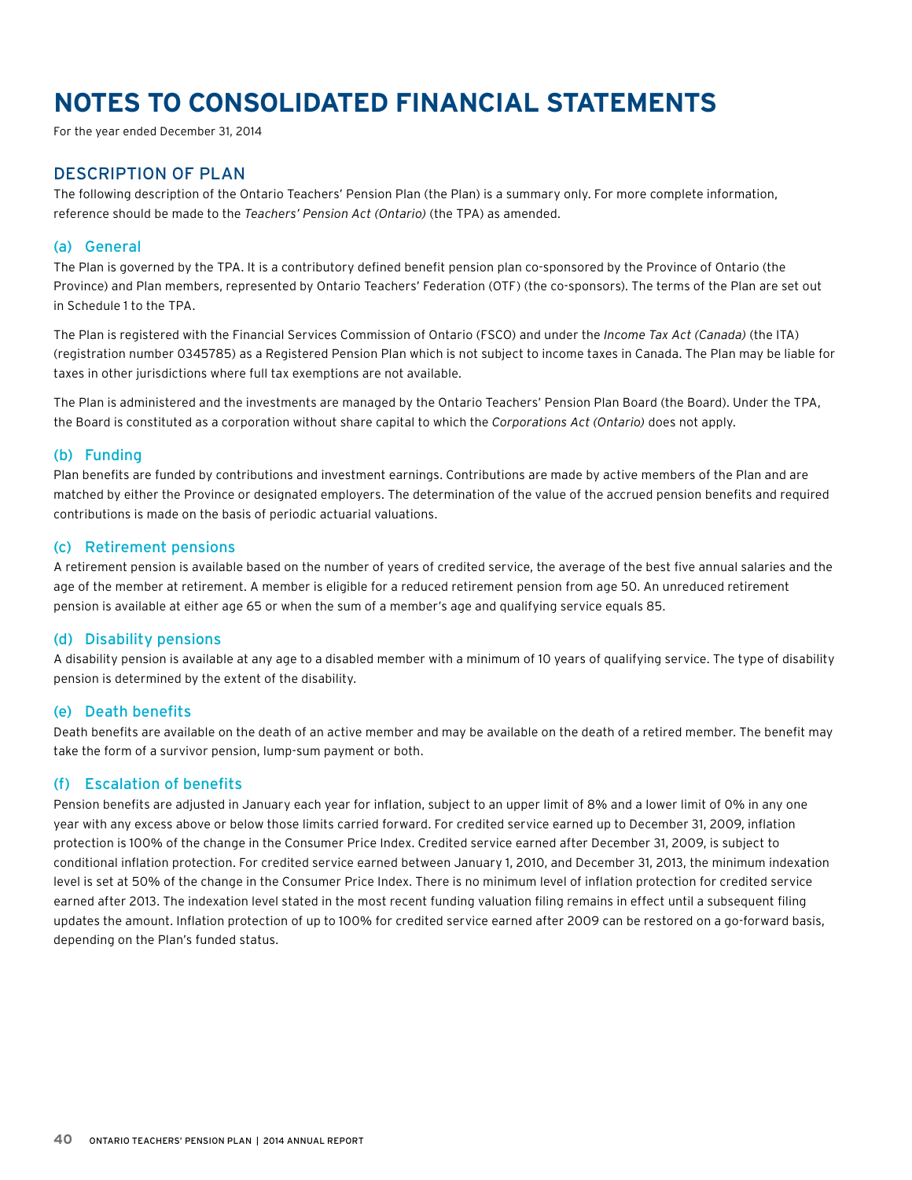## **NOTES TO CONSOLIDATED FINANCIAL STATEMENTS**

For the year ended December 31, 2014

#### DESCRIPTION OF PLAN

The following description of the Ontario Teachers' Pension Plan (the Plan) is a summary only. For more complete information, reference should be made to the *Teachers' Pension Act (Ontario)* (the TPA) as amended.

#### (a) General

The Plan is governed by the TPA. It is a contributory defined benefit pension plan co-sponsored by the Province of Ontario (the Province) and Plan members, represented by Ontario Teachers' Federation (OTF) (the co-sponsors). The terms of the Plan are set out in Schedule 1 to the TPA.

The Plan is registered with the Financial Services Commission of Ontario (FSCO) and under the *Income Tax Act (Canada)* (the ITA) (registration number 0345785) as a Registered Pension Plan which is not subject to income taxes in Canada. The Plan may be liable for taxes in other jurisdictions where full tax exemptions are not available.

The Plan is administered and the investments are managed by the Ontario Teachers' Pension Plan Board (the Board). Under the TPA, the Board is constituted as a corporation without share capital to which the *Corporations Act (Ontario)* does not apply.

#### (b) Funding

Plan benefits are funded by contributions and investment earnings. Contributions are made by active members of the Plan and are matched by either the Province or designated employers. The determination of the value of the accrued pension benefits and required contributions is made on the basis of periodic actuarial valuations.

#### (c) Retirement pensions

A retirement pension is available based on the number of years of credited service, the average of the best five annual salaries and the age of the member at retirement. A member is eligible for a reduced retirement pension from age 50. An unreduced retirement pension is available at either age 65 or when the sum of a member's age and qualifying service equals 85.

#### (d) Disability pensions

A disability pension is available at any age to a disabled member with a minimum of 10 years of qualifying service. The type of disability pension is determined by the extent of the disability.

#### (e) Death benefits

Death benefits are available on the death of an active member and may be available on the death of a retired member. The benefit may take the form of a survivor pension, lump-sum payment or both.

#### (f) Escalation of benefits

Pension benefits are adjusted in January each year for inflation, subject to an upper limit of 8% and a lower limit of 0% in any one year with any excess above or below those limits carried forward. For credited service earned up to December 31, 2009, inflation protection is 100% of the change in the Consumer Price Index. Credited service earned after December 31, 2009, is subject to conditional inflation protection. For credited service earned between January 1, 2010, and December 31, 2013, the minimum indexation level is set at 50% of the change in the Consumer Price Index. There is no minimum level of inflation protection for credited service earned after 2013. The indexation level stated in the most recent funding valuation filing remains in effect until a subsequent filing updates the amount. Inflation protection of up to 100% for credited service earned after 2009 can be restored on a go-forward basis, depending on the Plan's funded status.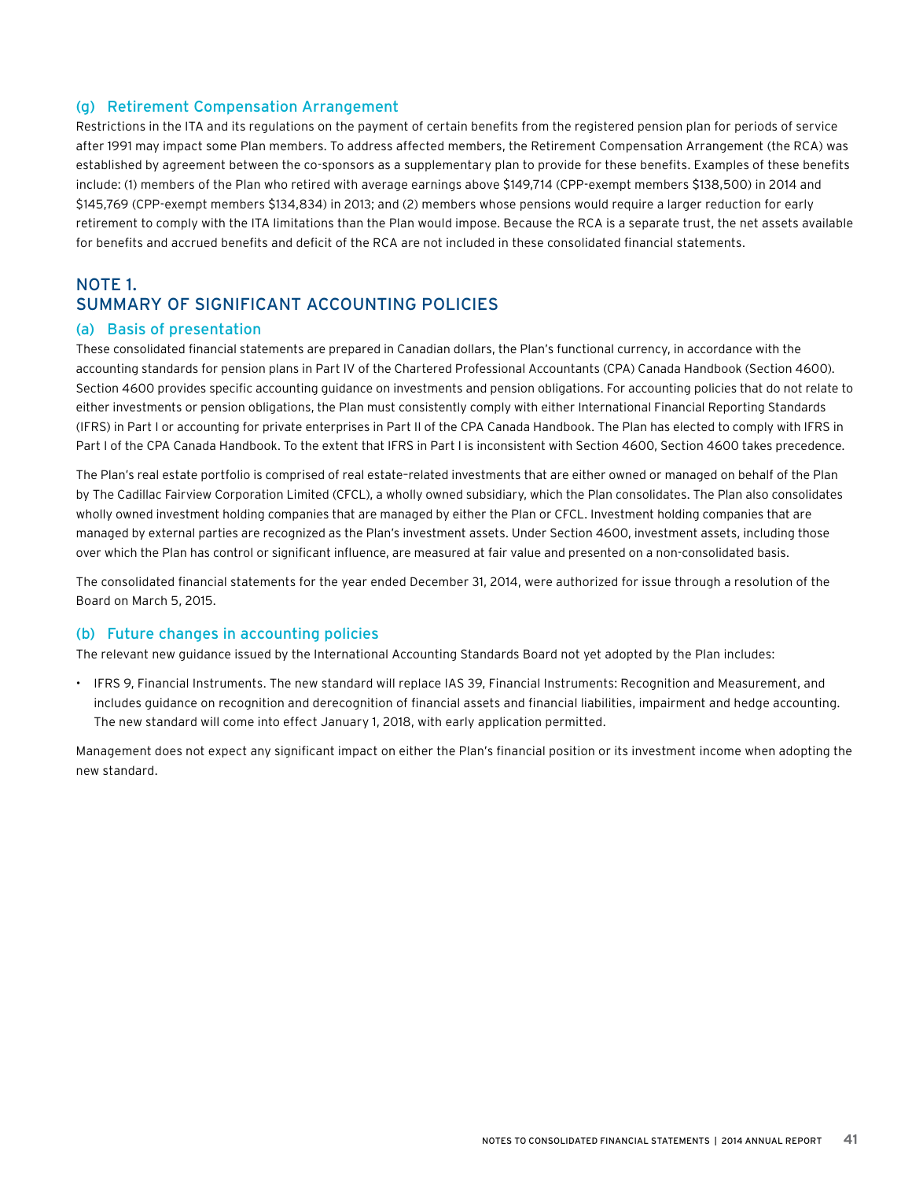#### (g) Retirement Compensation Arrangement

Restrictions in the ITA and its regulations on the payment of certain benefits from the registered pension plan for periods of service after 1991 may impact some Plan members. To address affected members, the Retirement Compensation Arrangement (the RCA) was established by agreement between the co-sponsors as a supplementary plan to provide for these benefits. Examples of these benefits include: (1) members of the Plan who retired with average earnings above \$149,714 (CPP-exempt members \$138,500) in 2014 and \$145,769 (CPP-exempt members \$134,834) in 2013; and (2) members whose pensions would require a larger reduction for early retirement to comply with the ITA limitations than the Plan would impose. Because the RCA is a separate trust, the net assets available for benefits and accrued benefits and deficit of the RCA are not included in these consolidated financial statements.

## NOTE 1. SUMMARY OF SIGNIFICANT ACCOUNTING POLICIES

#### (a) Basis of presentation

These consolidated financial statements are prepared in Canadian dollars, the Plan's functional currency, in accordance with the accounting standards for pension plans in Part IV of the Chartered Professional Accountants (CPA) Canada Handbook (Section 4600). Section 4600 provides specific accounting guidance on investments and pension obligations. For accounting policies that do not relate to either investments or pension obligations, the Plan must consistently comply with either International Financial Reporting Standards (IFRS) in Part I or accounting for private enterprises in Part II of the CPA Canada Handbook. The Plan has elected to comply with IFRS in Part I of the CPA Canada Handbook. To the extent that IFRS in Part I is inconsistent with Section 4600, Section 4600 takes precedence.

The Plan's real estate portfolio is comprised of real estate–related investments that are either owned or managed on behalf of the Plan by The Cadillac Fairview Corporation Limited (CFCL), a wholly owned subsidiary, which the Plan consolidates. The Plan also consolidates wholly owned investment holding companies that are managed by either the Plan or CFCL. Investment holding companies that are managed by external parties are recognized as the Plan's investment assets. Under Section 4600, investment assets, including those over which the Plan has control or significant influence, are measured at fair value and presented on a non-consolidated basis.

The consolidated financial statements for the year ended December 31, 2014, were authorized for issue through a resolution of the Board on March 5, 2015.

#### (b) Future changes in accounting policies

The relevant new guidance issued by the International Accounting Standards Board not yet adopted by the Plan includes:

• IFRS 9, Financial Instruments. The new standard will replace IAS 39, Financial Instruments: Recognition and Measurement, and includes guidance on recognition and derecognition of financial assets and financial liabilities, impairment and hedge accounting. The new standard will come into effect January 1, 2018, with early application permitted.

Management does not expect any significant impact on either the Plan's financial position or its investment income when adopting the new standard.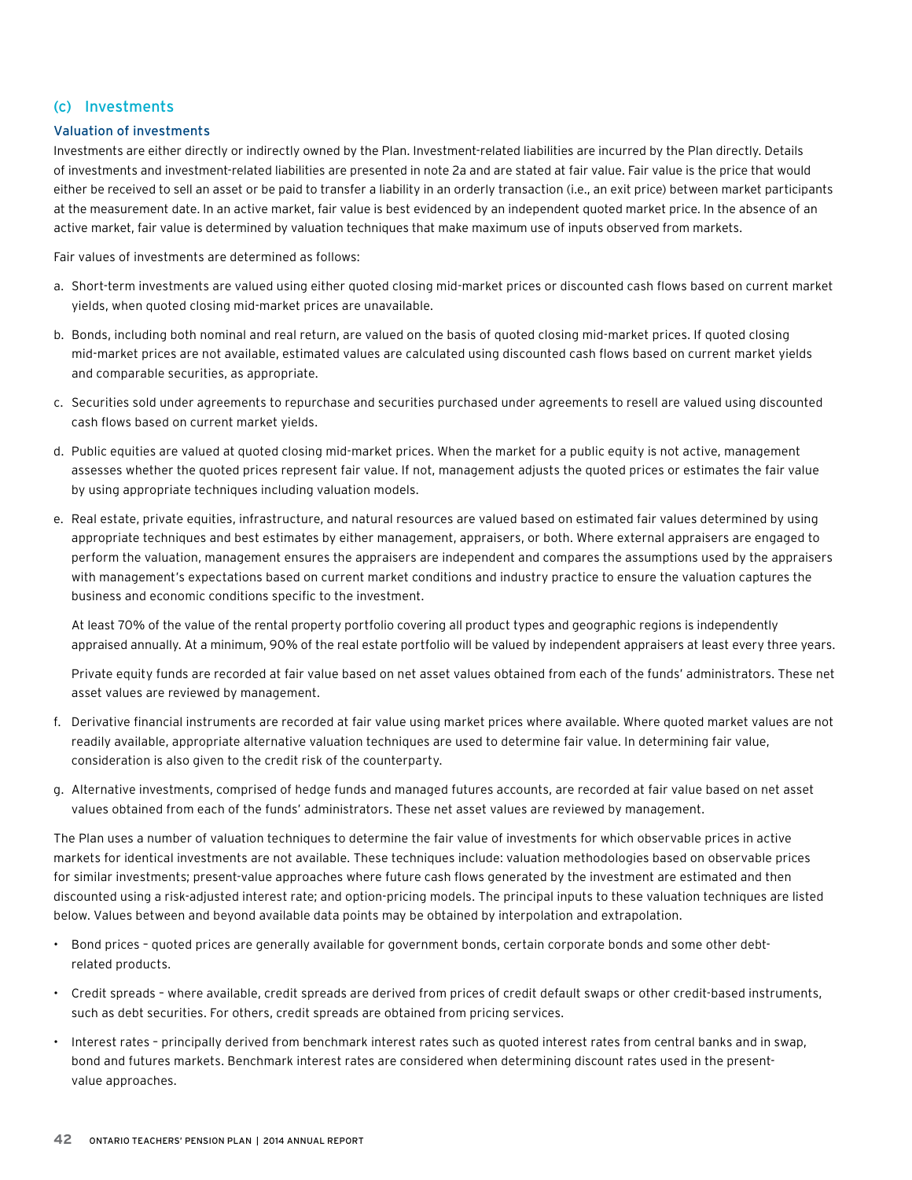#### (c) Investments

#### Valuation of investments

Investments are either directly or indirectly owned by the Plan. Investment-related liabilities are incurred by the Plan directly. Details of investments and investment-related liabilities are presented in note 2a and are stated at fair value. Fair value is the price that would either be received to sell an asset or be paid to transfer a liability in an orderly transaction (i.e., an exit price) between market participants at the measurement date. In an active market, fair value is best evidenced by an independent quoted market price. In the absence of an active market, fair value is determined by valuation techniques that make maximum use of inputs observed from markets.

Fair values of investments are determined as follows:

- a. Short-term investments are valued using either quoted closing mid-market prices or discounted cash flows based on current market yields, when quoted closing mid-market prices are unavailable.
- b. Bonds, including both nominal and real return, are valued on the basis of quoted closing mid-market prices. If quoted closing mid-market prices are not available, estimated values are calculated using discounted cash flows based on current market yields and comparable securities, as appropriate.
- c. Securities sold under agreements to repurchase and securities purchased under agreements to resell are valued using discounted cash flows based on current market yields.
- d. Public equities are valued at quoted closing mid-market prices. When the market for a public equity is not active, management assesses whether the quoted prices represent fair value. If not, management adjusts the quoted prices or estimates the fair value by using appropriate techniques including valuation models.
- e. Real estate, private equities, infrastructure, and natural resources are valued based on estimated fair values determined by using appropriate techniques and best estimates by either management, appraisers, or both. Where external appraisers are engaged to perform the valuation, management ensures the appraisers are independent and compares the assumptions used by the appraisers with management's expectations based on current market conditions and industry practice to ensure the valuation captures the business and economic conditions specific to the investment.

 At least 70% of the value of the rental property portfolio covering all product types and geographic regions is independently appraised annually. At a minimum, 90% of the real estate portfolio will be valued by independent appraisers at least every three years.

Private equity funds are recorded at fair value based on net asset values obtained from each of the funds' administrators. These net asset values are reviewed by management.

- f. Derivative financial instruments are recorded at fair value using market prices where available. Where quoted market values are not readily available, appropriate alternative valuation techniques are used to determine fair value. In determining fair value, consideration is also given to the credit risk of the counterparty.
- g. Alternative investments, comprised of hedge funds and managed futures accounts, are recorded at fair value based on net asset values obtained from each of the funds' administrators. These net asset values are reviewed by management.

The Plan uses a number of valuation techniques to determine the fair value of investments for which observable prices in active markets for identical investments are not available. These techniques include: valuation methodologies based on observable prices for similar investments; present-value approaches where future cash flows generated by the investment are estimated and then discounted using a risk-adjusted interest rate; and option-pricing models. The principal inputs to these valuation techniques are listed below. Values between and beyond available data points may be obtained by interpolation and extrapolation.

- Bond prices quoted prices are generally available for government bonds, certain corporate bonds and some other debtrelated products.
- • Credit spreads – where available, credit spreads are derived from prices of credit default swaps or other credit-based instruments, such as debt securities. For others, credit spreads are obtained from pricing services.
- Interest rates principally derived from benchmark interest rates such as quoted interest rates from central banks and in swap, bond and futures markets. Benchmark interest rates are considered when determining discount rates used in the presentvalue approaches.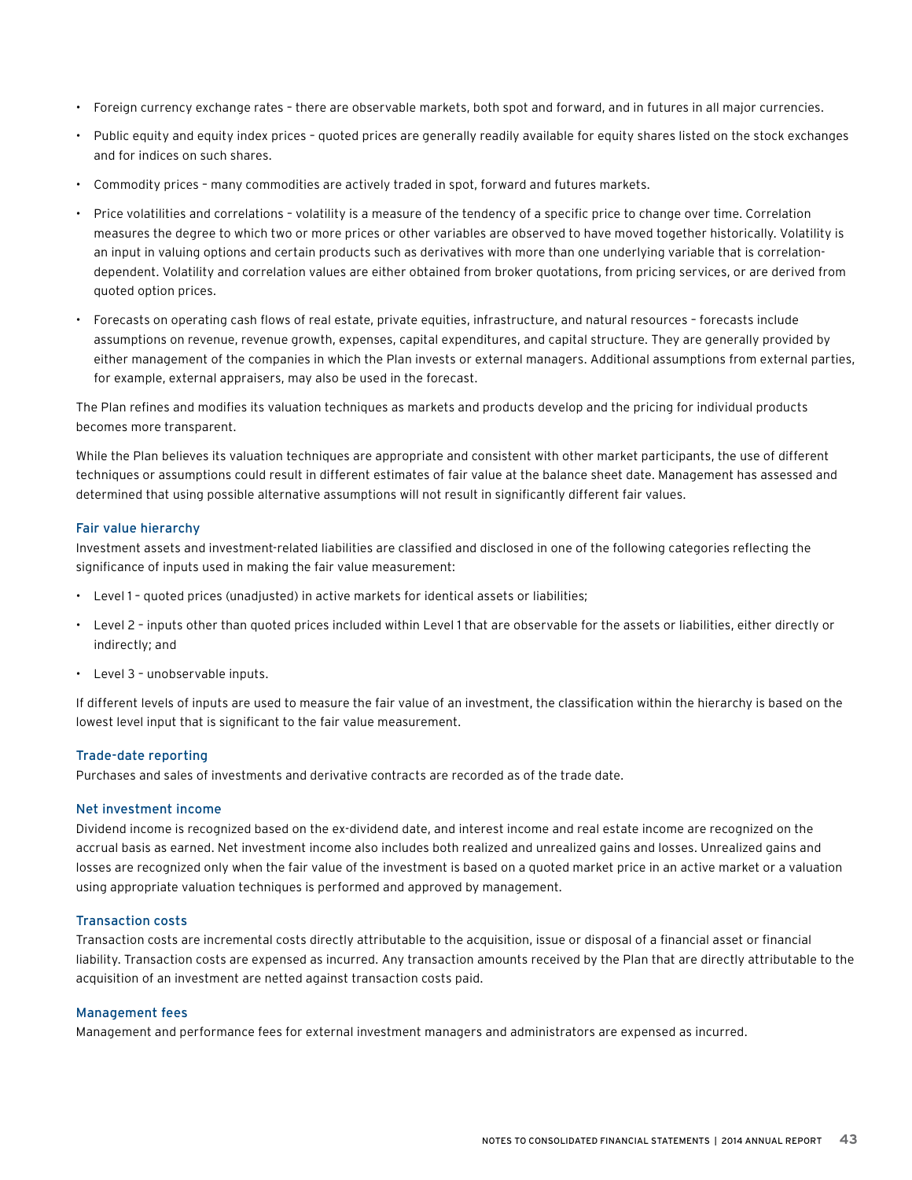- Foreign currency exchange rates there are observable markets, both spot and forward, and in futures in all major currencies.
- Public equity and equity index prices quoted prices are generally readily available for equity shares listed on the stock exchanges and for indices on such shares.
- Commodity prices many commodities are actively traded in spot, forward and futures markets.
- Price volatilities and correlations volatility is a measure of the tendency of a specific price to change over time. Correlation measures the degree to which two or more prices or other variables are observed to have moved together historically. Volatility is an input in valuing options and certain products such as derivatives with more than one underlying variable that is correlationdependent. Volatility and correlation values are either obtained from broker quotations, from pricing services, or are derived from quoted option prices.
- • Forecasts on operating cash flows of real estate, private equities, infrastructure, and natural resources forecasts include assumptions on revenue, revenue growth, expenses, capital expenditures, and capital structure. They are generally provided by either management of the companies in which the Plan invests or external managers. Additional assumptions from external parties, for example, external appraisers, may also be used in the forecast.

The Plan refines and modifies its valuation techniques as markets and products develop and the pricing for individual products becomes more transparent.

While the Plan believes its valuation techniques are appropriate and consistent with other market participants, the use of different techniques or assumptions could result in different estimates of fair value at the balance sheet date. Management has assessed and determined that using possible alternative assumptions will not result in significantly different fair values.

#### Fair value hierarchy

Investment assets and investment-related liabilities are classified and disclosed in one of the following categories reflecting the significance of inputs used in making the fair value measurement:

- Level 1 quoted prices (unadjusted) in active markets for identical assets or liabilities;
- Level 2 inputs other than quoted prices included within Level 1 that are observable for the assets or liabilities, either directly or indirectly; and
- Level 3 unobservable inputs.

If different levels of inputs are used to measure the fair value of an investment, the classification within the hierarchy is based on the lowest level input that is significant to the fair value measurement.

#### Trade-date reporting

Purchases and sales of investments and derivative contracts are recorded as of the trade date.

#### Net investment income

Dividend income is recognized based on the ex-dividend date, and interest income and real estate income are recognized on the accrual basis as earned. Net investment income also includes both realized and unrealized gains and losses. Unrealized gains and losses are recognized only when the fair value of the investment is based on a quoted market price in an active market or a valuation using appropriate valuation techniques is performed and approved by management.

#### Transaction costs

Transaction costs are incremental costs directly attributable to the acquisition, issue or disposal of a financial asset or financial liability. Transaction costs are expensed as incurred. Any transaction amounts received by the Plan that are directly attributable to the acquisition of an investment are netted against transaction costs paid.

#### Management fees

Management and performance fees for external investment managers and administrators are expensed as incurred.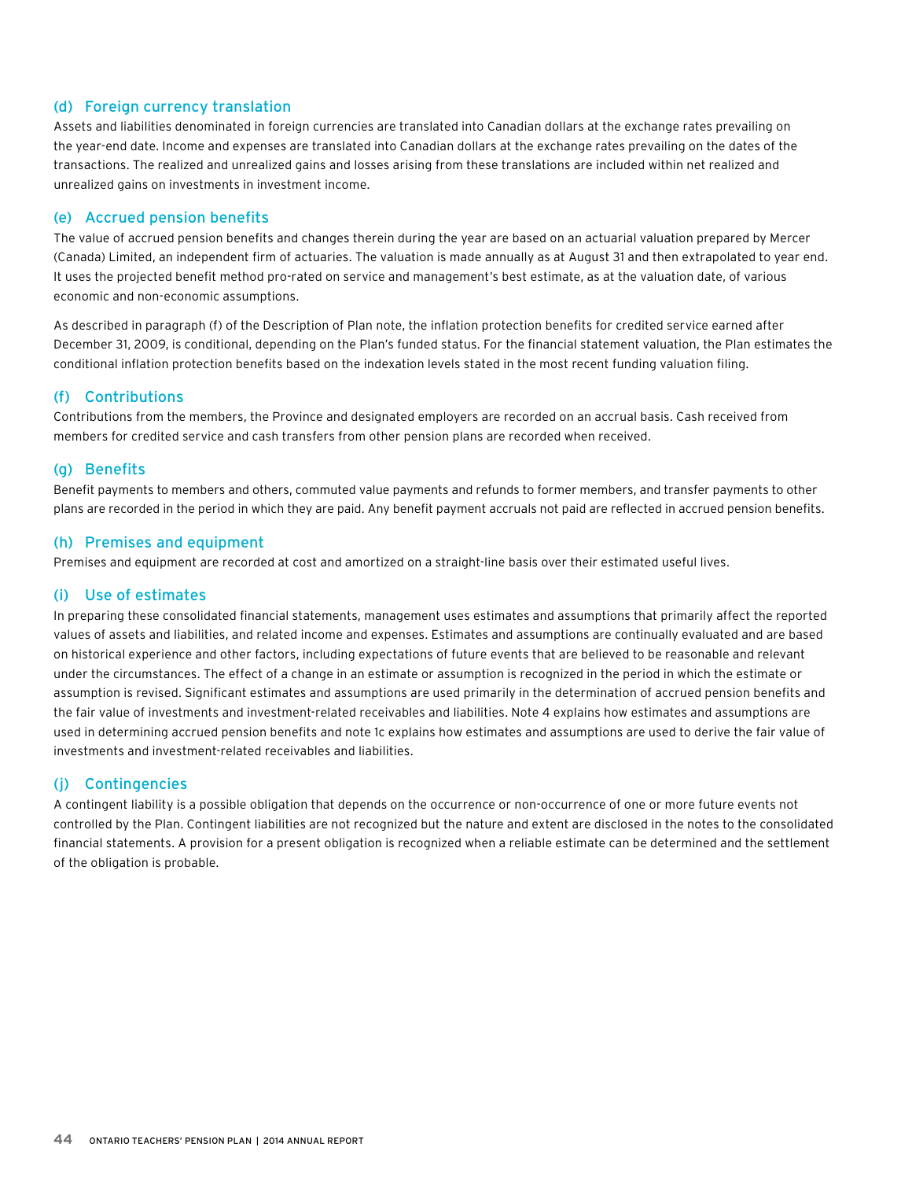#### (d) Foreign currency translation

Assets and liabilities denominated in foreign currencies are translated into Canadian dollars at the exchange rates prevailing on the year-end date. Income and expenses are translated into Canadian dollars at the exchange rates prevailing on the dates of the transactions. The realized and unrealized gains and losses arising from these translations are included within net realized and unrealized gains on investments in investment income.

#### (e) Accrued pension benefits

The value of accrued pension benefits and changes therein during the year are based on an actuarial valuation prepared by Mercer (Canada) Limited, an independent firm of actuaries. The valuation is made annually as at August 31 and then extrapolated to year end. It uses the projected benefit method pro-rated on service and management's best estimate, as at the valuation date, of various economic and non-economic assumptions.

As described in paragraph (f) of the Description of Plan note, the inflation protection benefits for credited service earned after December 31, 2009, is conditional, depending on the Plan's funded status. For the financial statement valuation, the Plan estimates the conditional inflation protection benefits based on the indexation levels stated in the most recent funding valuation filing.

#### (f) Contributions

Contributions from the members, the Province and designated employers are recorded on an accrual basis. Cash received from members for credited service and cash transfers from other pension plans are recorded when received.

#### (g) Benefits

Benefit payments to members and others, commuted value payments and refunds to former members, and transfer payments to other plans are recorded in the period in which they are paid. Any benefit payment accruals not paid are reflected in accrued pension benefits.

#### (h) Premises and equipment

Premises and equipment are recorded at cost and amortized on a straight-line basis over their estimated useful lives.

#### (i) Use of estimates

In preparing these consolidated financial statements, management uses estimates and assumptions that primarily affect the reported values of assets and liabilities, and related income and expenses. Estimates and assumptions are continually evaluated and are based on historical experience and other factors, including expectations of future events that are believed to be reasonable and relevant under the circumstances. The effect of a change in an estimate or assumption is recognized in the period in which the estimate or assumption is revised. Significant estimates and assumptions are used primarily in the determination of accrued pension benefits and the fair value of investments and investment-related receivables and liabilities. Note 4 explains how estimates and assumptions are used in determining accrued pension benefits and note 1c explains how estimates and assumptions are used to derive the fair value of investments and investment-related receivables and liabilities.

#### (j) Contingencies

A contingent liability is a possible obligation that depends on the occurrence or non-occurrence of one or more future events not controlled by the Plan. Contingent liabilities are not recognized but the nature and extent are disclosed in the notes to the consolidated financial statements. A provision for a present obligation is recognized when a reliable estimate can be determined and the settlement of the obligation is probable.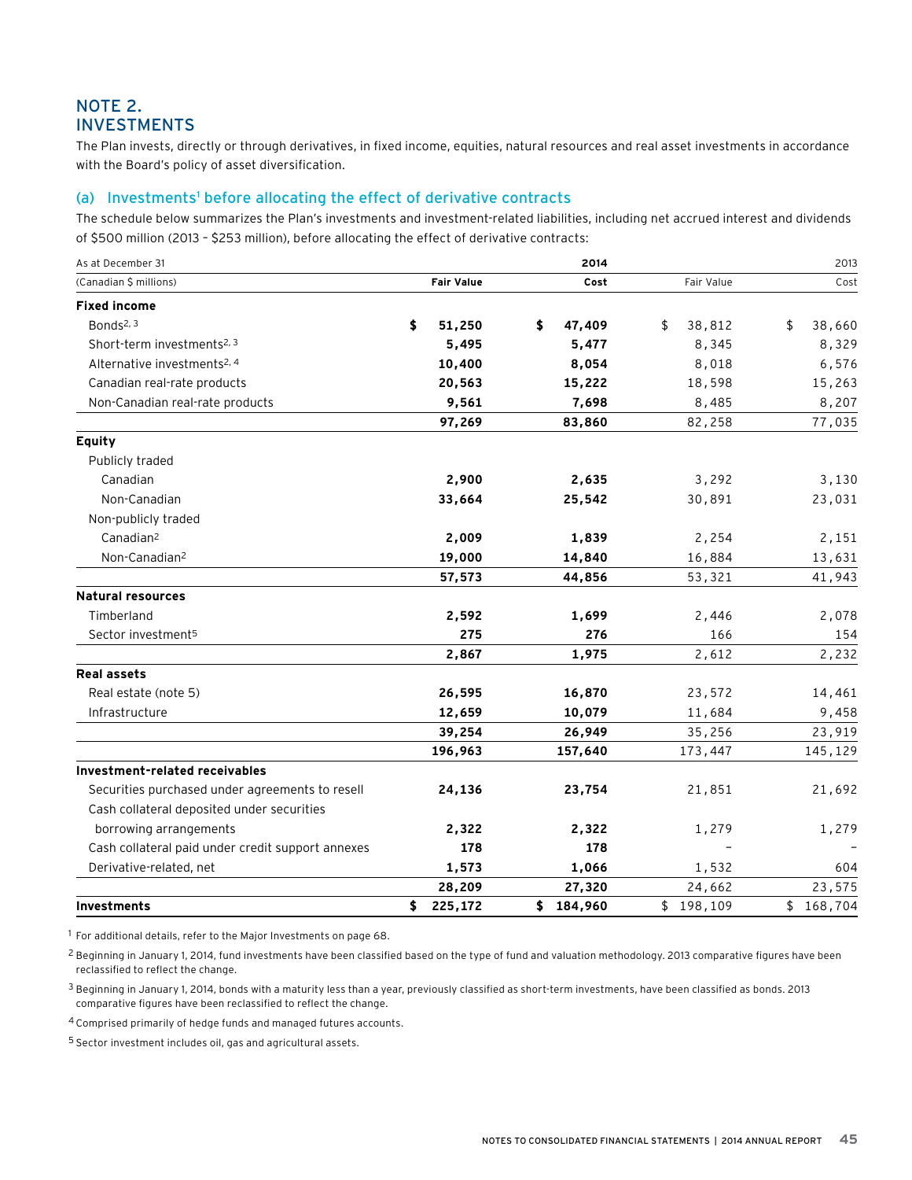## NOTE 2. INVESTMENTS

The Plan invests, directly or through derivatives, in fixed income, equities, natural resources and real asset investments in accordance with the Board's policy of asset diversification.

#### (a) Investments<sup>1</sup> before allocating the effect of derivative contracts

The schedule below summarizes the Plan's investments and investment-related liabilities, including net accrued interest and dividends of \$500 million (2013 - \$253 million), before allocating the effect of derivative contracts:

| As at December 31                                 |                   | 2014         |              | 2013         |
|---------------------------------------------------|-------------------|--------------|--------------|--------------|
| (Canadian \$ millions)                            | <b>Fair Value</b> | Cost         | Fair Value   | Cost         |
| <b>Fixed income</b>                               |                   |              |              |              |
| Bonds <sup>2, 3</sup>                             | \$<br>51,250      | 47,409<br>\$ | \$<br>38,812 | \$<br>38,660 |
| Short-term investments <sup>2, 3</sup>            | 5,495             | 5,477        | 8,345        | 8,329        |
| Alternative investments <sup>2, 4</sup>           | 10,400            | 8,054        | 8,018        | 6,576        |
| Canadian real-rate products                       | 20,563            | 15,222       | 18,598       | 15,263       |
| Non-Canadian real-rate products                   | 9,561             | 7,698        | 8,485        | 8,207        |
|                                                   | 97,269            | 83,860       | 82,258       | 77,035       |
| <b>Equity</b>                                     |                   |              |              |              |
| Publicly traded                                   |                   |              |              |              |
| Canadian                                          | 2,900             | 2,635        | 3,292        | 3,130        |
| Non-Canadian                                      | 33,664            | 25,542       | 30,891       | 23,031       |
| Non-publicly traded                               |                   |              |              |              |
| Canadian <sup>2</sup>                             | 2,009             | 1,839        | 2,254        | 2,151        |
| Non-Canadian <sup>2</sup>                         | 19,000            | 14,840       | 16,884       | 13,631       |
|                                                   | 57,573            | 44,856       | 53,321       | 41,943       |
| <b>Natural resources</b>                          |                   |              |              |              |
| Timberland                                        | 2,592             | 1,699        | 2,446        | 2,078        |
| Sector investment <sup>5</sup>                    | 275               | 276          | 166          | 154          |
|                                                   | 2,867             | 1,975        | 2,612        | 2,232        |
| <b>Real assets</b>                                |                   |              |              |              |
| Real estate (note 5)                              | 26,595            | 16,870       | 23,572       | 14,461       |
| Infrastructure                                    | 12,659            | 10,079       | 11,684       | 9,458        |
|                                                   | 39,254            | 26,949       | 35,256       | 23,919       |
|                                                   | 196,963           | 157,640      | 173,447      | 145,129      |
| Investment-related receivables                    |                   |              |              |              |
| Securities purchased under agreements to resell   | 24,136            | 23,754       | 21,851       | 21,692       |
| Cash collateral deposited under securities        |                   |              |              |              |
| borrowing arrangements                            | 2,322             | 2,322        | 1,279        | 1,279        |
| Cash collateral paid under credit support annexes | 178               | 178          |              |              |
| Derivative-related, net                           | 1,573             | 1,066        | 1,532        | 604          |
|                                                   | 28,209            | 27,320       | 24,662       | 23,575       |
| Investments                                       | \$<br>225,172     | \$184,960    | \$198,109    | \$168,704    |

<sup>1</sup> For additional details, refer to the Major Investments on page 68.

<sup>2</sup> Beginning in January 1, 2014, fund investments have been classified based on the type of fund and valuation methodology. 2013 comparative figures have been reclassified to reflect the change.

3 Beginning in January 1, 2014, bonds with a maturity less than a year, previously classified as short-term investments, have been classified as bonds. 2013 comparative figures have been reclassified to reflect the change.

4 Comprised primarily of hedge funds and managed futures accounts.

5 Sector investment includes oil, gas and agricultural assets.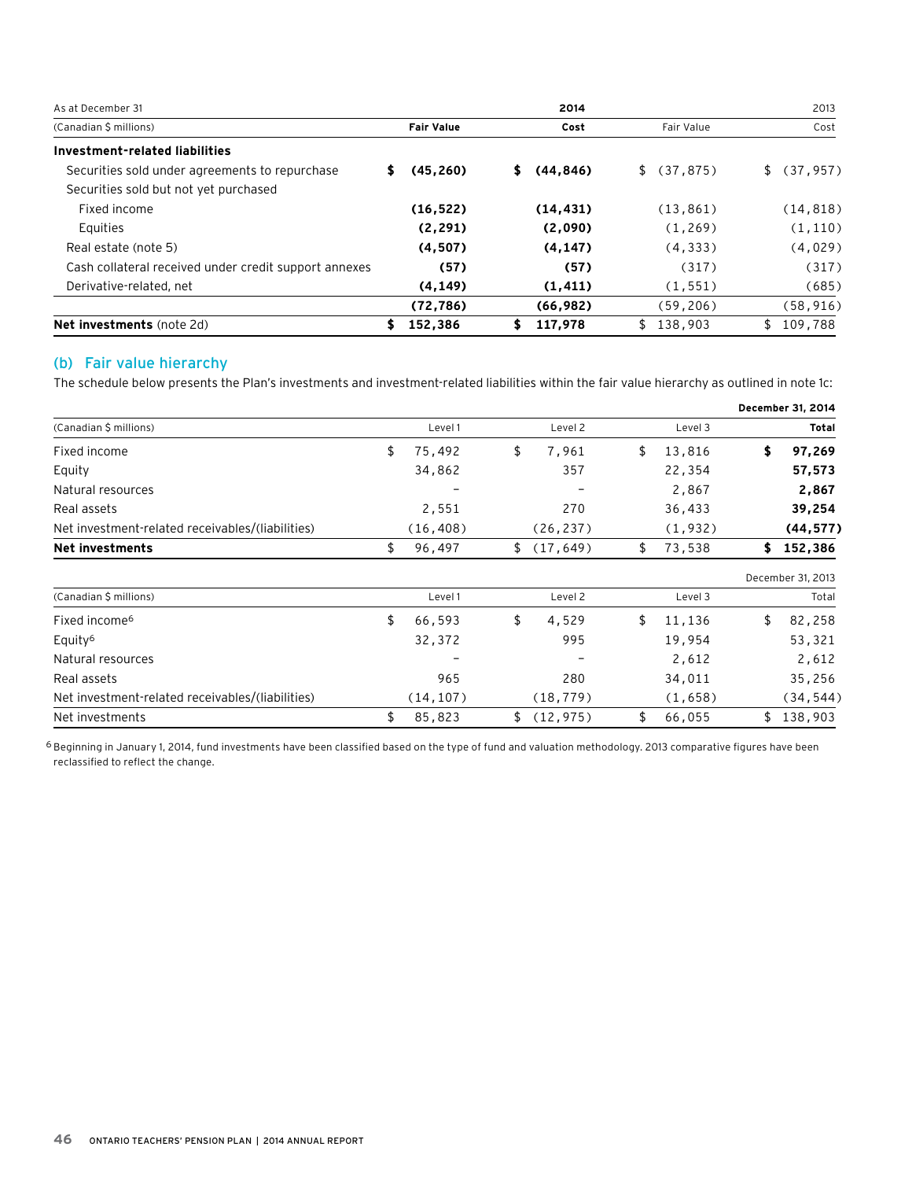| As at December 31                                     |                   | 2014            |               | 2013            |
|-------------------------------------------------------|-------------------|-----------------|---------------|-----------------|
| (Canadian \$ millions)                                | <b>Fair Value</b> | Cost            | Fair Value    | Cost            |
| Investment-related liabilities                        |                   |                 |               |                 |
| Securities sold under agreements to repurchase        | (45, 260)<br>S    | (44, 846)<br>S. | \$(37.875)    | (37, 957)<br>\$ |
| Securities sold but not yet purchased                 |                   |                 |               |                 |
| Fixed income                                          | (16, 522)         | (14, 431)       | (13, 861)     | (14, 818)       |
| Equities                                              | (2, 291)          | (2,090)         | (1, 269)      | (1, 110)        |
| Real estate (note 5)                                  | (4,507)           | (4, 147)        | (4, 333)      | (4,029)         |
| Cash collateral received under credit support annexes | (57)              | (57)            | (317)         | (317)           |
| Derivative-related, net                               | (4, 149)          | (1, 411)        | (1, 551)      | (685)           |
|                                                       | (72, 786)         | (66, 982)       | (59,206)      | (58, 916)       |
| <b>Net investments</b> (note 2d)                      | 152,386           | 117,978         | 138,903<br>\$ | 109,788<br>\$   |

### (b) Fair value hierarchy

The schedule below presents the Plan's investments and investment-related liabilities within the fair value hierarchy as outlined in note 1c:

|                                                  |              |                    |              | December 31, 2014 |
|--------------------------------------------------|--------------|--------------------|--------------|-------------------|
| (Canadian \$ millions)                           | Level 1      | Level 2            | Level 3      | Total             |
| Fixed income                                     | \$<br>75,492 | \$<br>7,961        | \$<br>13,816 | \$<br>97,269      |
| Equity                                           | 34,862       | 357                | 22,354       | 57,573            |
| Natural resources                                |              |                    | 2,867        | 2,867             |
| Real assets                                      | 2,551        | 270                | 36,433       | 39,254            |
| Net investment-related receivables/(liabilities) | (16, 408)    | (26, 237)          | (1, 932)     | (44, 577)         |
| Net investments                                  | \$<br>96,497 | \$<br>(17, 649)    | \$<br>73,538 | \$<br>152,386     |
|                                                  |              |                    |              | December 31, 2013 |
| (Canadian \$ millions)                           | Level 1      | Level <sub>2</sub> | Level 3      | Total             |
| Fixed income <sup>6</sup>                        | \$<br>66,593 | \$<br>4,529        | \$<br>11,136 | \$<br>82,258      |
| Equity <sup>6</sup>                              | 32,372       | 995                | 19,954       | 53,321            |
| Natural resources                                |              |                    | 2,612        | 2,612             |
| Real assets                                      | 965          | 280                | 34,011       | 35,256            |
| Net investment-related receivables/(liabilities) | (14, 107)    | (18, 779)          | (1,658)      | (34, 544)         |
| Net investments                                  | \$<br>85,823 | \$<br>(12, 975)    | \$<br>66,055 | \$<br>138,903     |

<sup>6</sup> Beginning in January 1, 2014, fund investments have been classified based on the type of fund and valuation methodology. 2013 comparative figures have been reclassified to reflect the change.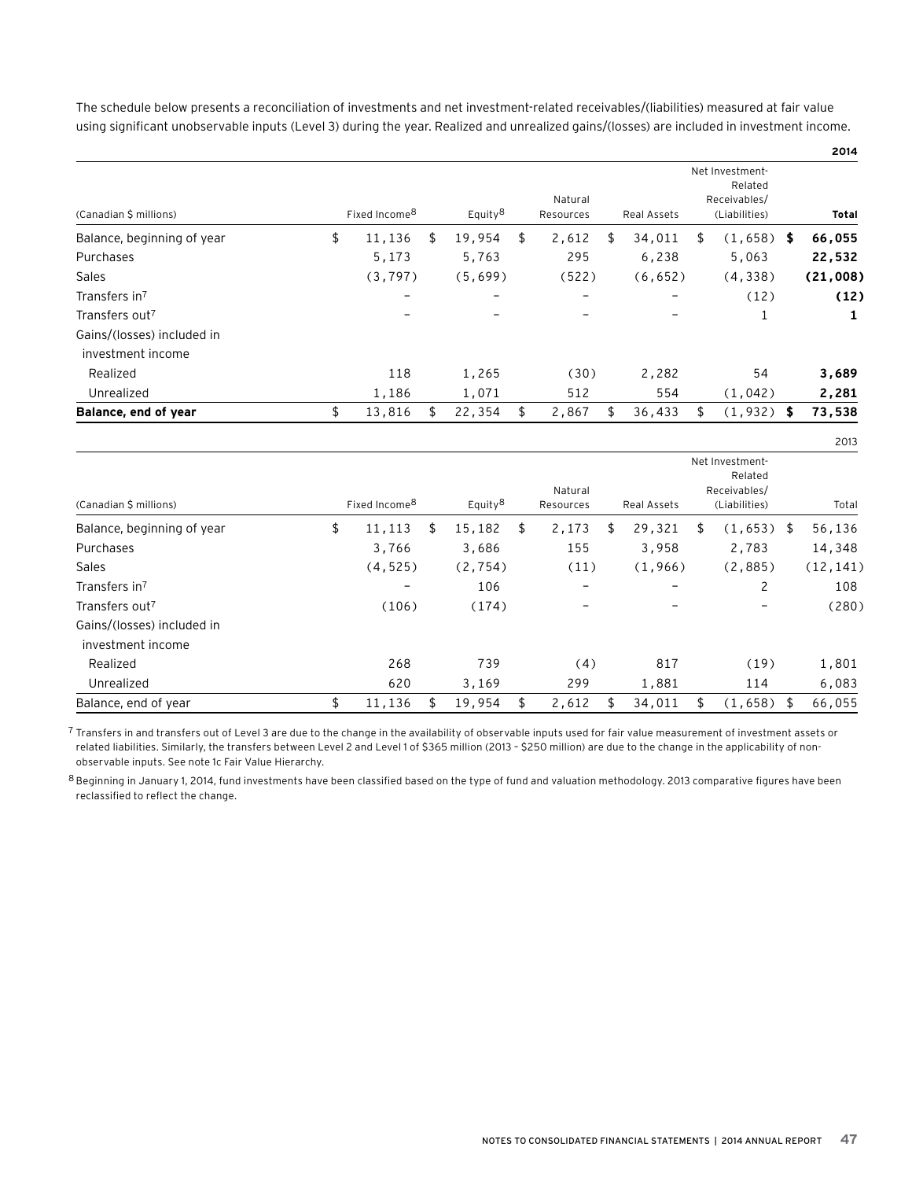The schedule below presents a reconciliation of investments and net investment-related receivables/(liabilities) measured at fair value using significant unobservable inputs (Level 3) during the year. Realized and unrealized gains/(losses) are included in investment income.

| Unrealized                 |                           |                     |                      |    | 36,433      |   |                                                             | 73,538   |
|----------------------------|---------------------------|---------------------|----------------------|----|-------------|---|-------------------------------------------------------------|----------|
|                            | 1,186                     | 1,071               | 512                  |    | 554         |   | (1, 042)                                                    | 2,281    |
| Realized                   | 118                       | 1,265               | (30)                 |    | 2,282       |   | 54                                                          | 3,689    |
| investment income          |                           |                     |                      |    |             |   |                                                             |          |
| Gains/(losses) included in |                           |                     |                      |    |             |   |                                                             |          |
| Transfers out <sup>7</sup> |                           |                     |                      |    |             |   | 1                                                           | 1        |
| Transfers in <sup>7</sup>  | -                         |                     |                      |    |             |   | (12)                                                        | (12)     |
| Sales                      | (3, 797)                  | (5,699)             | (522)                |    | (6, 652)    |   | (4, 338)                                                    | (21,008) |
| Purchases                  | 5,173                     | 5,763               | 295                  |    | 6,238       |   | 5,063                                                       | 22,532   |
| Balance, beginning of year | \$<br>11,136              | \$<br>19,954        | \$<br>2,612          | S. | 34,011      | S | $(1,658)$ \$                                                | 66,055   |
| (Canadian \$ millions)     | Fixed Income <sup>8</sup> | Equity <sup>8</sup> | Natural<br>Resources |    | Real Assets |   | Net Investment-<br>Related<br>Receivables/<br>(Liabilities) | Total    |

|                            |                           |                     |                      |    |             |                                                             | 2013      |
|----------------------------|---------------------------|---------------------|----------------------|----|-------------|-------------------------------------------------------------|-----------|
| (Canadian \$ millions)     | Fixed Income <sup>8</sup> | Equity <sup>8</sup> | Natural<br>Resources |    | Real Assets | Net Investment-<br>Related<br>Receivables/<br>(Liabilities) | Total     |
| Balance, beginning of year | \$<br>11,113              | \$<br>15,182        | \$<br>2,173          | \$ | 29,321      | \$<br>$(1,653)$ \$                                          | 56,136    |
| Purchases                  | 3,766                     | 3,686               | 155                  |    | 3,958       | 2,783                                                       | 14,348    |
| <b>Sales</b>               | (4, 525)                  | (2, 754)            | (11)                 |    | (1, 966)    | (2, 885)                                                    | (12, 141) |
| Transfers in <sup>7</sup>  | -                         | 106                 | -                    |    |             | 2                                                           | 108       |
| Transfers out <sup>7</sup> | (106)                     | (174)               | -                    |    |             |                                                             | (280)     |
| Gains/(losses) included in |                           |                     |                      |    |             |                                                             |           |
| investment income          |                           |                     |                      |    |             |                                                             |           |
| Realized                   | 268                       | 739                 | (4)                  |    | 817         | (19)                                                        | 1,801     |
| Unrealized                 | 620                       | 3,169               | 299                  |    | 1,881       | 114                                                         | 6,083     |
| Balance, end of year       | \$<br>11,136              | \$<br>19,954        | \$<br>2,612          | Ж. | 34,011      | $(1,658)$ \$                                                | 66,055    |

7 Transfers in and transfers out of Level 3 are due to the change in the availability of observable inputs used for fair value measurement of investment assets or related liabilities. Similarly, the transfers between Level 2 and Level 1 of \$365 million (2013 - \$250 million) are due to the change in the applicability of nonobservable inputs. See note 1c Fair Value Hierarchy.

8 Beginning in January 1, 2014, fund investments have been classified based on the type of fund and valuation methodology. 2013 comparative figures have been reclassified to reflect the change.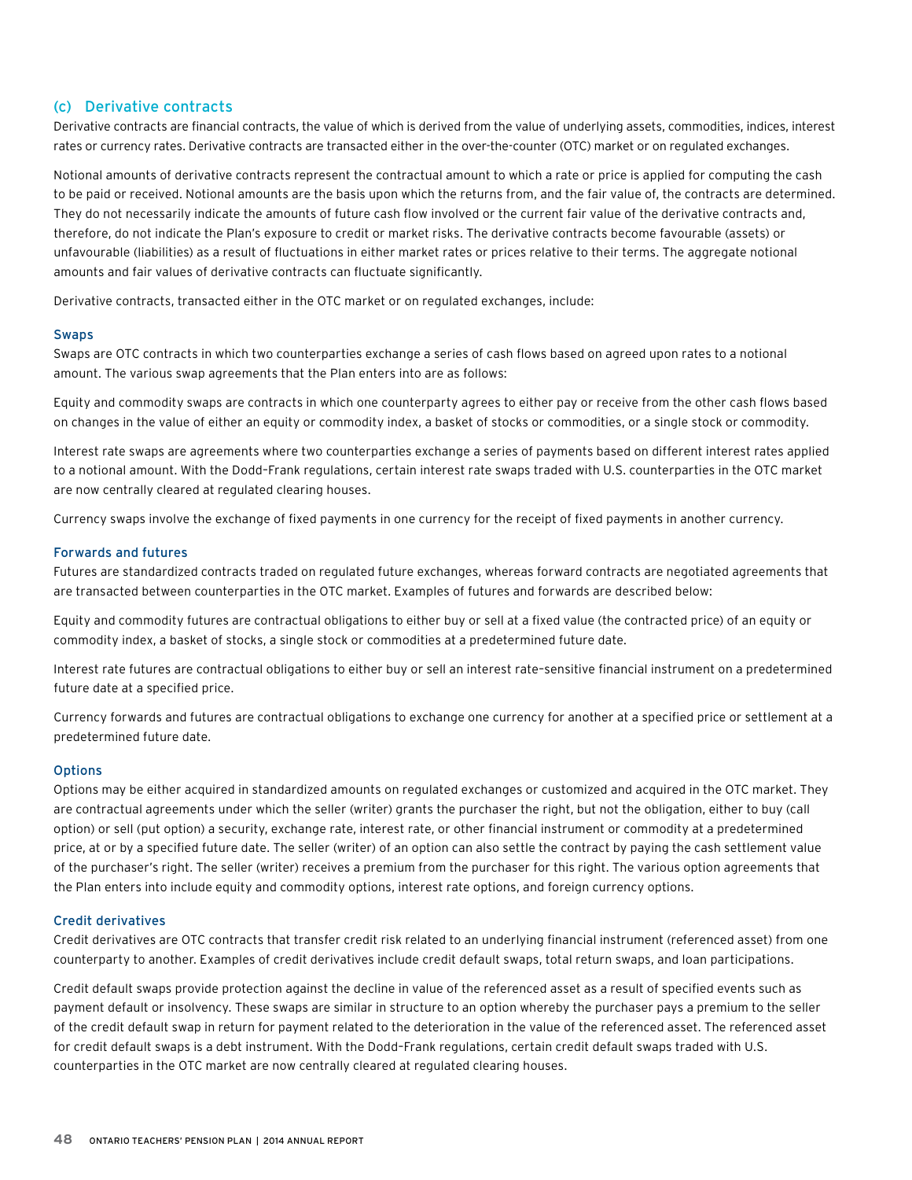#### (c) Derivative contracts

Derivative contracts are financial contracts, the value of which is derived from the value of underlying assets, commodities, indices, interest rates or currency rates. Derivative contracts are transacted either in the over-the-counter (OTC) market or on regulated exchanges.

Notional amounts of derivative contracts represent the contractual amount to which a rate or price is applied for computing the cash to be paid or received. Notional amounts are the basis upon which the returns from, and the fair value of, the contracts are determined. They do not necessarily indicate the amounts of future cash flow involved or the current fair value of the derivative contracts and, therefore, do not indicate the Plan's exposure to credit or market risks. The derivative contracts become favourable (assets) or unfavourable (liabilities) as a result of fluctuations in either market rates or prices relative to their terms. The aggregate notional amounts and fair values of derivative contracts can fluctuate significantly.

Derivative contracts, transacted either in the OTC market or on regulated exchanges, include:

#### **Swaps**

Swaps are OTC contracts in which two counterparties exchange a series of cash flows based on agreed upon rates to a notional amount. The various swap agreements that the Plan enters into are as follows:

Equity and commodity swaps are contracts in which one counterparty agrees to either pay or receive from the other cash flows based on changes in the value of either an equity or commodity index, a basket of stocks or commodities, or a single stock or commodity.

Interest rate swaps are agreements where two counterparties exchange a series of payments based on different interest rates applied to a notional amount. With the Dodd-Frank regulations, certain interest rate swaps traded with U.S. counterparties in the OTC market are now centrally cleared at regulated clearing houses.

Currency swaps involve the exchange of fixed payments in one currency for the receipt of fixed payments in another currency.

#### Forwards and futures

Futures are standardized contracts traded on regulated future exchanges, whereas forward contracts are negotiated agreements that are transacted between counterparties in the OTC market. Examples of futures and forwards are described below:

Equity and commodity futures are contractual obligations to either buy or sell at a fixed value (the contracted price) of an equity or commodity index, a basket of stocks, a single stock or commodities at a predetermined future date.

Interest rate futures are contractual obligations to either buy or sell an interest rate–sensitive financial instrument on a predetermined future date at a specified price.

Currency forwards and futures are contractual obligations to exchange one currency for another at a specified price or settlement at a predetermined future date.

#### **Options**

Options may be either acquired in standardized amounts on regulated exchanges or customized and acquired in the OTC market. They are contractual agreements under which the seller (writer) grants the purchaser the right, but not the obligation, either to buy (call option) or sell (put option) a security, exchange rate, interest rate, or other financial instrument or commodity at a predetermined price, at or by a specified future date. The seller (writer) of an option can also settle the contract by paying the cash settlement value of the purchaser's right. The seller (writer) receives a premium from the purchaser for this right. The various option agreements that the Plan enters into include equity and commodity options, interest rate options, and foreign currency options.

#### Credit derivatives

Credit derivatives are OTC contracts that transfer credit risk related to an underlying financial instrument (referenced asset) from one counterparty to another. Examples of credit derivatives include credit default swaps, total return swaps, and loan participations.

Credit default swaps provide protection against the decline in value of the referenced asset as a result of specified events such as payment default or insolvency. These swaps are similar in structure to an option whereby the purchaser pays a premium to the seller of the credit default swap in return for payment related to the deterioration in the value of the referenced asset. The referenced asset for credit default swaps is a debt instrument. With the Dodd-Frank regulations, certain credit default swaps traded with U.S. counterparties in the OTC market are now centrally cleared at regulated clearing houses.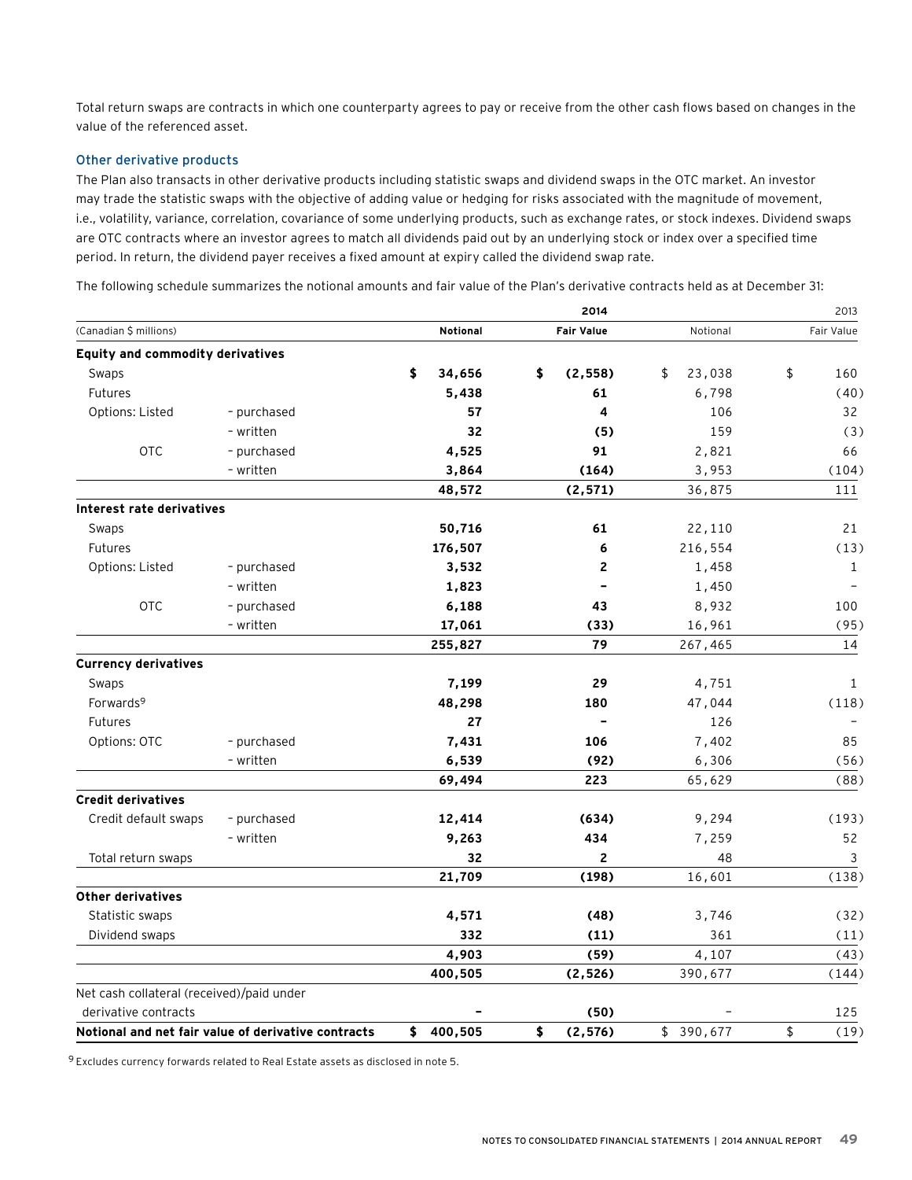Total return swaps are contracts in which one counterparty agrees to pay or receive from the other cash flows based on changes in the value of the referenced asset.

#### Other derivative products

The Plan also transacts in other derivative products including statistic swaps and dividend swaps in the OTC market. An investor may trade the statistic swaps with the objective of adding value or hedging for risks associated with the magnitude of movement, i.e., volatility, variance, correlation, covariance of some underlying products, such as exchange rates, or stock indexes. Dividend swaps are OTC contracts where an investor agrees to match all dividends paid out by an underlying stock or index over a specified time period. In return, the dividend payer receives a fixed amount at expiry called the dividend swap rate.

The following schedule summarizes the notional amounts and fair value of the Plan's derivative contracts held as at December 31:

|                                           |                                                     |               | 2014              |              | 2013         |
|-------------------------------------------|-----------------------------------------------------|---------------|-------------------|--------------|--------------|
| (Canadian \$ millions)                    |                                                     | Notional      | <b>Fair Value</b> | Notional     | Fair Value   |
| <b>Equity and commodity derivatives</b>   |                                                     |               |                   |              |              |
| Swaps                                     |                                                     | \$<br>34,656  | \$<br>(2, 558)    | \$<br>23,038 | \$<br>160    |
| <b>Futures</b>                            |                                                     | 5,438         | 61                | 6,798        | (40)         |
| Options: Listed                           | - purchased                                         | 57            | 4                 | 106          | 32           |
|                                           | - written                                           | 32            | (5)               | 159          | (3)          |
| <b>OTC</b>                                | - purchased                                         | 4,525         | 91                | 2,821        | 66           |
|                                           | - written                                           | 3,864         | (164)             | 3,953        | (104)        |
|                                           |                                                     | 48,572        | (2, 571)          | 36,875       | 111          |
| Interest rate derivatives                 |                                                     |               |                   |              |              |
| Swaps                                     |                                                     | 50,716        | 61                | 22,110       | 21           |
| Futures                                   |                                                     | 176,507       | 6                 | 216,554      | (13)         |
| Options: Listed                           | - purchased                                         | 3,532         | 2                 | 1,458        | $\mathbf{1}$ |
|                                           | - written                                           | 1,823         |                   | 1,450        |              |
| <b>OTC</b>                                | - purchased                                         | 6,188         | 43                | 8,932        | 100          |
|                                           | - written                                           | 17,061        | (33)              | 16,961       | (95)         |
|                                           |                                                     | 255,827       | 79                | 267,465      | 14           |
| <b>Currency derivatives</b>               |                                                     |               |                   |              |              |
| Swaps                                     |                                                     | 7,199         | 29                | 4,751        | 1            |
| Forwards <sup>9</sup>                     |                                                     | 48,298        | 180               | 47,044       | (118)        |
| Futures                                   |                                                     | 27            |                   | 126          |              |
| Options: OTC                              | - purchased                                         | 7,431         | 106               | 7,402        | 85           |
|                                           | - written                                           | 6,539         | (92)              | 6,306        | (56)         |
|                                           |                                                     | 69,494        | 223               | 65,629       | (88)         |
| <b>Credit derivatives</b>                 |                                                     |               |                   |              |              |
| Credit default swaps                      | - purchased                                         | 12,414        | (634)             | 9,294        | (193)        |
|                                           | - written                                           | 9,263         | 434               | 7,259        | 52           |
| Total return swaps                        |                                                     | 32            | $\overline{2}$    | 48           | 3            |
|                                           |                                                     | 21,709        | (198)             | 16,601       | (138)        |
| <b>Other derivatives</b>                  |                                                     |               |                   |              |              |
| Statistic swaps                           |                                                     | 4,571         | (48)              | 3,746        | (32)         |
| Dividend swaps                            |                                                     | 332           | (11)              | 361          | (11)         |
|                                           |                                                     | 4,903         | (59)              | 4,107        | (43)         |
|                                           |                                                     | 400,505       | (2, 526)          | 390,677      | (144)        |
| Net cash collateral (received)/paid under |                                                     |               |                   |              |              |
| derivative contracts                      |                                                     |               | (50)              |              | 125          |
|                                           | Notional and net fair value of derivative contracts | 400,505<br>\$ | \$<br>(2, 576)    | \$390,677    | \$<br>(19)   |

9 Excludes currency forwards related to Real Estate assets as disclosed in note 5.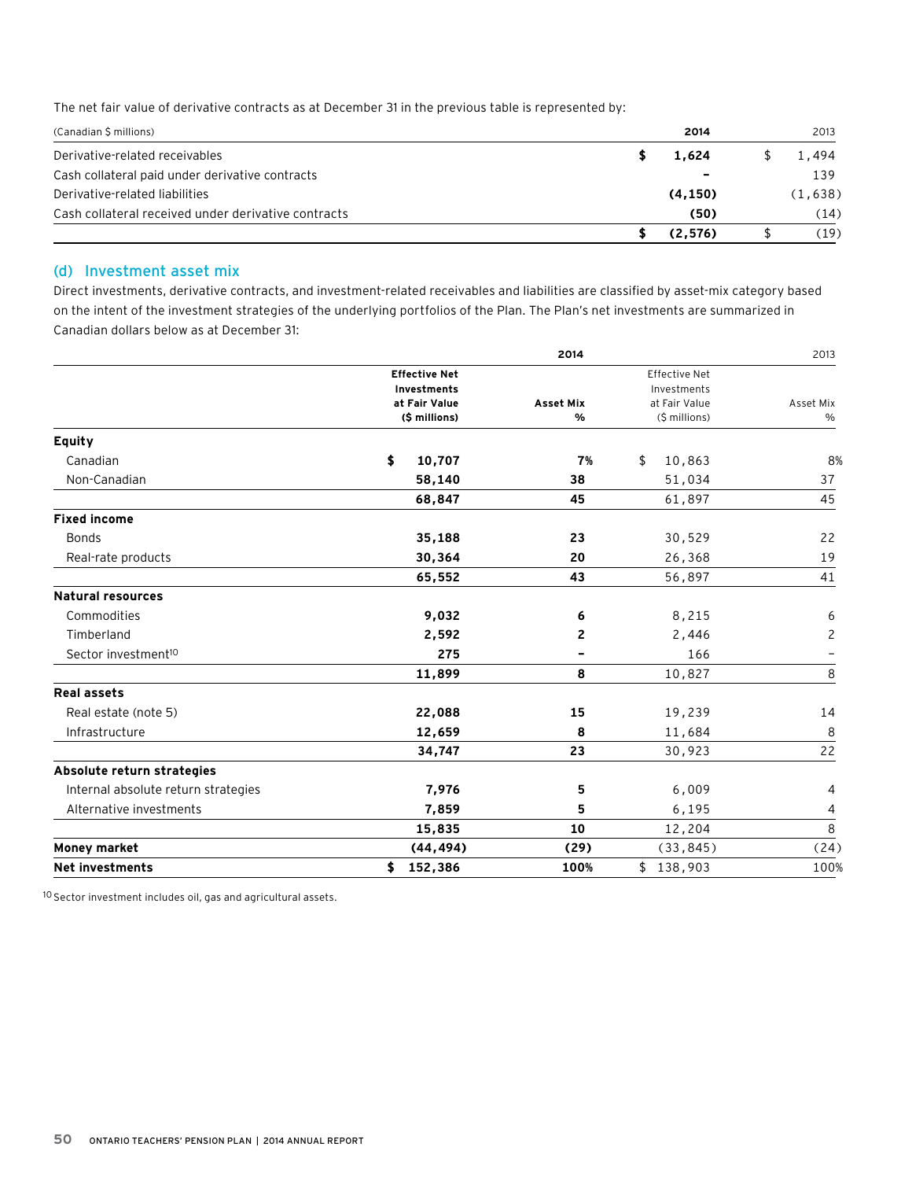The net fair value of derivative contracts as at December 31 in the previous table is represented by:

| (Canadian \$ millions)                              | 2014     | 2013    |
|-----------------------------------------------------|----------|---------|
| Derivative-related receivables                      | 1.624    | 1.494   |
| Cash collateral paid under derivative contracts     |          | 139     |
| Derivative-related liabilities                      | (4, 150) | (1,638) |
| Cash collateral received under derivative contracts | (50)     | (14)    |
|                                                     | (2,576)  | (19)    |

### (d) Investment asset mix

Direct investments, derivative contracts, and investment-related receivables and liabilities are classified by asset-mix category based on the intent of the investment strategies of the underlying portfolios of the Plan. The Plan's net investments are summarized in Canadian dollars below as at December 31:

|                                     |                      | 2014             |                      | 2013      |
|-------------------------------------|----------------------|------------------|----------------------|-----------|
|                                     | <b>Effective Net</b> |                  | <b>Effective Net</b> |           |
|                                     | Investments          |                  | Investments          |           |
|                                     | at Fair Value        | <b>Asset Mix</b> | at Fair Value        | Asset Mix |
|                                     | (\$ millions)        | %                | (\$ millions)        | $\%$      |
| <b>Equity</b>                       |                      |                  |                      |           |
| Canadian                            | \$<br>10,707         | 7%               | 10,863<br>\$         | 8%        |
| Non-Canadian                        | 58,140               | 38               | 51,034               | 37        |
|                                     | 68,847               | 45               | 61,897               | 45        |
| <b>Fixed income</b>                 |                      |                  |                      |           |
| <b>Bonds</b>                        | 35,188               | 23               | 30,529               | 22        |
| Real-rate products                  | 30,364               | 20               | 26,368               | 19        |
|                                     | 65,552               | 43               | 56,897               | 41        |
| <b>Natural resources</b>            |                      |                  |                      |           |
| Commodities                         | 9,032                | 6                | 8,215                | 6         |
| Timberland                          | 2,592                | 2                | 2,446                | 2         |
| Sector investment <sup>10</sup>     | 275                  |                  | 166                  |           |
|                                     | 11,899               | 8                | 10,827               | 8         |
| <b>Real assets</b>                  |                      |                  |                      |           |
| Real estate (note 5)                | 22,088               | 15               | 19,239               | 14        |
| Infrastructure                      | 12,659               | 8                | 11,684               | 8         |
|                                     | 34,747               | 23               | 30,923               | 22        |
| Absolute return strategies          |                      |                  |                      |           |
| Internal absolute return strategies | 7,976                | 5                | 6,009                | 4         |
| Alternative investments             | 7,859                | 5                | 6,195                | 4         |
|                                     | 15,835               | 10               | 12,204               | $\,8\,$   |
| <b>Money market</b>                 | (44, 494)            | (29)             | (33, 845)            | (24)      |
| <b>Net investments</b>              | 152,386<br>\$        | 100%             | \$138,903            | 100%      |

10 Sector investment includes oil, gas and agricultural assets.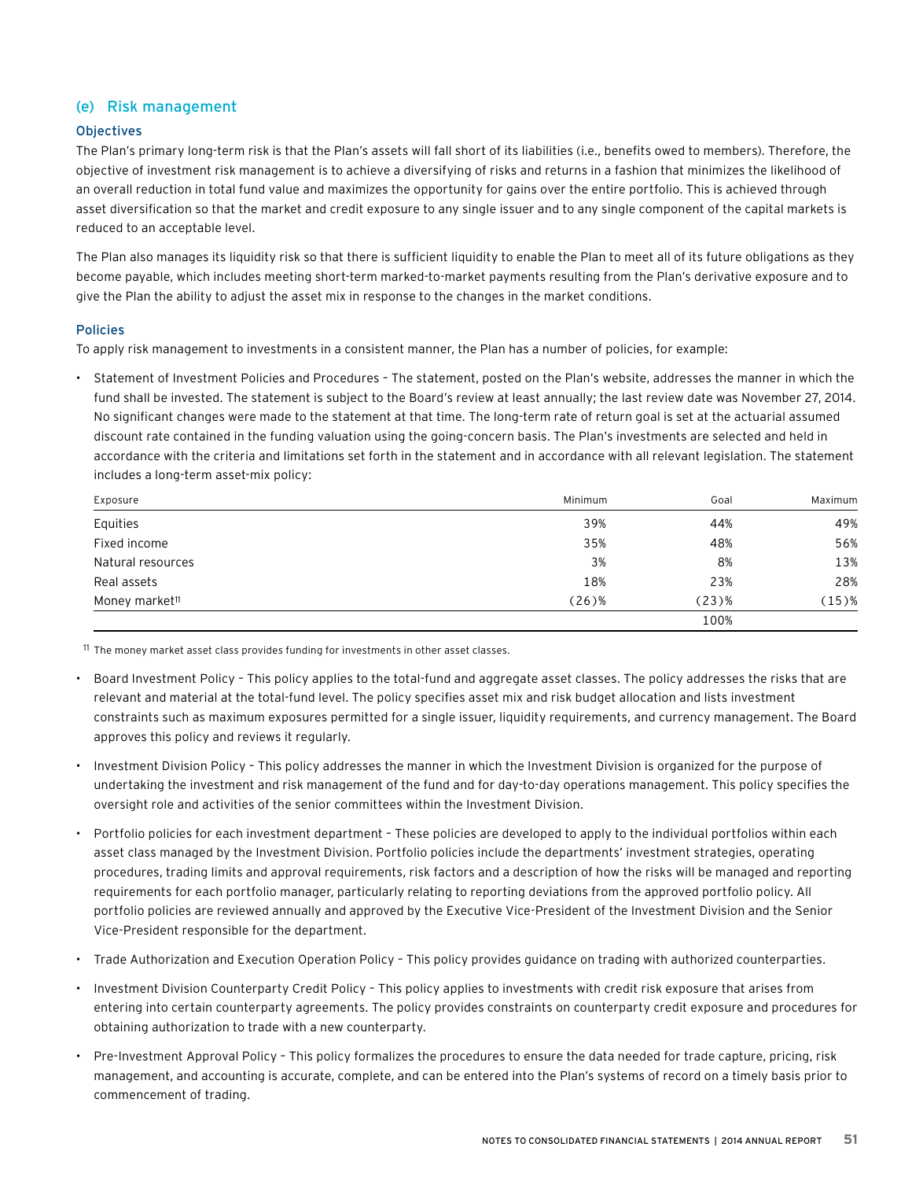#### (e) Risk management

#### **Objectives**

The Plan's primary long-term risk is that the Plan's assets will fall short of its liabilities (i.e., benefits owed to members). Therefore, the objective of investment risk management is to achieve a diversifying of risks and returns in a fashion that minimizes the likelihood of an overall reduction in total fund value and maximizes the opportunity for gains over the entire portfolio. This is achieved through asset diversification so that the market and credit exposure to any single issuer and to any single component of the capital markets is reduced to an acceptable level.

The Plan also manages its liquidity risk so that there is sufficient liquidity to enable the Plan to meet all of its future obligations as they become payable, which includes meeting short-term marked-to-market payments resulting from the Plan's derivative exposure and to give the Plan the ability to adjust the asset mix in response to the changes in the market conditions.

#### Policies

To apply risk management to investments in a consistent manner, the Plan has a number of policies, for example:

• Statement of Investment Policies and Procedures – The statement, posted on the Plan's website, addresses the manner in which the fund shall be invested. The statement is subject to the Board's review at least annually; the last review date was November 27, 2014. No significant changes were made to the statement at that time. The long-term rate of return goal is set at the actuarial assumed discount rate contained in the funding valuation using the going-concern basis. The Plan's investments are selected and held in accordance with the criteria and limitations set forth in the statement and in accordance with all relevant legislation. The statement includes a long-term asset-mix policy:

| Exposure                   | Minimum | Goal  | Maximum |
|----------------------------|---------|-------|---------|
| Equities                   | 39%     | 44%   | 49%     |
| Fixed income               | 35%     | 48%   | 56%     |
| Natural resources          | 3%      | 8%    | 13%     |
| Real assets                | 18%     | 23%   | 28%     |
| Money market <sup>11</sup> | (26)%   | (23)% | (15)%   |
|                            |         | 100%  |         |

<sup>11</sup> The money market asset class provides funding for investments in other asset classes.

- Board Investment Policy This policy applies to the total-fund and aggregate asset classes. The policy addresses the risks that are relevant and material at the total-fund level. The policy specifies asset mix and risk budget allocation and lists investment constraints such as maximum exposures permitted for a single issuer, liquidity requirements, and currency management. The Board approves this policy and reviews it regularly.
- • Investment Division Policy This policy addresses the manner in which the Investment Division is organized for the purpose of undertaking the investment and risk management of the fund and for day-to-day operations management. This policy specifies the oversight role and activities of the senior committees within the Investment Division.
- Portfolio policies for each investment department These policies are developed to apply to the individual portfolios within each asset class managed by the Investment Division. Portfolio policies include the departments' investment strategies, operating procedures, trading limits and approval requirements, risk factors and a description of how the risks will be managed and reporting requirements for each portfolio manager, particularly relating to reporting deviations from the approved portfolio policy. All portfolio policies are reviewed annually and approved by the Executive Vice-President of the Investment Division and the Senior Vice-President responsible for the department.
- Trade Authorization and Execution Operation Policy This policy provides guidance on trading with authorized counterparties.
- Investment Division Counterparty Credit Policy This policy applies to investments with credit risk exposure that arises from entering into certain counterparty agreements. The policy provides constraints on counterparty credit exposure and procedures for obtaining authorization to trade with a new counterparty.
- Pre-Investment Approval Policy This policy formalizes the procedures to ensure the data needed for trade capture, pricing, risk management, and accounting is accurate, complete, and can be entered into the Plan's systems of record on a timely basis prior to commencement of trading.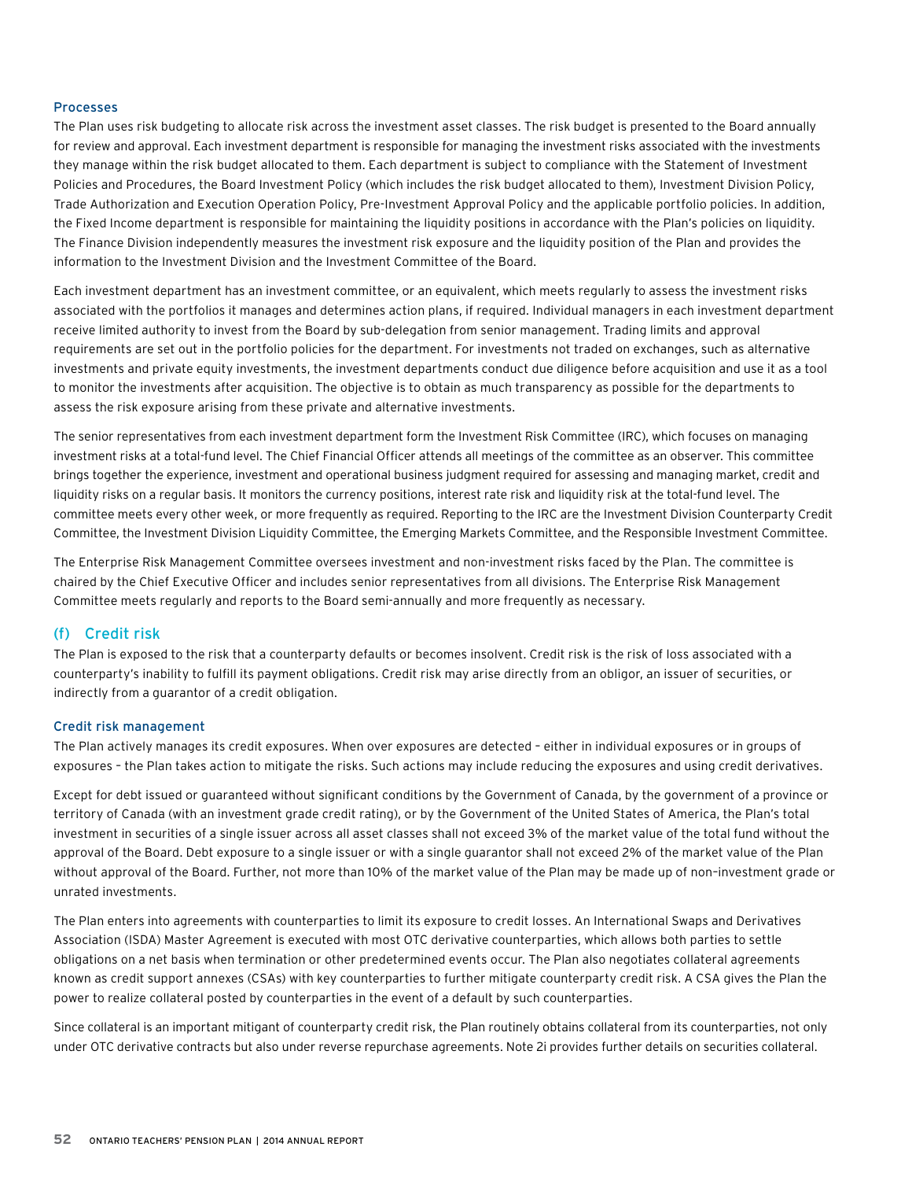#### Processes

The Plan uses risk budgeting to allocate risk across the investment asset classes. The risk budget is presented to the Board annually for review and approval. Each investment department is responsible for managing the investment risks associated with the investments they manage within the risk budget allocated to them. Each department is subject to compliance with the Statement of Investment Policies and Procedures, the Board Investment Policy (which includes the risk budget allocated to them), Investment Division Policy, Trade Authorization and Execution Operation Policy, Pre-Investment Approval Policy and the applicable portfolio policies. In addition, the Fixed Income department is responsible for maintaining the liquidity positions in accordance with the Plan's policies on liquidity. The Finance Division independently measures the investment risk exposure and the liquidity position of the Plan and provides the information to the Investment Division and the Investment Committee of the Board.

Each investment department has an investment committee, or an equivalent, which meets regularly to assess the investment risks associated with the portfolios it manages and determines action plans, if required. Individual managers in each investment department receive limited authority to invest from the Board by sub-delegation from senior management. Trading limits and approval requirements are set out in the portfolio policies for the department. For investments not traded on exchanges, such as alternative investments and private equity investments, the investment departments conduct due diligence before acquisition and use it as a tool to monitor the investments after acquisition. The objective is to obtain as much transparency as possible for the departments to assess the risk exposure arising from these private and alternative investments.

The senior representatives from each investment department form the Investment Risk Committee (IRC), which focuses on managing investment risks at a total-fund level. The Chief Financial Officer attends all meetings of the committee as an observer. This committee brings together the experience, investment and operational business judgment required for assessing and managing market, credit and liquidity risks on a regular basis. It monitors the currency positions, interest rate risk and liquidity risk at the total-fund level. The committee meets every other week, or more frequently as required. Reporting to the IRC are the Investment Division Counterparty Credit Committee, the Investment Division Liquidity Committee, the Emerging Markets Committee, and the Responsible Investment Committee.

The Enterprise Risk Management Committee oversees investment and non-investment risks faced by the Plan. The committee is chaired by the Chief Executive Officer and includes senior representatives from all divisions. The Enterprise Risk Management Committee meets regularly and reports to the Board semi-annually and more frequently as necessary.

#### (f) Credit risk

The Plan is exposed to the risk that a counterparty defaults or becomes insolvent. Credit risk is the risk of loss associated with a counterparty's inability to fulfill its payment obligations. Credit risk may arise directly from an obligor, an issuer of securities, or indirectly from a quarantor of a credit obligation.

#### Credit risk management

The Plan actively manages its credit exposures. When over exposures are detected – either in individual exposures or in groups of exposures – the Plan takes action to mitigate the risks. Such actions may include reducing the exposures and using credit derivatives.

Except for debt issued or guaranteed without significant conditions by the Government of Canada, by the government of a province or territory of Canada (with an investment grade credit rating), or by the Government of the United States of America, the Plan's total investment in securities of a single issuer across all asset classes shall not exceed 3% of the market value of the total fund without the approval of the Board. Debt exposure to a single issuer or with a single guarantor shall not exceed 2% of the market value of the Plan without approval of the Board. Further, not more than 10% of the market value of the Plan may be made up of non-investment grade or unrated investments.

The Plan enters into agreements with counterparties to limit its exposure to credit losses. An International Swaps and Derivatives Association (ISDA) Master Agreement is executed with most OTC derivative counterparties, which allows both parties to settle obligations on a net basis when termination or other predetermined events occur. The Plan also negotiates collateral agreements known as credit support annexes (CSAs) with key counterparties to further mitigate counterparty credit risk. A CSA gives the Plan the power to realize collateral posted by counterparties in the event of a default by such counterparties.

Since collateral is an important mitigant of counterparty credit risk, the Plan routinely obtains collateral from its counterparties, not only under OTC derivative contracts but also under reverse repurchase agreements. Note 2i provides further details on securities collateral.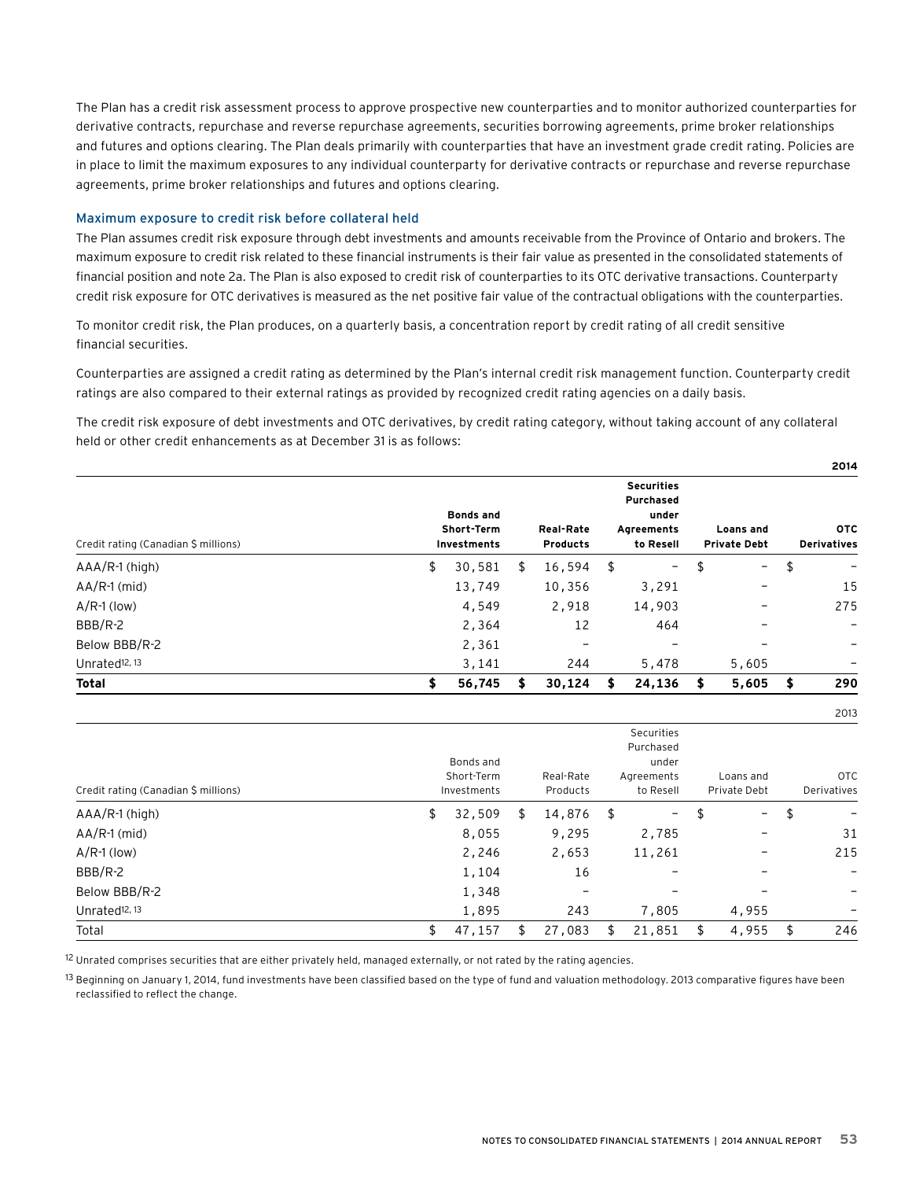The Plan has a credit risk assessment process to approve prospective new counterparties and to monitor authorized counterparties for derivative contracts, repurchase and reverse repurchase agreements, securities borrowing agreements, prime broker relationships and futures and options clearing. The Plan deals primarily with counterparties that have an investment grade credit rating. Policies are in place to limit the maximum exposures to any individual counterparty for derivative contracts or repurchase and reverse repurchase agreements, prime broker relationships and futures and options clearing.

#### Maximum exposure to credit risk before collateral held

The Plan assumes credit risk exposure through debt investments and amounts receivable from the Province of Ontario and brokers. The maximum exposure to credit risk related to these financial instruments is their fair value as presented in the consolidated statements of financial position and note 2a. The Plan is also exposed to credit risk of counterparties to its OTC derivative transactions. Counterparty credit risk exposure for OTC derivatives is measured as the net positive fair value of the contractual obligations with the counterparties.

To monitor credit risk, the Plan produces, on a quarterly basis, a concentration report by credit rating of all credit sensitive financial securities.

Counterparties are assigned a credit rating as determined by the Plan's internal credit risk management function. Counterparty credit ratings are also compared to their external ratings as provided by recognized credit rating agencies on a daily basis.

The credit risk exposure of debt investments and OTC derivatives, by credit rating category, without taking account of any collateral held or other credit enhancements as at December 31 is as follows:

|                                      |                                               |                                     |                                                                    |                                         | 2014                             |
|--------------------------------------|-----------------------------------------------|-------------------------------------|--------------------------------------------------------------------|-----------------------------------------|----------------------------------|
| Credit rating (Canadian \$ millions) | <b>Bonds and</b><br>Short-Term<br>Investments | <b>Real-Rate</b><br><b>Products</b> | <b>Securities</b><br>Purchased<br>under<br>Agreements<br>to Resell | <b>Loans</b> and<br><b>Private Debt</b> | <b>OTC</b><br><b>Derivatives</b> |
| $AA/R-1$ (high)                      | \$<br>30,581                                  | \$<br>16,594                        | \$<br>-                                                            | \$<br>$-$                               | \$                               |
| $AA/R-1$ (mid)                       | 13,749                                        | 10,356                              | 3,291                                                              | $\qquad \qquad$                         | 15                               |
| $A/R-1$ (low)                        | 4,549                                         | 2,918                               | 14,903                                                             | -                                       | 275                              |
| BBB/R-2                              | 2,364                                         | 12                                  | 464                                                                |                                         | $\qquad \qquad -$                |
| Below BBB/R-2                        | 2,361                                         | $\overline{\phantom{0}}$            |                                                                    |                                         |                                  |
| Unrated <sup>12, 13</sup>            | 3,141                                         | 244                                 | 5,478                                                              | 5,605                                   | $\overline{\phantom{m}}$         |
| <b>Total</b>                         | 56,745                                        | 30,124                              | 24,136                                                             | 5,605                                   | 290                              |

|                                      |                                        |    |                       |    |                                                             |    |                           |    | ---                       |  |
|--------------------------------------|----------------------------------------|----|-----------------------|----|-------------------------------------------------------------|----|---------------------------|----|---------------------------|--|
| Credit rating (Canadian \$ millions) | Bonds and<br>Short-Term<br>Investments |    | Real-Rate<br>Products |    | Securities<br>Purchased<br>under<br>Agreements<br>to Resell |    | Loans and<br>Private Debt |    | <b>OTC</b><br>Derivatives |  |
| $AA/R-1$ (high)                      | \$<br>32,509                           | \$ | 14,876                | \$ | $\overline{\phantom{a}}$                                    | \$ | $\overline{\phantom{a}}$  | \$ | -                         |  |
| $AA/R-1$ (mid)                       | 8,055                                  |    | 9,295                 |    | 2,785                                                       |    | $\qquad \qquad -$         |    | 31                        |  |
| $A/R-1$ (low)                        | 2,246                                  |    | 2,653                 |    | 11,261                                                      |    | $\qquad \qquad -$         |    | 215                       |  |
| BBB/R-2                              | 1,104                                  |    | 16                    |    |                                                             |    |                           |    |                           |  |
| Below BBB/R-2                        | 1,348                                  |    | -                     |    |                                                             |    |                           |    |                           |  |
| Unrated <sup>12, 13</sup>            | 1,895                                  |    | 243                   |    | 7.805                                                       |    | 4,955                     |    |                           |  |
| Total                                | \$<br>47,157                           |    | 27,083                | £  | 21,851                                                      | £. | 4,955                     | \$ | 246                       |  |

<sup>12</sup> Unrated comprises securities that are either privately held, managed externally, or not rated by the rating agencies.

<sup>13</sup> Beginning on January 1, 2014, fund investments have been classified based on the type of fund and valuation methodology. 2013 comparative figures have been reclassified to reflect the change.

**2014**

2013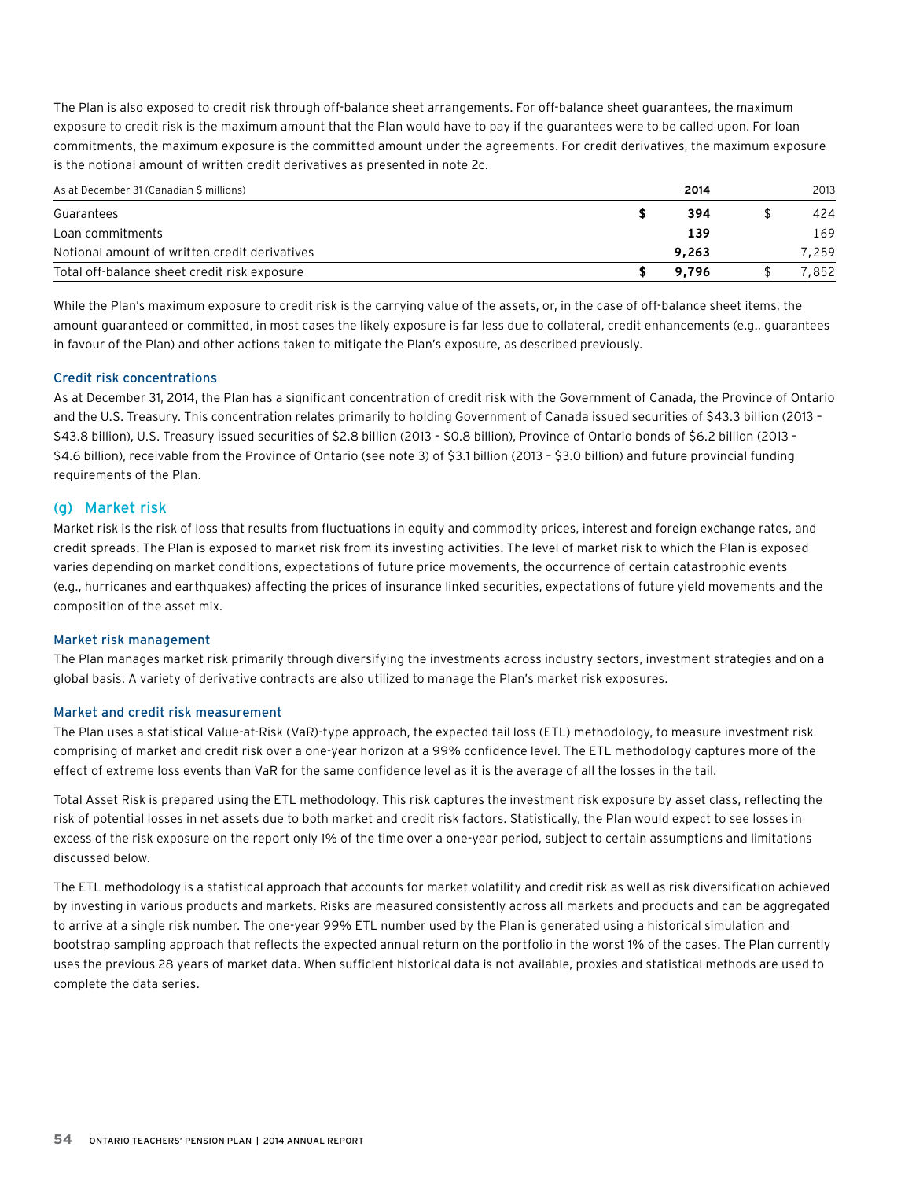The Plan is also exposed to credit risk through off-balance sheet arrangements. For off-balance sheet guarantees, the maximum exposure to credit risk is the maximum amount that the Plan would have to pay if the guarantees were to be called upon. For loan commitments, the maximum exposure is the committed amount under the agreements. For credit derivatives, the maximum exposure is the notional amount of written credit derivatives as presented in note 2c.

| As at December 31 (Canadian \$ millions)      | 2014  | 2013  |
|-----------------------------------------------|-------|-------|
| Guarantees                                    | 394   | 424   |
| Loan commitments                              | 139   | 169   |
| Notional amount of written credit derivatives | 9,263 | 7.259 |
| Total off-balance sheet credit risk exposure  | 9.796 | 7.852 |

While the Plan's maximum exposure to credit risk is the carrying value of the assets, or, in the case of off-balance sheet items, the amount guaranteed or committed, in most cases the likely exposure is far less due to collateral, credit enhancements (e.g., guarantees in favour of the Plan) and other actions taken to mitigate the Plan's exposure, as described previously.

#### Credit risk concentrations

As at December 31, 2014, the Plan has a significant concentration of credit risk with the Government of Canada, the Province of Ontario and the U.S. Treasury. This concentration relates primarily to holding Government of Canada issued securities of \$43.3 billion (2013 – \$43.8 billion), U.S. Treasury issued securities of \$2.8 billion (2013 – \$0.8 billion), Province of Ontario bonds of \$6.2 billion (2013 – \$4.6 billion), receivable from the Province of Ontario (see note 3) of \$3.1 billion (2013 – \$3.0 billion) and future provincial funding requirements of the Plan.

#### (g) Market risk

Market risk is the risk of loss that results from fluctuations in equity and commodity prices, interest and foreign exchange rates, and credit spreads. The Plan is exposed to market risk from its investing activities. The level of market risk to which the Plan is exposed varies depending on market conditions, expectations of future price movements, the occurrence of certain catastrophic events (e.g., hurricanes and earthquakes) affecting the prices of insurance linked securities, expectations of future yield movements and the composition of the asset mix.

#### Market risk management

The Plan manages market risk primarily through diversifying the investments across industry sectors, investment strategies and on a global basis. A variety of derivative contracts are also utilized to manage the Plan's market risk exposures.

#### Market and credit risk measurement

The Plan uses a statistical Value-at-Risk (VaR)-type approach, the expected tail loss (ETL) methodology, to measure investment risk comprising of market and credit risk over a one-year horizon at a 99% confidence level. The ETL methodology captures more of the effect of extreme loss events than VaR for the same confidence level as it is the average of all the losses in the tail.

Total Asset Risk is prepared using the ETL methodology. This risk captures the investment risk exposure by asset class, reflecting the risk of potential losses in net assets due to both market and credit risk factors. Statistically, the Plan would expect to see losses in excess of the risk exposure on the report only 1% of the time over a one-year period, subject to certain assumptions and limitations discussed below.

The ETL methodology is a statistical approach that accounts for market volatility and credit risk as well as risk diversification achieved by investing in various products and markets. Risks are measured consistently across all markets and products and can be aggregated to arrive at a single risk number. The one-year 99% ETL number used by the Plan is generated using a historical simulation and bootstrap sampling approach that reflects the expected annual return on the portfolio in the worst 1% of the cases. The Plan currently uses the previous 28 years of market data. When sufficient historical data is not available, proxies and statistical methods are used to complete the data series.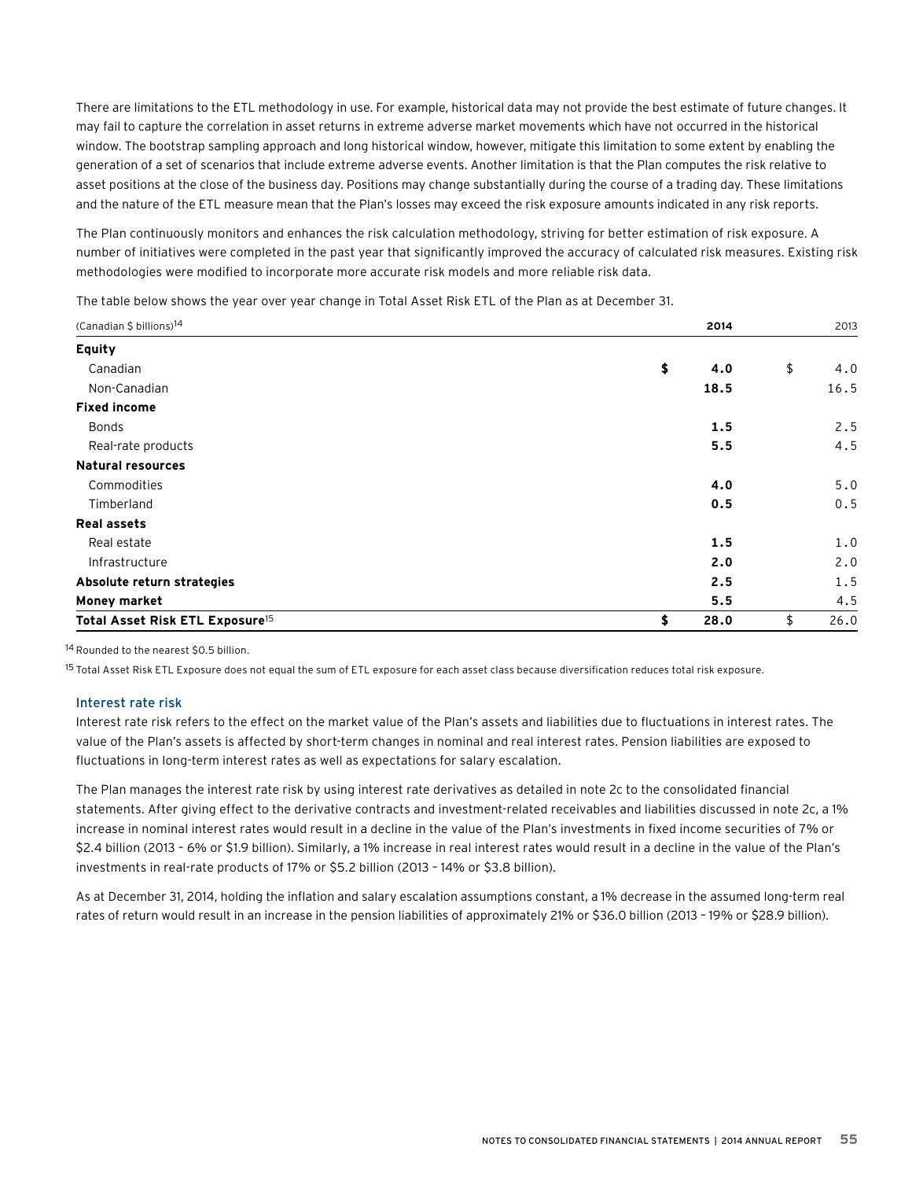There are limitations to the ETL methodology in use. For example, historical data may not provide the best estimate of future changes. It may fail to capture the correlation in asset returns in extreme adverse market movements which have not occurred in the historical window. The bootstrap sampling approach and long historical window, however, mitigate this limitation to some extent by enabling the generation of a set of scenarios that include extreme adverse events. Another limitation is that the Plan computes the risk relative to asset positions at the close of the business day. Positions may change substantially during the course of a trading day. These limitations and the nature of the ETL measure mean that the Plan's losses may exceed the risk exposure amounts indicated in any risk reports.

The Plan continuously monitors and enhances the risk calculation methodology, striving for better estimation of risk exposure. A number of initiatives were completed in the past year that significantly improved the accuracy of calculated risk measures. Existing risk methodologies were modified to incorporate more accurate risk models and more reliable risk data.

The table below shows the year over year change in Total Asset Risk ETL of the Plan as at December 31.

| (Canadian \$ billions) <sup>14</sup>        | 2014       | 2013       |
|---------------------------------------------|------------|------------|
| <b>Equity</b>                               |            |            |
| Canadian                                    | \$<br>4.0  | \$<br>4.0  |
| Non-Canadian                                | 18.5       | 16.5       |
| <b>Fixed income</b>                         |            |            |
| <b>Bonds</b>                                | 1.5        | 2.5        |
| Real-rate products                          | 5.5        | 4.5        |
| <b>Natural resources</b>                    |            |            |
| Commodities                                 | 4.0        | $5.0$      |
| Timberland                                  | 0.5        | 0.5        |
| <b>Real assets</b>                          |            |            |
| Real estate                                 | 1.5        | 1.0        |
| Infrastructure                              | 2.0        | 2.0        |
| Absolute return strategies                  | 2.5        | 1.5        |
| <b>Money market</b>                         | 5.5        | 4.5        |
| Total Asset Risk ETL Exposure <sup>15</sup> | \$<br>28.0 | \$<br>26.0 |

14 Rounded to the nearest \$0.5 billion.

<sup>15</sup> Total Asset Risk ETL Exposure does not equal the sum of ETL exposure for each asset class because diversification reduces total risk exposure.

#### Interest rate risk

Interest rate risk refers to the effect on the market value of the Plan's assets and liabilities due to fluctuations in interest rates. The value of the Plan's assets is affected by short-term changes in nominal and real interest rates. Pension liabilities are exposed to fluctuations in long-term interest rates as well as expectations for salary escalation.

The Plan manages the interest rate risk by using interest rate derivatives as detailed in note 2c to the consolidated financial statements. After giving effect to the derivative contracts and investment-related receivables and liabilities discussed in note 2c, a 1% increase in nominal interest rates would result in a decline in the value of the Plan's investments in fixed income securities of 7% or \$2.4 billion (2013 - 6% or \$1.9 billion). Similarly, a 1% increase in real interest rates would result in a decline in the value of the Plan's investments in real-rate products of 17% or \$5.2 billion (2013 - 14% or \$3.8 billion).

As at December 31, 2014, holding the inflation and salary escalation assumptions constant, a 1% decrease in the assumed long-term real rates of return would result in an increase in the pension liabilities of approximately 21% or \$36.0 billion (2013 - 19% or \$28.9 billion).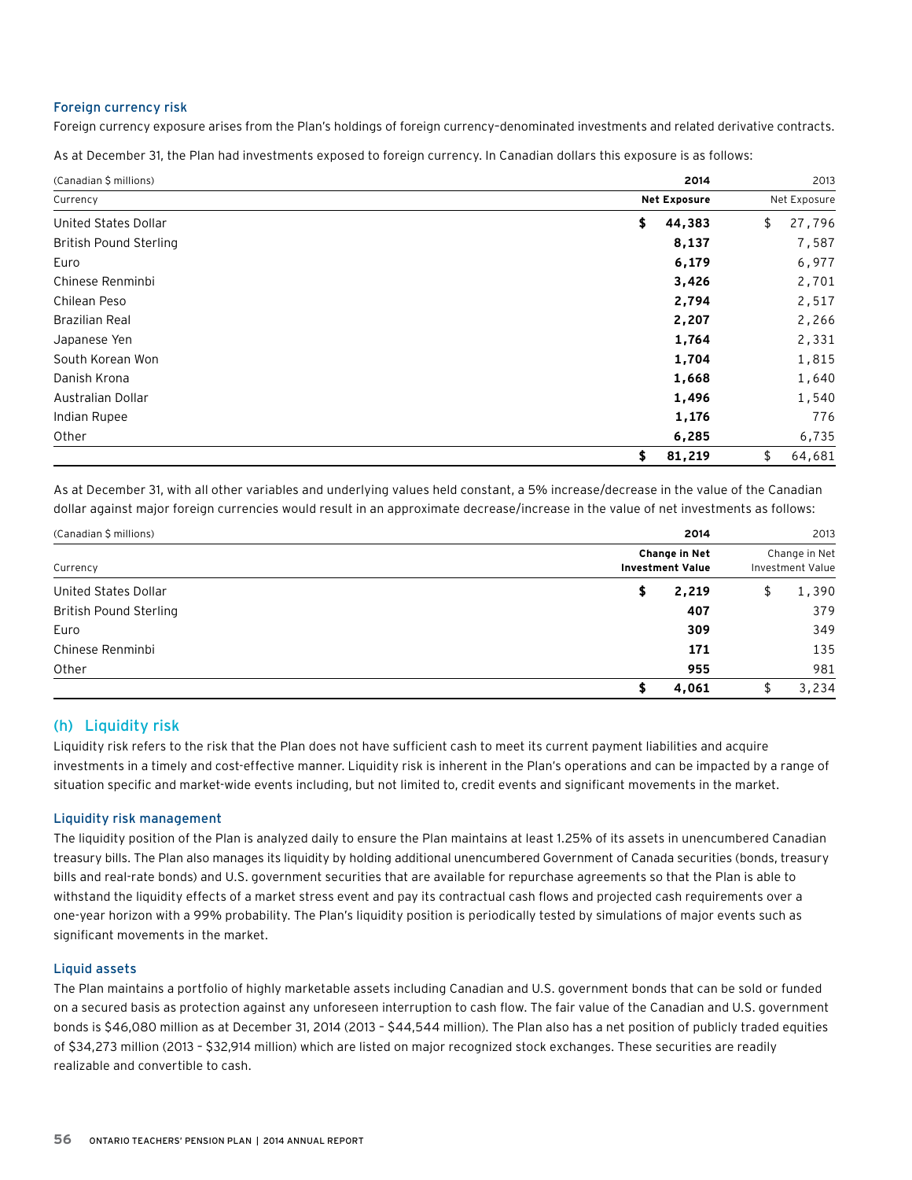#### Foreign currency risk

Foreign currency exposure arises from the Plan's holdings of foreign currency–denominated investments and related derivative contracts.

As at December 31, the Plan had investments exposed to foreign currency. In Canadian dollars this exposure is as follows:

| (Canadian \$ millions) | 2014                | 2013         |  |  |
|------------------------|---------------------|--------------|--|--|
| Currency               | <b>Net Exposure</b> | Net Exposure |  |  |
| United States Dollar   | \$<br>44,383        | \$<br>27,796 |  |  |
| British Pound Sterling | 8,137               | 7,587        |  |  |
| Euro                   | 6,179               | 6,977        |  |  |
| Chinese Renminbi       | 3,426               | 2,701        |  |  |
| Chilean Peso           | 2,794               | 2,517        |  |  |
| <b>Brazilian Real</b>  | 2,207               | 2,266        |  |  |
| Japanese Yen           | 1,764               | 2,331        |  |  |
| South Korean Won       | 1,704               | 1,815        |  |  |
| Danish Krona           | 1,668               | 1,640        |  |  |
| Australian Dollar      | 1,496               | 1,540        |  |  |
| Indian Rupee           | 1,176               | 776          |  |  |
| Other                  | 6,285               | 6,735        |  |  |
|                        | \$<br>81,219        | \$<br>64,681 |  |  |

As at December 31, with all other variables and underlying values held constant, a 5% increase/decrease in the value of the Canadian dollar against major foreign currencies would result in an approximate decrease/increase in the value of net investments as follows:

| (Canadian \$ millions)        | 2014                                            | 2013                                     |  |  |
|-------------------------------|-------------------------------------------------|------------------------------------------|--|--|
| Currency                      | <b>Change in Net</b><br><b>Investment Value</b> | Change in Net<br><b>Investment Value</b> |  |  |
| United States Dollar          | 2,219<br>\$                                     | 1,390<br>\$                              |  |  |
| <b>British Pound Sterling</b> | 407                                             | 379                                      |  |  |
| Euro                          | 309                                             | 349                                      |  |  |
| Chinese Renminbi              | 171                                             | 135                                      |  |  |
| Other                         | 955                                             | 981                                      |  |  |
|                               | 4,061                                           | 3,234                                    |  |  |

#### (h) Liquidity risk

Liquidity risk refers to the risk that the Plan does not have sufficient cash to meet its current payment liabilities and acquire investments in a timely and cost-effective manner. Liquidity risk is inherent in the Plan's operations and can be impacted by a range of situation specific and market-wide events including, but not limited to, credit events and significant movements in the market.

#### Liquidity risk management

The liquidity position of the Plan is analyzed daily to ensure the Plan maintains at least 1.25% of its assets in unencumbered Canadian treasury bills. The Plan also manages its liquidity by holding additional unencumbered Government of Canada securities (bonds, treasury bills and real-rate bonds) and U.S. government securities that are available for repurchase agreements so that the Plan is able to withstand the liquidity effects of a market stress event and pay its contractual cash flows and projected cash requirements over a one-year horizon with a 99% probability. The Plan's liquidity position is periodically tested by simulations of major events such as significant movements in the market.

#### Liquid assets

The Plan maintains a portfolio of highly marketable assets including Canadian and U.S. government bonds that can be sold or funded on a secured basis as protection against any unforeseen interruption to cash flow. The fair value of the Canadian and U.S. government bonds is \$46,080 million as at December 31, 2014 (2013 - \$44,544 million). The Plan also has a net position of publicly traded equities of \$34,273 million (2013 - \$32,914 million) which are listed on major recognized stock exchanges. These securities are readily realizable and convertible to cash.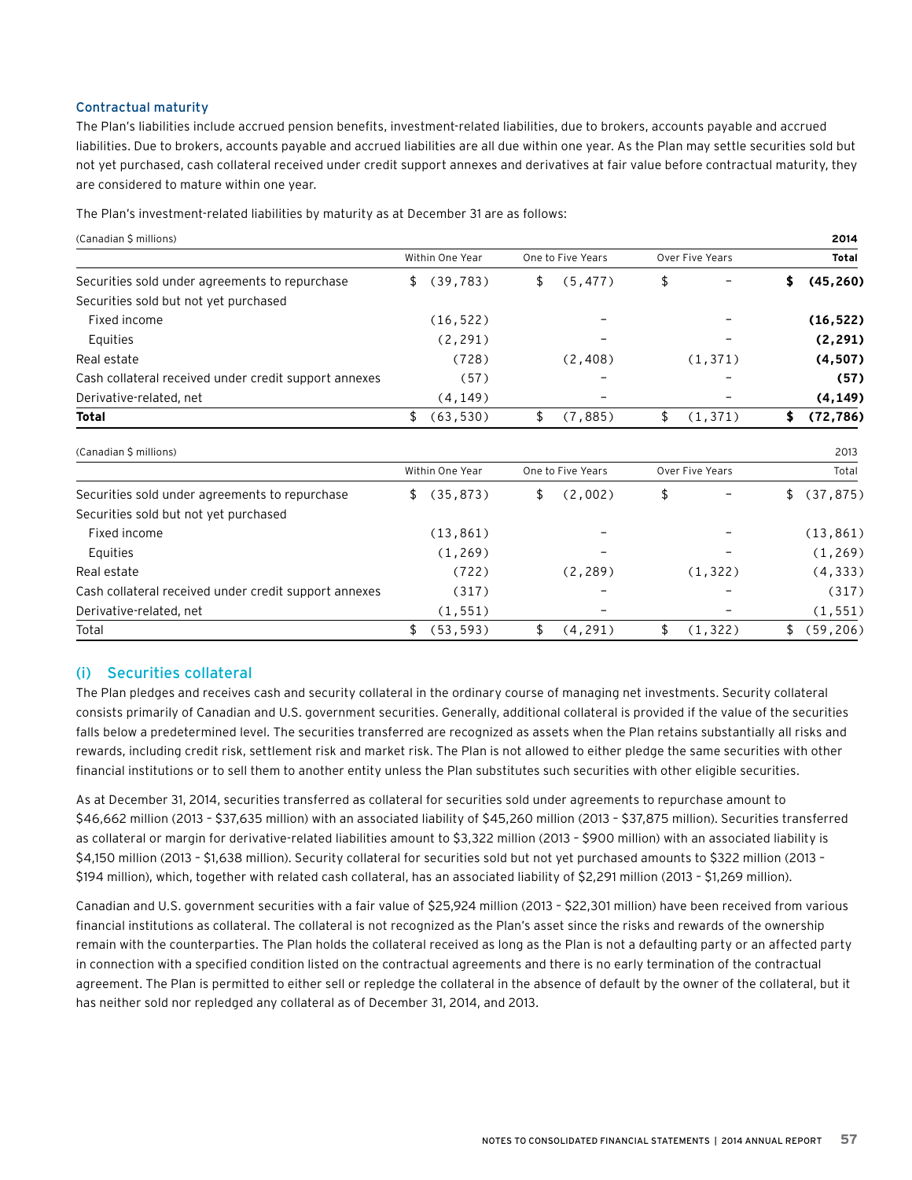#### Contractual maturity

The Plan's liabilities include accrued pension benefits, investment-related liabilities, due to brokers, accounts payable and accrued liabilities. Due to brokers, accounts payable and accrued liabilities are all due within one year. As the Plan may settle securities sold but not yet purchased, cash collateral received under credit support annexes and derivatives at fair value before contractual maturity, they are considered to mature within one year.

|  |  |  |  | The Plan's investment-related liabilities by maturity as at December 31 are as follows: |
|--|--|--|--|-----------------------------------------------------------------------------------------|

| (Canadian \$ millions)                                |                 |                 |                   |                   |                 |                 |       | 2014      |
|-------------------------------------------------------|-----------------|-----------------|-------------------|-------------------|-----------------|-----------------|-------|-----------|
|                                                       | Within One Year |                 | One to Five Years |                   | Over Five Years |                 | Total |           |
| Securities sold under agreements to repurchase        | \$              | (39, 783)       | \$                | (5, 477)          | \$              |                 | \$    | (45, 260) |
| Securities sold but not yet purchased                 |                 |                 |                   |                   |                 |                 |       |           |
| Fixed income                                          |                 | (16, 522)       |                   |                   |                 |                 |       | (16, 522) |
| Equities                                              |                 | (2, 291)        |                   |                   |                 |                 |       | (2, 291)  |
| Real estate                                           |                 | (728)           |                   | (2, 408)          |                 | (1, 371)        |       | (4, 507)  |
| Cash collateral received under credit support annexes |                 | (57)            |                   |                   |                 |                 |       | (57)      |
| Derivative-related, net                               |                 | (4, 149)        |                   |                   |                 |                 |       | (4, 149)  |
| <b>Total</b>                                          | \$              | (63, 530)       | \$                | (7, 885)          | \$              | (1, 371)        | \$    | (72, 786) |
| (Canadian \$ millions)                                |                 |                 |                   |                   |                 |                 |       | 2013      |
|                                                       |                 | Within One Year |                   | One to Five Years |                 | Over Five Years |       | Total     |
| Securities sold under agreements to repurchase        | \$              | (35, 873)       | \$                | (2,002)           | \$              |                 | \$    | (37, 875) |
| Securities sold but not yet purchased                 |                 |                 |                   |                   |                 |                 |       |           |
| Fixed income                                          |                 | (13, 861)       |                   |                   |                 |                 |       | (13, 861) |
| Equities                                              |                 | (1, 269)        |                   |                   |                 |                 |       | (1, 269)  |
| Real estate                                           |                 | (722)           |                   | (2, 289)          |                 | (1, 322)        |       | (4, 333)  |
| Cash collateral received under credit support annexes |                 | (317)           |                   |                   |                 |                 |       | (317)     |
| Derivative-related, net                               |                 | (1, 551)        |                   |                   |                 |                 |       | (1, 551)  |
| Total                                                 | \$              | (53, 593)       | \$                | (4, 291)          | \$              | (1, 322)        | \$    | (59, 206) |

#### (i) Securities collateral

The Plan pledges and receives cash and security collateral in the ordinary course of managing net investments. Security collateral consists primarily of Canadian and U.S. government securities. Generally, additional collateral is provided if the value of the securities falls below a predetermined level. The securities transferred are recognized as assets when the Plan retains substantially all risks and rewards, including credit risk, settlement risk and market risk. The Plan is not allowed to either pledge the same securities with other financial institutions or to sell them to another entity unless the Plan substitutes such securities with other eligible securities.

As at December 31, 2014, securities transferred as collateral for securities sold under agreements to repurchase amount to \$46,662 million (2013 - \$37,635 million) with an associated liability of \$45,260 million (2013 - \$37,875 million). Securities transferred as collateral or margin for derivative-related liabilities amount to \$3,322 million (2013 - \$900 million) with an associated liability is \$4,150 million (2013 - \$1,638 million). Security collateral for securities sold but not yet purchased amounts to \$322 million (2013 -\$194 million), which, together with related cash collateral, has an associated liability of \$2,291 million (2013 - \$1,269 million).

Canadian and U.S. government securities with a fair value of \$25,924 million (2013 - \$22,301 million) have been received from various financial institutions as collateral. The collateral is not recognized as the Plan's asset since the risks and rewards of the ownership remain with the counterparties. The Plan holds the collateral received as long as the Plan is not a defaulting party or an affected party in connection with a specified condition listed on the contractual agreements and there is no early termination of the contractual agreement. The Plan is permitted to either sell or repledge the collateral in the absence of default by the owner of the collateral, but it has neither sold nor repledged any collateral as of December 31, 2014, and 2013.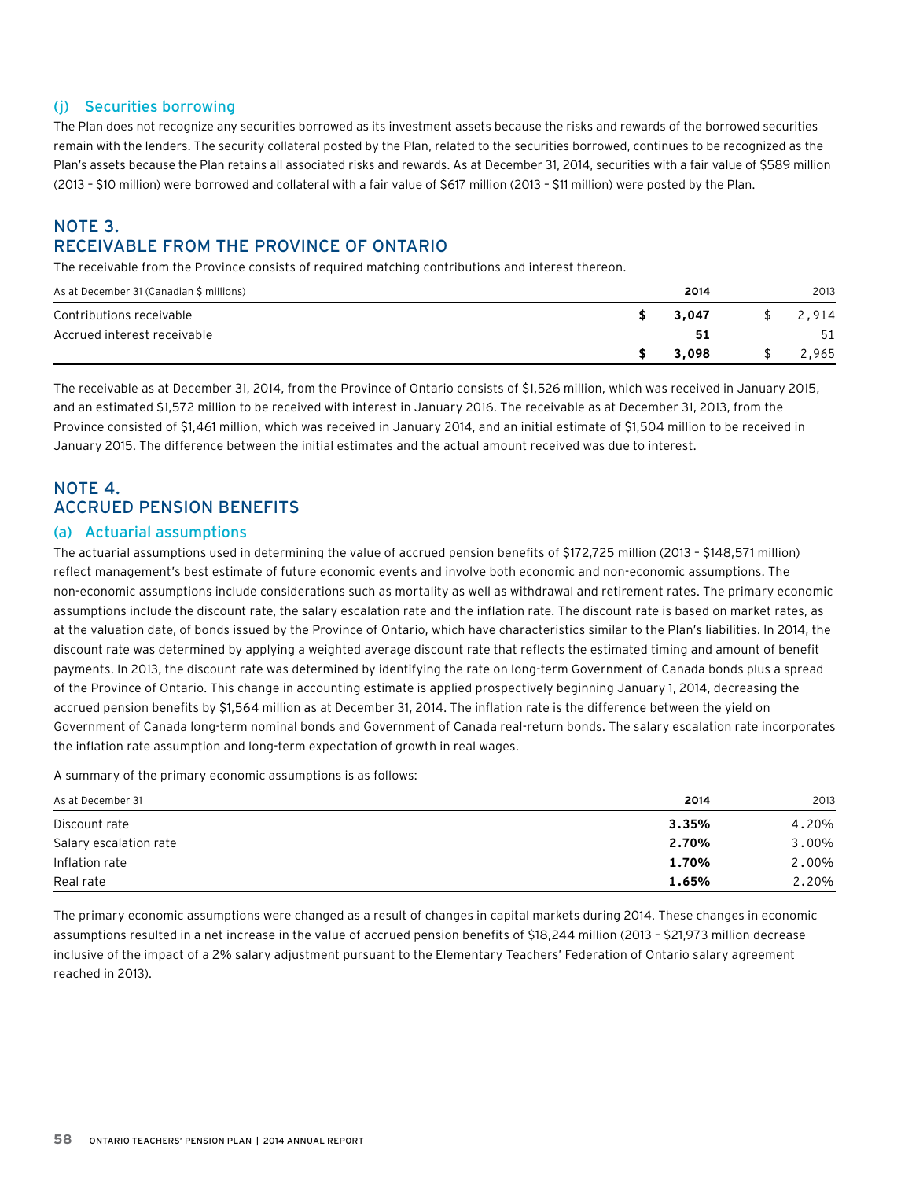#### (j) Securities borrowing

The Plan does not recognize any securities borrowed as its investment assets because the risks and rewards of the borrowed securities remain with the lenders. The security collateral posted by the Plan, related to the securities borrowed, continues to be recognized as the Plan's assets because the Plan retains all associated risks and rewards. As at December 31, 2014, securities with a fair value of \$589 million (2013 – \$10 million) were borrowed and collateral with a fair value of \$617 million (2013 – \$11 million) were posted by the Plan.

## NOTE 3. RECEIVABLE FROM THE PROVINCE OF ONTARIO

The receivable from the Province consists of required matching contributions and interest thereon.

| As at December 31 (Canadian \$ millions) | 2014  | 2013  |
|------------------------------------------|-------|-------|
| Contributions receivable                 | 3.047 | 2,914 |
| Accrued interest receivable              | 51    | 51    |
|                                          | 3.098 | ,965  |

The receivable as at December 31, 2014, from the Province of Ontario consists of \$1,526 million, which was received in January 2015, and an estimated \$1,572 million to be received with interest in January 2016. The receivable as at December 31, 2013, from the Province consisted of \$1,461 million, which was received in January 2014, and an initial estimate of \$1,504 million to be received in January 2015. The difference between the initial estimates and the actual amount received was due to interest.

### NOTE 4. ACCRUED PENSION BENEFITS

#### (a) Actuarial assumptions

The actuarial assumptions used in determining the value of accrued pension benefits of \$172,725 million (2013 – \$148,571 million) reflect management's best estimate of future economic events and involve both economic and non-economic assumptions. The non-economic assumptions include considerations such as mortality as well as withdrawal and retirement rates. The primary economic assumptions include the discount rate, the salary escalation rate and the inflation rate. The discount rate is based on market rates, as at the valuation date, of bonds issued by the Province of Ontario, which have characteristics similar to the Plan's liabilities. In 2014, the discount rate was determined by applying a weighted average discount rate that reflects the estimated timing and amount of benefit payments. In 2013, the discount rate was determined by identifying the rate on long-term Government of Canada bonds plus a spread of the Province of Ontario. This change in accounting estimate is applied prospectively beginning January 1, 2014, decreasing the accrued pension benefits by \$1,564 million as at December 31, 2014. The inflation rate is the difference between the yield on Government of Canada long-term nominal bonds and Government of Canada real-return bonds. The salary escalation rate incorporates the inflation rate assumption and long-term expectation of growth in real wages.

A summary of the primary economic assumptions is as follows:

| As at December 31      | 2014     | 2013  |
|------------------------|----------|-------|
| Discount rate          | $3.35\%$ | 4.20% |
| Salary escalation rate | 2.70%    | 3,00% |
| Inflation rate         | 1.70%    | 2.00% |
| Real rate              | 1.65%    | 2.20% |

The primary economic assumptions were changed as a result of changes in capital markets during 2014. These changes in economic assumptions resulted in a net increase in the value of accrued pension benefits of \$18,244 million (2013 - \$21,973 million decrease inclusive of the impact of a 2% salary adjustment pursuant to the Elementary Teachers' Federation of Ontario salary agreement reached in 2013).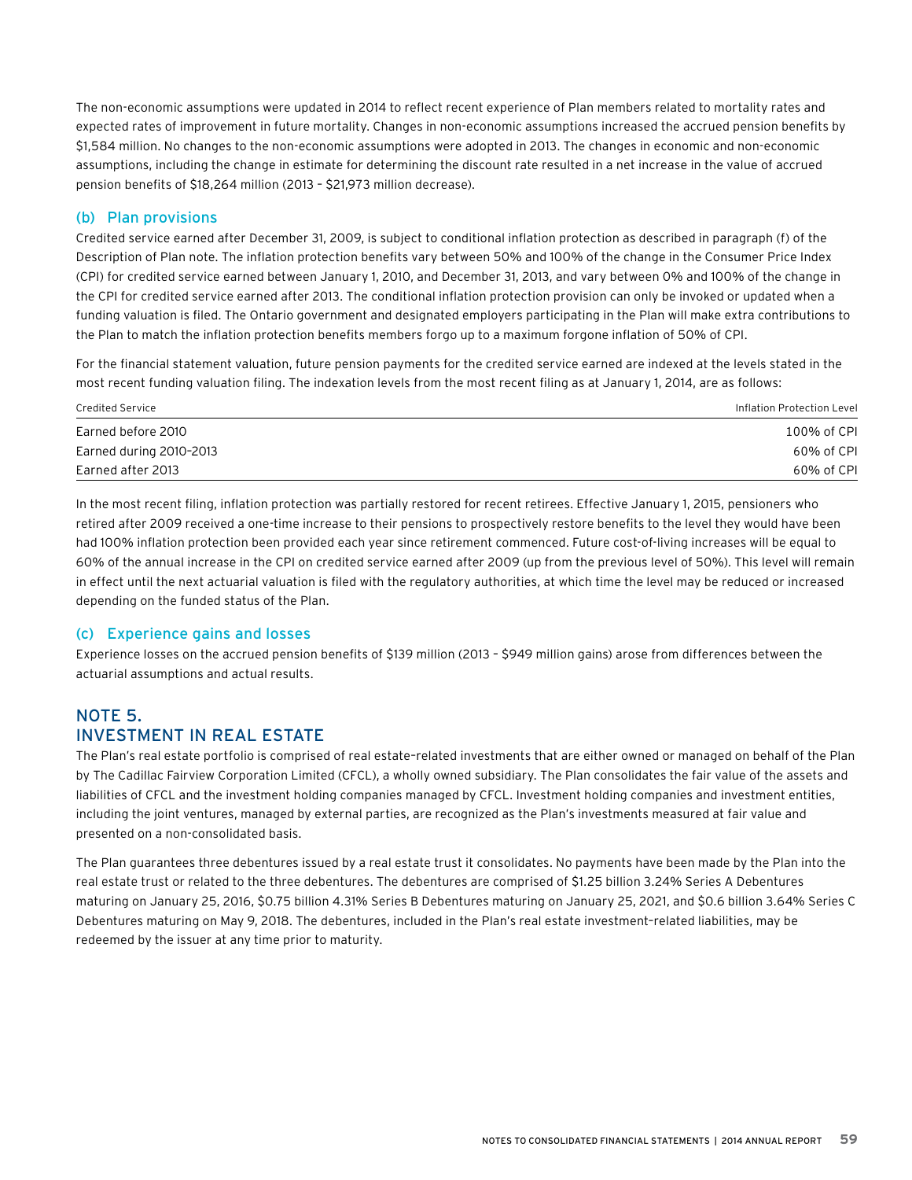The non-economic assumptions were updated in 2014 to reflect recent experience of Plan members related to mortality rates and expected rates of improvement in future mortality. Changes in non-economic assumptions increased the accrued pension benefits by \$1,584 million. No changes to the non-economic assumptions were adopted in 2013. The changes in economic and non-economic assumptions, including the change in estimate for determining the discount rate resulted in a net increase in the value of accrued pension benefits of \$18,264 million (2013 – \$21,973 million decrease).

#### (b) Plan provisions

Credited service earned after December 31, 2009, is subject to conditional inflation protection as described in paragraph (f) of the Description of Plan note. The inflation protection benefits vary between 50% and 100% of the change in the Consumer Price Index (CPI) for credited service earned between January 1, 2010, and December 31, 2013, and vary between 0% and 100% of the change in the CPI for credited service earned after 2013. The conditional inflation protection provision can only be invoked or updated when a funding valuation is filed. The Ontario government and designated employers participating in the Plan will make extra contributions to the Plan to match the inflation protection benefits members forgo up to a maximum forgone inflation of 50% of CPI.

For the financial statement valuation, future pension payments for the credited service earned are indexed at the levels stated in the most recent funding valuation filing. The indexation levels from the most recent filing as at January 1, 2014, are as follows:

| Credited Service        | Inflation Protection Level |
|-------------------------|----------------------------|
| Earned before 2010      | 100% of CPI                |
| Earned during 2010-2013 | 60% of CPI                 |
| Earned after 2013       | 60% of CPI                 |

In the most recent filing, inflation protection was partially restored for recent retirees. Effective January 1, 2015, pensioners who retired after 2009 received a one-time increase to their pensions to prospectively restore benefits to the level they would have been had 100% inflation protection been provided each year since retirement commenced. Future cost-of-living increases will be equal to 60% of the annual increase in the CPI on credited service earned after 2009 (up from the previous level of 50%). This level will remain in effect until the next actuarial valuation is filed with the regulatory authorities, at which time the level may be reduced or increased depending on the funded status of the Plan.

#### (c) Experience gains and losses

Experience losses on the accrued pension benefits of \$139 million (2013 - \$949 million gains) arose from differences between the actuarial assumptions and actual results.

## NOTE 5. INVESTMENT IN REAL ESTATE

The Plan's real estate portfolio is comprised of real estate–related investments that are either owned or managed on behalf of the Plan by The Cadillac Fairview Corporation Limited (CFCL), a wholly owned subsidiary. The Plan consolidates the fair value of the assets and liabilities of CFCL and the investment holding companies managed by CFCL. Investment holding companies and investment entities, including the joint ventures, managed by external parties, are recognized as the Plan's investments measured at fair value and presented on a non-consolidated basis.

The Plan guarantees three debentures issued by a real estate trust it consolidates. No payments have been made by the Plan into the real estate trust or related to the three debentures. The debentures are comprised of \$1.25 billion 3.24% Series A Debentures maturing on January 25, 2016, \$0.75 billion 4.31% Series B Debentures maturing on January 25, 2021, and \$0.6 billion 3.64% Series C Debentures maturing on May 9, 2018. The debentures, included in the Plan's real estate investment–related liabilities, may be redeemed by the issuer at any time prior to maturity.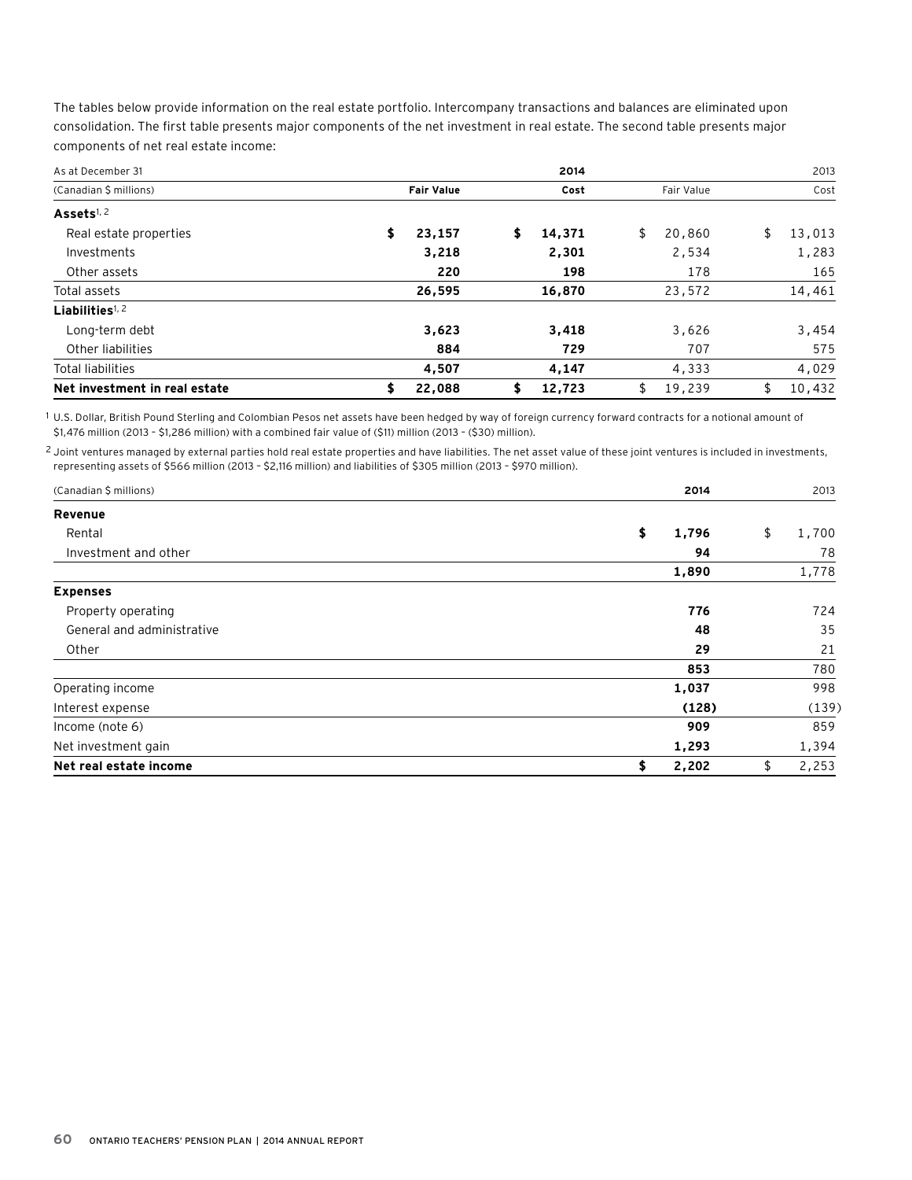The tables below provide information on the real estate portfolio. Intercompany transactions and balances are eliminated upon consolidation. The first table presents major components of the net investment in real estate. The second table presents major components of net real estate income:

| As at December 31             |                   | 2014   |      |        |    |            |      | 2013   |  |  |
|-------------------------------|-------------------|--------|------|--------|----|------------|------|--------|--|--|
| (Canadian \$ millions)        | <b>Fair Value</b> |        | Cost |        |    | Fair Value | Cost |        |  |  |
| Assets $1, 2$                 |                   |        |      |        |    |            |      |        |  |  |
| Real estate properties        | \$                | 23,157 | \$   | 14,371 | \$ | 20,860     | \$   | 13,013 |  |  |
| Investments                   |                   | 3,218  |      | 2,301  |    | 2,534      |      | 1,283  |  |  |
| Other assets                  |                   | 220    |      | 198    |    | 178        |      | 165    |  |  |
| Total assets                  |                   | 26,595 |      | 16,870 |    | 23,572     |      | 14,461 |  |  |
| Liabilities <sup>1, 2</sup>   |                   |        |      |        |    |            |      |        |  |  |
| Long-term debt                |                   | 3,623  |      | 3,418  |    | 3,626      |      | 3,454  |  |  |
| Other liabilities             |                   | 884    |      | 729    |    | 707        |      | 575    |  |  |
| Total liabilities             |                   | 4,507  |      | 4,147  |    | 4,333      |      | 4,029  |  |  |
| Net investment in real estate | \$                | 22,088 | \$   | 12,723 | \$ | 19,239     | \$   | 10,432 |  |  |

 $1$  U.S. Dollar, British Pound Sterling and Colombian Pesos net assets have been hedged by way of foreign currency forward contracts for a notional amount of \$1,476 million (2013 - \$1,286 million) with a combined fair value of (\$11) million (2013 - (\$30) million).

<sup>2</sup> Joint ventures managed by external parties hold real estate properties and have liabilities. The net asset value of these joint ventures is included in investments, representing assets of \$566 million (2013 - \$2,116 million) and liabilities of \$305 million (2013 - \$970 million).

| (Canadian \$ millions)     | 2014        | 2013        |
|----------------------------|-------------|-------------|
| Revenue                    |             |             |
| Rental                     | \$<br>1,796 | \$<br>1,700 |
| Investment and other       | 94          | 78          |
|                            | 1,890       | 1,778       |
| <b>Expenses</b>            |             |             |
| Property operating         | 776         | 724         |
| General and administrative | 48          | 35          |
| Other                      | 29          | 21          |
|                            | 853         | 780         |
| Operating income           | 1,037       | 998         |
| Interest expense           | (128)       | (139)       |
| Income (note 6)            | 909         | 859         |
| Net investment gain        | 1,293       | 1,394       |
| Net real estate income     | \$<br>2,202 | \$<br>2,253 |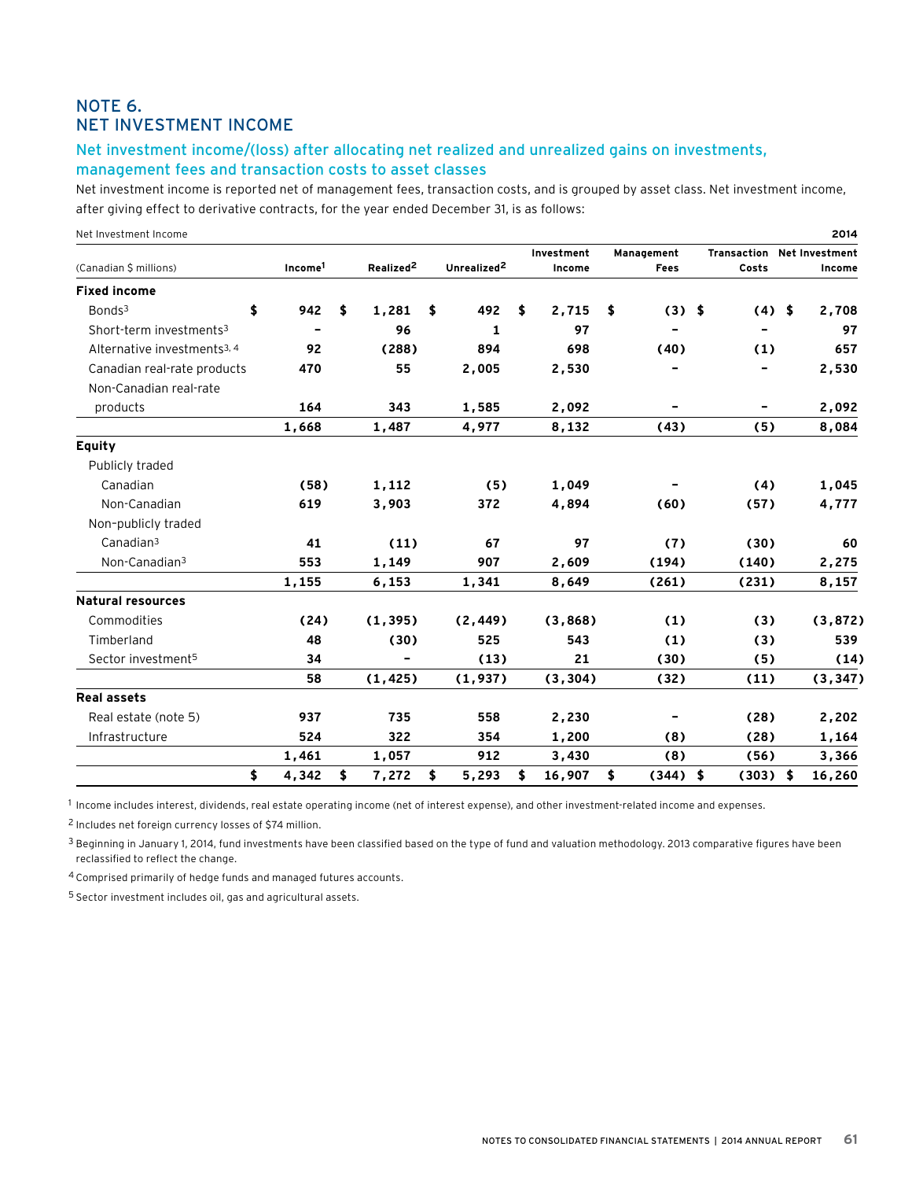## NOTE 6. NET INVESTMENT INCOME

#### Net investment income/(loss) after allocating net realized and unrealized gains on investments, management fees and transaction costs to asset classes

Net investment income is reported net of management fees, transaction costs, and is grouped by asset class. Net investment income, after giving effect to derivative contracts, for the year ended December 31, is as follows:

| Net Investment Income                   |                     |                          |                         |                      |                    |                      | 2014                            |
|-----------------------------------------|---------------------|--------------------------|-------------------------|----------------------|--------------------|----------------------|---------------------------------|
| (Canadian \$ millions)                  | Income <sup>1</sup> | Realized <sup>2</sup>    | Unrealized <sup>2</sup> | Investment<br>Income | Management<br>Fees | Transaction<br>Costs | <b>Net Investment</b><br>Income |
| <b>Fixed income</b>                     |                     |                          |                         |                      |                    |                      |                                 |
| Bonds <sup>3</sup><br>\$                | 942                 | 1,281<br>\$              | 492<br>\$               | \$<br>2,715          | $(3)$ \$<br>\$     |                      | $(4)$ \$<br>2,708               |
| Short-term investments <sup>3</sup>     |                     | 96                       | 1                       | 97                   |                    |                      | 97                              |
| Alternative investments <sup>3, 4</sup> | 92                  | (288)                    | 894                     | 698                  | (40)               | (1)                  | 657                             |
| Canadian real-rate products             | 470                 | 55                       | 2,005                   | 2,530                |                    |                      | 2,530                           |
| Non-Canadian real-rate                  |                     |                          |                         |                      |                    |                      |                                 |
| products                                | 164                 | 343                      | 1,585                   | 2,092                |                    | -                    | 2,092                           |
|                                         | 1,668               | 1,487                    | 4,977                   | 8,132                | (43)               | (5)                  | 8,084                           |
| <b>Equity</b>                           |                     |                          |                         |                      |                    |                      |                                 |
| Publicly traded                         |                     |                          |                         |                      |                    |                      |                                 |
| Canadian                                | (58)                | 1,112                    | (5)                     | 1,049                |                    | (4)                  | 1,045                           |
| Non-Canadian                            | 619                 | 3,903                    | 372                     | 4,894                | (60)               | (57)                 | 4,777                           |
| Non-publicly traded                     |                     |                          |                         |                      |                    |                      |                                 |
| Canadian <sup>3</sup>                   | 41                  | (11)                     | 67                      | 97                   | (7)                | (30)                 | 60                              |
| Non-Canadian <sup>3</sup>               | 553                 | 1,149                    | 907                     | 2,609                | (194)              | (140)                | 2,275                           |
|                                         | 1,155               | 6,153                    | 1,341                   | 8,649                | (261)              | (231)                | 8,157                           |
| <b>Natural resources</b>                |                     |                          |                         |                      |                    |                      |                                 |
| Commodities                             | (24)                | (1, 395)                 | (2, 449)                | (3, 868)             | (1)                | (3)                  | (3, 872)                        |
| Timberland                              | 48                  | (30)                     | 525                     | 543                  | (1)                | (3)                  | 539                             |
| Sector investment <sup>5</sup>          | 34                  | $\overline{\phantom{0}}$ | (13)                    | 21                   | (30)               | (5)                  | (14)                            |
|                                         | 58                  | (1, 425)                 | (1, 937)                | (3, 304)             | (32)               | (11)                 | (3, 347)                        |
| <b>Real assets</b>                      |                     |                          |                         |                      |                    |                      |                                 |
| Real estate (note 5)                    | 937                 | 735                      | 558                     | 2,230                |                    | (28)                 | 2,202                           |
| Infrastructure                          | 524                 | 322                      | 354                     | 1,200                | (8)                | (28)                 | 1,164                           |
|                                         | 1,461               | 1,057                    | 912                     | 3,430                | (8)                | (56)                 | 3,366                           |
| \$                                      | 4,342               | \$<br>7,272              | \$<br>5,293             | \$<br>16,907         | \$<br>$(344)$ \$   | $(303)$ \$           | 16,260                          |

<sup>1</sup> Income includes interest, dividends, real estate operating income (net of interest expense), and other investment-related income and expenses.

<sup>2</sup> Includes net foreign currency losses of \$74 million.

3 Beginning in January 1, 2014, fund investments have been classified based on the type of fund and valuation methodology. 2013 comparative figures have been reclassified to reflect the change.

4 Comprised primarily of hedge funds and managed futures accounts.

<sup>5</sup> Sector investment includes oil, gas and agricultural assets.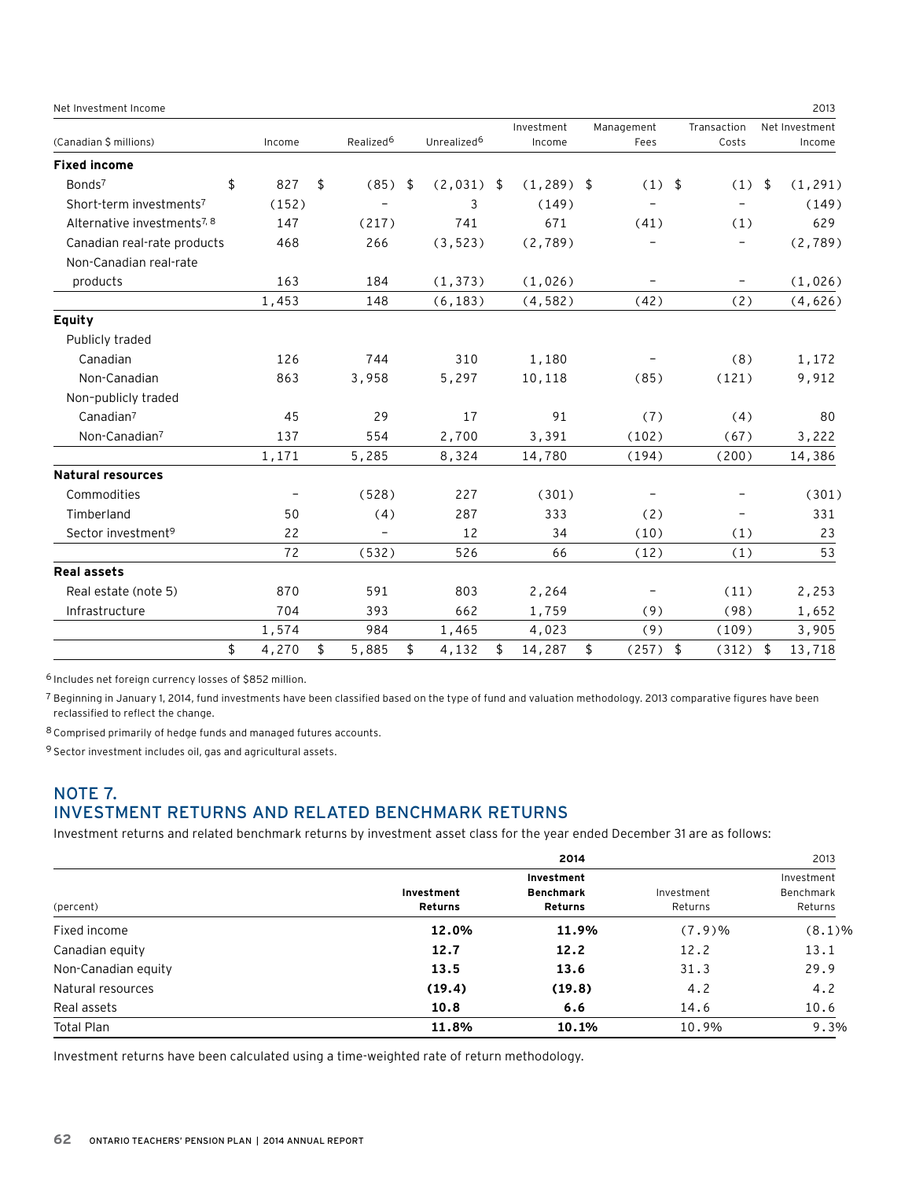| Net Investment Income                   |                          |                       |                         |                      |                    |                          | 2013                     |
|-----------------------------------------|--------------------------|-----------------------|-------------------------|----------------------|--------------------|--------------------------|--------------------------|
| (Canadian \$ millions)                  | Income                   | Realized <sup>6</sup> | Unrealized <sup>6</sup> | Investment<br>Income | Management<br>Fees | Transaction<br>Costs     | Net Investment<br>Income |
| <b>Fixed income</b>                     |                          |                       |                         |                      |                    |                          |                          |
| \$<br>Bonds <sup>7</sup>                | 827                      | \$<br>(85)            | \$<br>(2, 031)          | \$<br>$(1, 289)$ \$  | $(1)$ \$           | (1)                      | \$                       |
| Short-term investments7                 | (152)                    |                       | 3                       | (149)                |                    | $\overline{\phantom{m}}$ | (1, 291)<br>(149)        |
| Alternative investments <sup>7, 8</sup> | 147                      | (217)                 | 741                     | 671                  | (41)               | (1)                      | 629                      |
|                                         |                          |                       |                         |                      |                    |                          |                          |
| Canadian real-rate products             | 468                      | 266                   | (3, 523)                | (2, 789)             |                    | $\overline{\phantom{a}}$ | (2, 789)                 |
| Non-Canadian real-rate                  |                          |                       |                         |                      |                    |                          |                          |
| products                                | 163                      | 184                   | (1, 373)                | (1,026)              |                    | $\overline{\phantom{a}}$ | (1,026)                  |
|                                         | 1,453                    | 148                   | (6, 183)                | (4, 582)             | (42)               | (2)                      | (4,626)                  |
| Equity                                  |                          |                       |                         |                      |                    |                          |                          |
| Publicly traded                         |                          |                       |                         |                      |                    |                          |                          |
| Canadian                                | 126                      | 744                   | 310                     | 1,180                |                    | (8)                      | 1,172                    |
| Non-Canadian                            | 863                      | 3,958                 | 5,297                   | 10,118               | (85)               | (121)                    | 9,912                    |
| Non-publicly traded                     |                          |                       |                         |                      |                    |                          |                          |
| Canadian <sup>7</sup>                   | 45                       | 29                    | 17                      | 91                   | (7)                | (4)                      | 80                       |
| Non-Canadian <sup>7</sup>               | 137                      | 554                   | 2,700                   | 3,391                | (102)              | (67)                     | 3,222                    |
|                                         | 1,171                    | 5,285                 | 8,324                   | 14,780               | (194)              | (200)                    | 14,386                   |
| <b>Natural resources</b>                |                          |                       |                         |                      |                    |                          |                          |
| Commodities                             | $\overline{\phantom{a}}$ | (528)                 | 227                     | (301)                |                    |                          | (301)                    |
| Timberland                              | 50                       | (4)                   | 287                     | 333                  | (2)                |                          | 331                      |
| Sector investment <sup>9</sup>          | 22                       |                       | 12                      | 34                   | (10)               | (1)                      | 23                       |
|                                         | 72                       | (532)                 | 526                     | 66                   | (12)               | (1)                      | 53                       |
| <b>Real assets</b>                      |                          |                       |                         |                      |                    |                          |                          |
| Real estate (note 5)                    | 870                      | 591                   | 803                     | 2,264                |                    | (11)                     | 2,253                    |
| Infrastructure                          | 704                      | 393                   | 662                     | 1,759                | (9)                | (98)                     | 1,652                    |
|                                         | 1,574                    | 984                   | 1,465                   | 4,023                | (9)                | (109)                    | 3,905                    |
| \$                                      | 4,270                    | \$<br>5,885           | \$<br>4,132             | \$<br>14,287         | \$<br>(257)        | \$<br>$(312)$ \$         | 13,718                   |

6 Includes net foreign currency losses of \$852 million.

<sup>7</sup> Beginning in January 1, 2014, fund investments have been classified based on the type of fund and valuation methodology. 2013 comparative figures have been reclassified to reflect the change.

8 Comprised primarily of hedge funds and managed futures accounts.

<sup>9</sup> Sector investment includes oil, gas and agricultural assets.

## NOTE 7. INVESTMENT RETURNS AND RELATED BENCHMARK RETURNS

Investment returns and related benchmark returns by investment asset class for the year ended December 31 are as follows:

|                     |                       | 2014                                                               |        |        |  |  |  |  |
|---------------------|-----------------------|--------------------------------------------------------------------|--------|--------|--|--|--|--|
| (percent)           | Investment<br>Returns | Investment<br><b>Benchmark</b><br>Investment<br>Returns<br>Returns |        |        |  |  |  |  |
| Fixed income        | 12.0%                 | 11.9%                                                              | (7.9)% | (8.1)% |  |  |  |  |
| Canadian equity     | 12.7                  | 12.2                                                               | 12.2   | 13.1   |  |  |  |  |
| Non-Canadian equity | 13.5                  | 13.6                                                               | 31.3   | 29.9   |  |  |  |  |
| Natural resources   | (19.4)                | (19.8)                                                             | 4.2    | 4.2    |  |  |  |  |
| Real assets         | 10.8                  | 6.6                                                                | 14.6   | 10.6   |  |  |  |  |
| Total Plan          | 11.8%                 | 10.1%                                                              | 10.9%  | 9.3%   |  |  |  |  |

Investment returns have been calculated using a time-weighted rate of return methodology.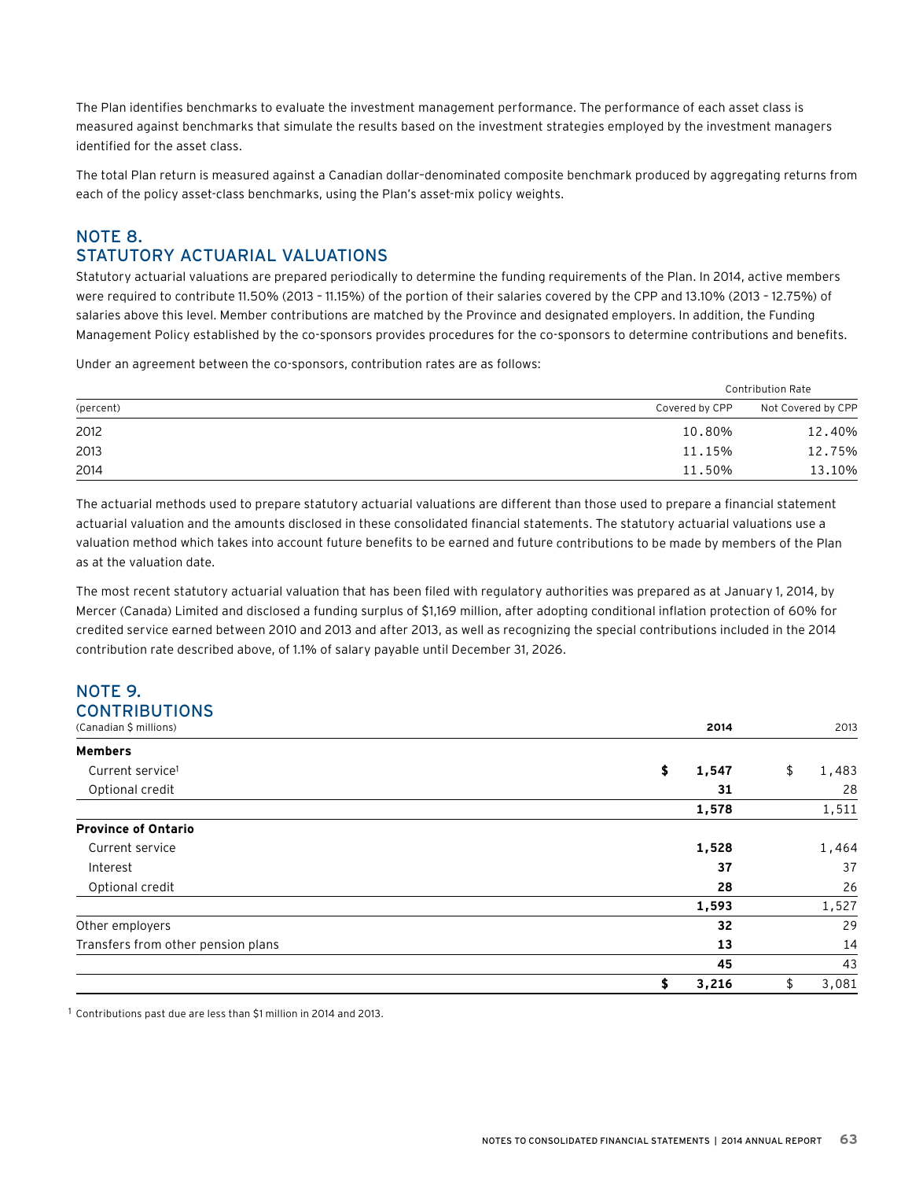The Plan identifies benchmarks to evaluate the investment management performance. The performance of each asset class is measured against benchmarks that simulate the results based on the investment strategies employed by the investment managers identified for the asset class.

The total Plan return is measured against a Canadian dollar-denominated composite benchmark produced by aggregating returns from each of the policy asset-class benchmarks, using the Plan's asset-mix policy weights.

## NOTE 8. STATUTORY ACTUARIAL VALUATIONS

Statutory actuarial valuations are prepared periodically to determine the funding requirements of the Plan. In 2014, active members were required to contribute 11.50% (2013 - 11.15%) of the portion of their salaries covered by the CPP and 13.10% (2013 - 12.75%) of salaries above this level. Member contributions are matched by the Province and designated employers. In addition, the Funding Management Policy established by the co-sponsors provides procedures for the co-sponsors to determine contributions and benefits.

Under an agreement between the co-sponsors, contribution rates are as follows:

|           |                | <b>Contribution Rate</b> |  |  |  |  |  |
|-----------|----------------|--------------------------|--|--|--|--|--|
| (percent) | Covered by CPP | Not Covered by CPP       |  |  |  |  |  |
| 2012      | 10.80%         | 12.40%                   |  |  |  |  |  |
| 2013      | 11.15%         | 12.75%                   |  |  |  |  |  |
| 2014      | 11.50%         | 13.10%                   |  |  |  |  |  |

The actuarial methods used to prepare statutory actuarial valuations are different than those used to prepare a financial statement actuarial valuation and the amounts disclosed in these consolidated financial statements. The statutory actuarial valuations use a valuation method which takes into account future benefits to be earned and future contributions to be made by members of the Plan as at the valuation date.

The most recent statutory actuarial valuation that has been filed with regulatory authorities was prepared as at January 1, 2014, by Mercer (Canada) Limited and disclosed a funding surplus of \$1,169 million, after adopting conditional inflation protection of 60% for credited service earned between 2010 and 2013 and after 2013, as well as recognizing the special contributions included in the 2014 contribution rate described above, of 1.1% of salary payable until December 31, 2026.

#### NOTE 9. CONTRIBUTIONS

| _ _ _ _<br>(Canadian \$ millions)  | 2014        | 2013        |
|------------------------------------|-------------|-------------|
| <b>Members</b>                     |             |             |
| Current service <sup>1</sup>       | \$<br>1,547 | \$<br>1,483 |
| Optional credit                    | 31          | 28          |
|                                    | 1,578       | 1,511       |
| <b>Province of Ontario</b>         |             |             |
| Current service                    | 1,528       | 1,464       |
| Interest                           | 37          | 37          |
| Optional credit                    | 28          | 26          |
|                                    | 1,593       | 1,527       |
| Other employers                    | 32          | 29          |
| Transfers from other pension plans | 13          | 14          |
|                                    | 45          | 43          |
|                                    | \$<br>3,216 | \$<br>3,081 |

<sup>1</sup> Contributions past due are less than \$1 million in 2014 and 2013.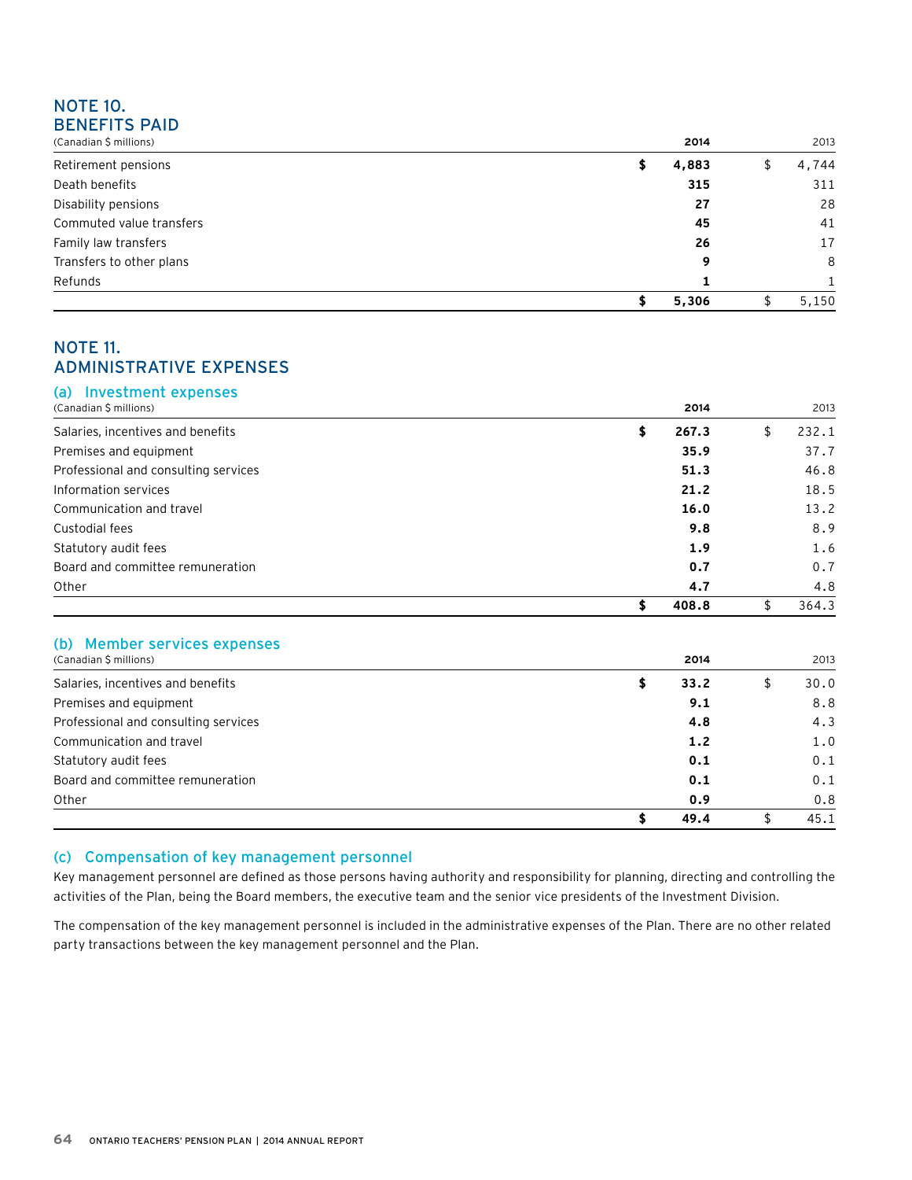## NOTE 10. BENEFITS PAID

| (Canadian \$ millions)   | 2014  | 2013        |
|--------------------------|-------|-------------|
| Retirement pensions      | 4,883 | 4,744<br>\$ |
| Death benefits           | 315   | 311         |
| Disability pensions      | 27    | 28          |
| Commuted value transfers | 45    | 41          |
| Family law transfers     | 26    | 17          |
| Transfers to other plans | 9     | 8           |
| Refunds                  |       |             |
|                          | 5,306 | 5,150       |

### NOTE 11. ADMINISTRATIVE EXPENSES

| <b>Investment expenses</b><br>(a)    |             |             |
|--------------------------------------|-------------|-------------|
| (Canadian \$ millions)               | 2014        | 2013        |
| Salaries, incentives and benefits    | \$<br>267.3 | 232.1<br>\$ |
| Premises and equipment               | 35.9        | 37.7        |
| Professional and consulting services | 51.3        | 46.8        |
| Information services                 | 21.2        | 18.5        |
| Communication and travel             | 16.0        | 13.2        |
| Custodial fees                       | 9.8         | 8.9         |
| Statutory audit fees                 | 1.9         | 1.6         |
| Board and committee remuneration     | 0.7         | 0.7         |
| Other                                | 4.7         | 4.8         |
|                                      | 408.8       | 364.3<br>\$ |

#### (b) Member services expenses

| (Canadian \$ millions)               | 2014 | 2013       |
|--------------------------------------|------|------------|
| Salaries, incentives and benefits    | 33.2 | \$<br>30.0 |
| Premises and equipment               | 9.1  | 8.8        |
| Professional and consulting services | 4.8  | 4.3        |
| Communication and travel             | 1.2  | 1.0        |
| Statutory audit fees                 | 0.1  | 0.1        |
| Board and committee remuneration     | 0.1  | 0.1        |
| Other                                | 0.9  | 0.8        |
|                                      | 49.4 | 45.1       |

#### (c) Compensation of key management personnel

Key management personnel are defined as those persons having authority and responsibility for planning, directing and controlling the activities of the Plan, being the Board members, the executive team and the senior vice presidents of the Investment Division.

The compensation of the key management personnel is included in the administrative expenses of the Plan. There are no other related party transactions between the key management personnel and the Plan.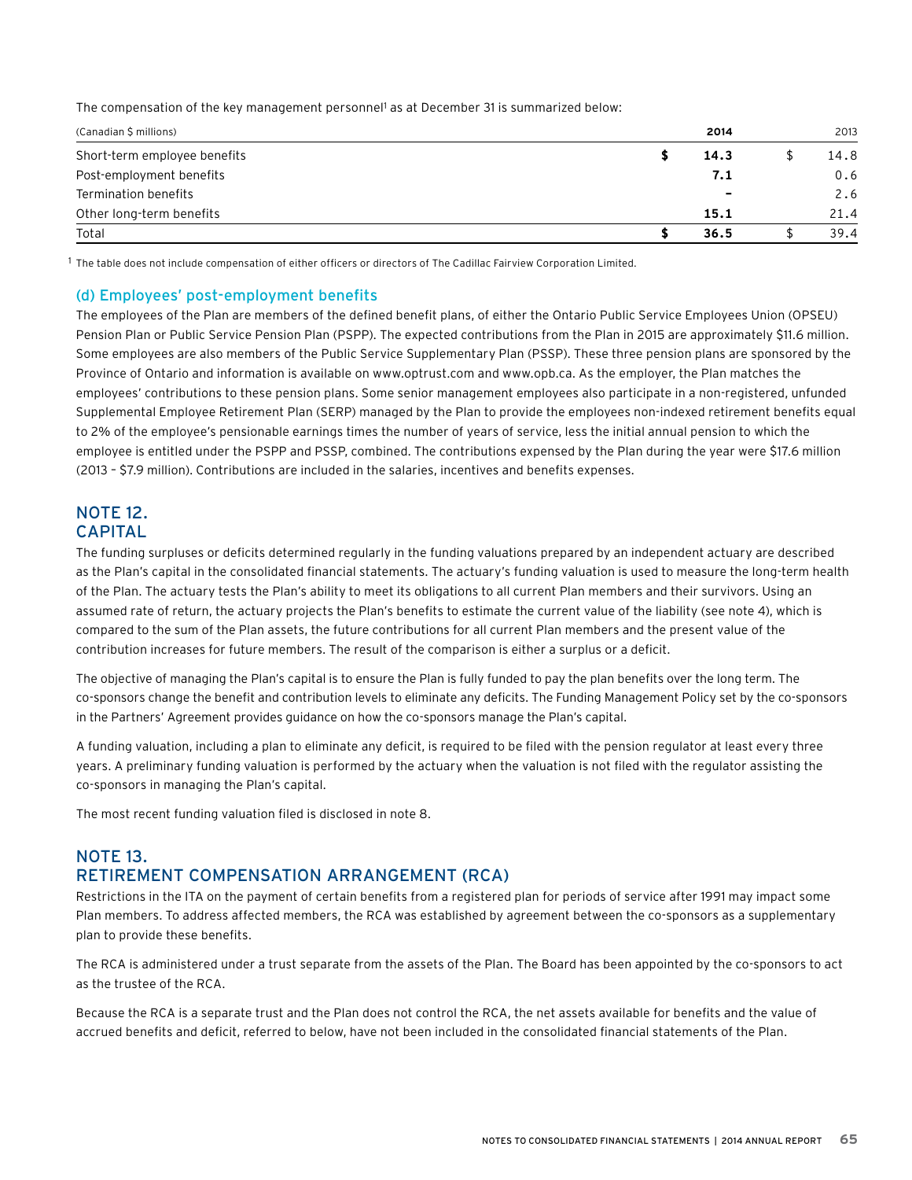The compensation of the key management personnel<sup>1</sup> as at December 31 is summarized below:

| (Canadian \$ millions)       | 2014                     | 2013 |
|------------------------------|--------------------------|------|
| Short-term employee benefits | 14.3                     | 14.8 |
| Post-employment benefits     | 7.1                      | 0.6  |
| Termination benefits         | $\overline{\phantom{0}}$ | 2.6  |
| Other long-term benefits     | 15.1                     | 21.4 |
| Total                        | 36.5                     | 39.4 |

<sup>1</sup> The table does not include compensation of either officers or directors of The Cadillac Fairview Corporation Limited.

#### (d) Employees' post-employment benefits

The employees of the Plan are members of the defined benefit plans, of either the Ontario Public Service Employees Union (OPSEU) Pension Plan or Public Service Pension Plan (PSPP). The expected contributions from the Plan in 2015 are approximately \$11.6 million. Some employees are also members of the Public Service Supplementary Plan (PSSP). These three pension plans are sponsored by the Province of Ontario and information is available on www.optrust.com and www.opb.ca. As the employer, the Plan matches the employees' contributions to these pension plans. Some senior management employees also participate in a non-registered, unfunded Supplemental Employee Retirement Plan (SERP) managed by the Plan to provide the employees non-indexed retirement benefits equal to 2% of the employee's pensionable earnings times the number of years of service, less the initial annual pension to which the employee is entitled under the PSPP and PSSP, combined. The contributions expensed by the Plan during the year were \$17.6 million (2013 - \$7.9 million). Contributions are included in the salaries, incentives and benefits expenses.

### NOTE 12. CAPITAL

The funding surpluses or deficits determined regularly in the funding valuations prepared by an independent actuary are described as the Plan's capital in the consolidated financial statements. The actuary's funding valuation is used to measure the long-term health of the Plan. The actuary tests the Plan's ability to meet its obligations to all current Plan members and their survivors. Using an assumed rate of return, the actuary projects the Plan's benefits to estimate the current value of the liability (see note 4), which is compared to the sum of the Plan assets, the future contributions for all current Plan members and the present value of the contribution increases for future members. The result of the comparison is either a surplus or a deficit.

The objective of managing the Plan's capital is to ensure the Plan is fully funded to pay the plan benefits over the long term. The co-sponsors change the benefit and contribution levels to eliminate any deficits. The Funding Management Policy set by the co-sponsors in the Partners' Agreement provides guidance on how the co-sponsors manage the Plan's capital.

A funding valuation, including a plan to eliminate any deficit, is required to be filed with the pension regulator at least every three years. A preliminary funding valuation is performed by the actuary when the valuation is not filed with the regulator assisting the co-sponsors in managing the Plan's capital.

The most recent funding valuation filed is disclosed in note 8.

## NOTE 13. RETIREMENT COMPENSATION ARRANGEMENT (RCA)

Restrictions in the ITA on the payment of certain benefits from a registered plan for periods of service after 1991 may impact some Plan members. To address affected members, the RCA was established by agreement between the co-sponsors as a supplementary plan to provide these benefits.

The RCA is administered under a trust separate from the assets of the Plan. The Board has been appointed by the co-sponsors to act as the trustee of the RCA.

Because the RCA is a separate trust and the Plan does not control the RCA, the net assets available for benefits and the value of accrued benefits and deficit, referred to below, have not been included in the consolidated financial statements of the Plan.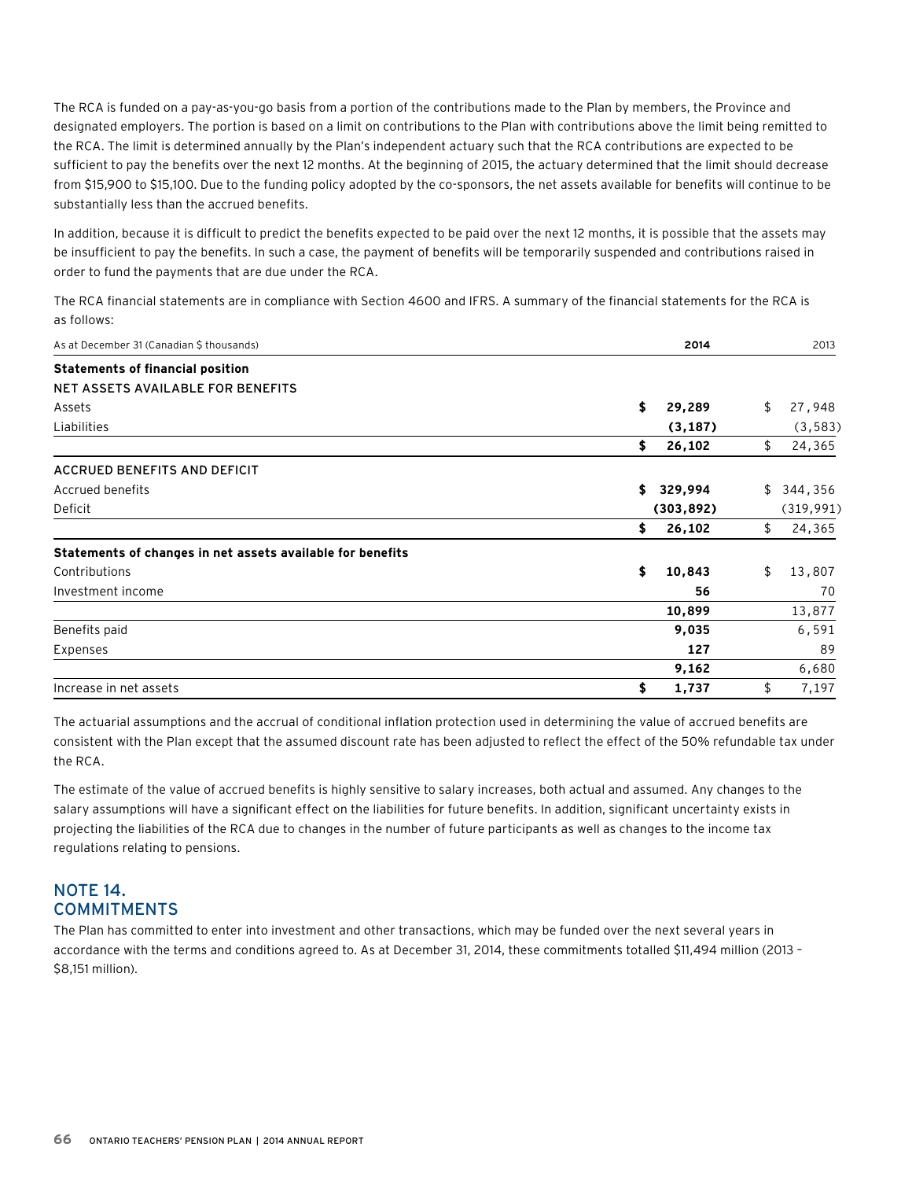The RCA is funded on a pay-as-you-go basis from a portion of the contributions made to the Plan by members, the Province and designated employers. The portion is based on a limit on contributions to the Plan with contributions above the limit being remitted to the RCA. The limit is determined annually by the Plan's independent actuary such that the RCA contributions are expected to be sufficient to pay the benefits over the next 12 months. At the beginning of 2015, the actuary determined that the limit should decrease from \$15,900 to \$15,100. Due to the funding policy adopted by the co-sponsors, the net assets available for benefits will continue to be substantially less than the accrued benefits.

In addition, because it is difficult to predict the benefits expected to be paid over the next 12 months, it is possible that the assets may be insufficient to pay the benefits. In such a case, the payment of benefits will be temporarily suspended and contributions raised in order to fund the payments that are due under the RCA.

The RCA financial statements are in compliance with Section 4600 and IFRS. A summary of the financial statements for the RCA is as follows:

| As at December 31 (Canadian \$ thousands)                  | 2014          | 2013          |
|------------------------------------------------------------|---------------|---------------|
| <b>Statements of financial position</b>                    |               |               |
| NET ASSETS AVAILABLE FOR BENEFITS                          |               |               |
| Assets                                                     | \$<br>29,289  | \$<br>27,948  |
| Liabilities                                                | (3, 187)      | (3, 583)      |
|                                                            | \$<br>26,102  | \$<br>24,365  |
| <b>ACCRUED BENEFITS AND DEFICIT</b>                        |               |               |
| Accrued benefits                                           | \$<br>329,994 | \$<br>344,356 |
| Deficit                                                    | (303, 892)    | (319, 991)    |
|                                                            | \$<br>26,102  | \$<br>24,365  |
| Statements of changes in net assets available for benefits |               |               |
| Contributions                                              | \$<br>10,843  | \$<br>13,807  |
| Investment income                                          | 56            | 70            |
|                                                            | 10,899        | 13,877        |
| Benefits paid                                              | 9,035         | 6,591         |
| Expenses                                                   | 127           | 89            |
|                                                            | 9,162         | 6,680         |
| Increase in net assets                                     | \$<br>1,737   | \$<br>7,197   |

The actuarial assumptions and the accrual of conditional inflation protection used in determining the value of accrued benefits are consistent with the Plan except that the assumed discount rate has been adjusted to reflect the effect of the 50% refundable tax under the RCA.

The estimate of the value of accrued benefits is highly sensitive to salary increases, both actual and assumed. Any changes to the salary assumptions will have a significant effect on the liabilities for future benefits. In addition, significant uncertainty exists in projecting the liabilities of the RCA due to changes in the number of future participants as well as changes to the income tax regulations relating to pensions.

### NOTE 14. **COMMITMENTS**

The Plan has committed to enter into investment and other transactions, which may be funded over the next several years in accordance with the terms and conditions agreed to. As at December 31, 2014, these commitments totalled \$11,494 million (2013 -\$8,151 million).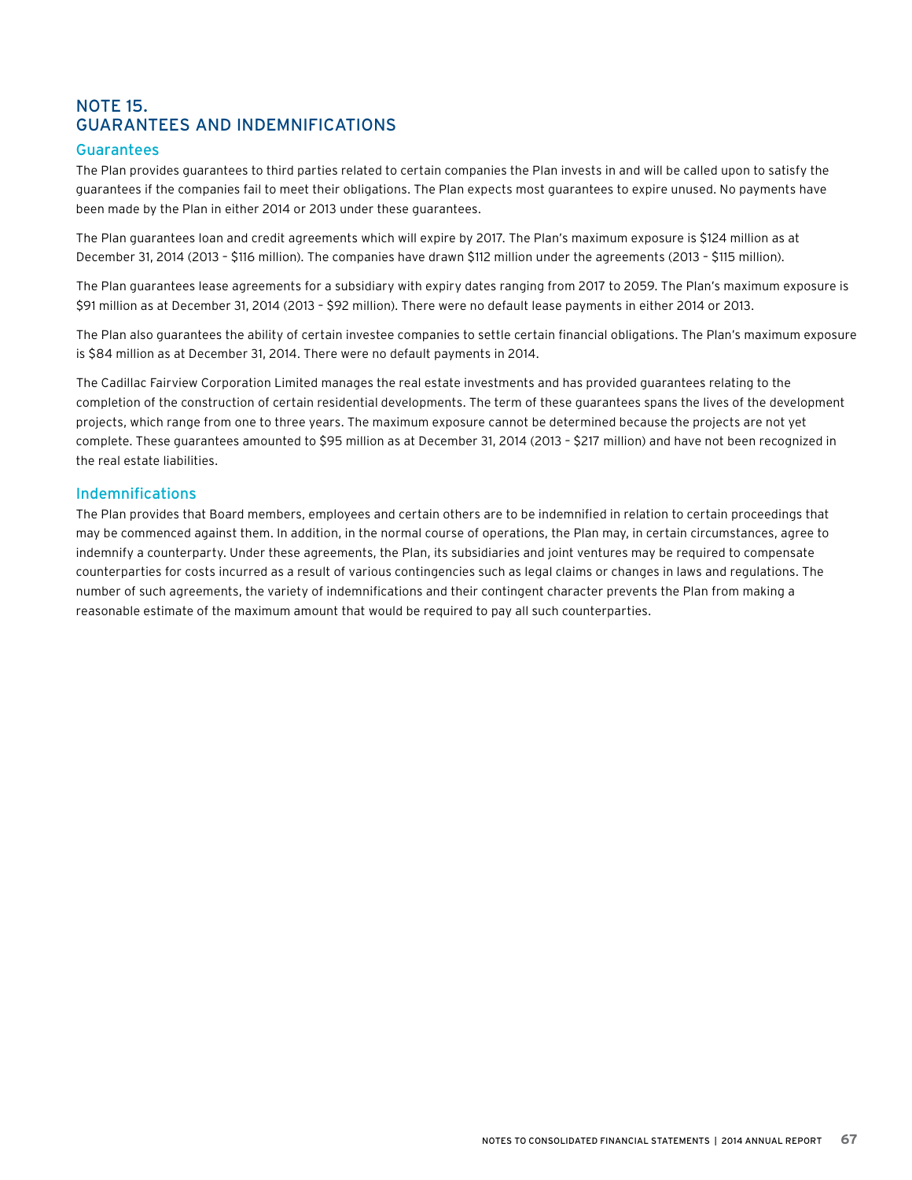## NOTE 15. GUARANTEES AND INDEMNIFICATIONS

#### Guarantees

The Plan provides guarantees to third parties related to certain companies the Plan invests in and will be called upon to satisfy the guarantees if the companies fail to meet their obligations. The Plan expects most guarantees to expire unused. No payments have been made by the Plan in either 2014 or 2013 under these guarantees.

The Plan guarantees loan and credit agreements which will expire by 2017. The Plan's maximum exposure is \$124 million as at December 31, 2014 (2013 - \$116 million). The companies have drawn \$112 million under the agreements (2013 - \$115 million).

The Plan guarantees lease agreements for a subsidiary with expiry dates ranging from 2017 to 2059. The Plan's maximum exposure is \$91 million as at December 31, 2014 (2013 - \$92 million). There were no default lease payments in either 2014 or 2013.

The Plan also guarantees the ability of certain investee companies to settle certain financial obligations. The Plan's maximum exposure is \$84 million as at December 31, 2014. There were no default payments in 2014.

The Cadillac Fairview Corporation Limited manages the real estate investments and has provided guarantees relating to the completion of the construction of certain residential developments. The term of these guarantees spans the lives of the development projects, which range from one to three years. The maximum exposure cannot be determined because the projects are not yet complete. These guarantees amounted to \$95 million as at December 31, 2014 (2013 - \$217 million) and have not been recognized in the real estate liabilities.

#### Indemnifications

The Plan provides that Board members, employees and certain others are to be indemnified in relation to certain proceedings that may be commenced against them. In addition, in the normal course of operations, the Plan may, in certain circumstances, agree to indemnify a counterparty. Under these agreements, the Plan, its subsidiaries and joint ventures may be required to compensate counterparties for costs incurred as a result of various contingencies such as legal claims or changes in laws and regulations. The number of such agreements, the variety of indemnifications and their contingent character prevents the Plan from making a reasonable estimate of the maximum amount that would be required to pay all such counterparties.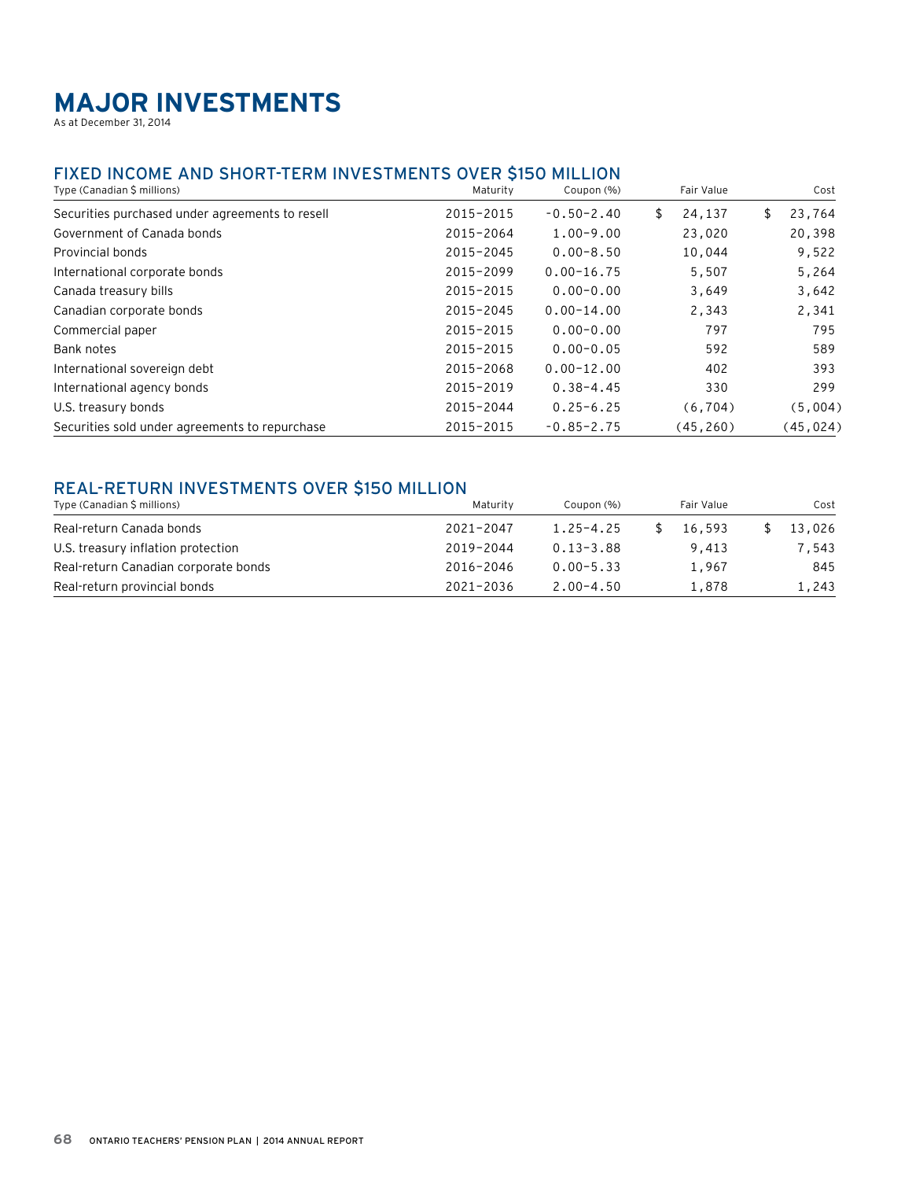## **MAJOR INVESTMENTS**

As at December 31, 2014

## FIXED INCOME AND SHORT-TERM INVESTMENTS OVER \$150 MILLION

| Type (Canadian \$ millions)                     | Maturity  | Coupon (%)     | Fair Value   | Cost         |
|-------------------------------------------------|-----------|----------------|--------------|--------------|
| Securities purchased under agreements to resell | 2015-2015 | $-0.50 - 2.40$ | 24,137<br>\$ | 23,764<br>\$ |
| Government of Canada bonds                      | 2015-2064 | $1.00 - 9.00$  | 23,020       | 20,398       |
| <b>Provincial bonds</b>                         | 2015-2045 | $0.00 - 8.50$  | 10,044       | 9,522        |
| International corporate bonds                   | 2015-2099 | $0.00 - 16.75$ | 5,507        | 5,264        |
| Canada treasury bills                           | 2015-2015 | $0.00 - 0.00$  | 3,649        | 3,642        |
| Canadian corporate bonds                        | 2015-2045 | $0.00 - 14.00$ | 2,343        | 2,341        |
| Commercial paper                                | 2015-2015 | $0.00 - 0.00$  | 797          | 795          |
| Bank notes                                      | 2015-2015 | $0.00 - 0.05$  | 592          | 589          |
| International sovereign debt                    | 2015-2068 | $0.00 - 12.00$ | 402          | 393          |
| International agency bonds                      | 2015-2019 | $0.38 - 4.45$  | 330          | 299          |
| U.S. treasury bonds                             | 2015-2044 | $0.25 - 6.25$  | (6.704)      | (5,004)      |
| Securities sold under agreements to repurchase  | 2015-2015 | $-0.85 - 2.75$ | (45, 260)    | (45, 024)    |

## REAL-RETURN INVESTMENTS OVER \$150 MILLION

| Type (Canadian \$ millions)          | Maturity  | Coupon (%)    | Fair Value | Cost   |
|--------------------------------------|-----------|---------------|------------|--------|
| Real-return Canada bonds             | 2021-2047 | $1.25 - 4.25$ | 16.593     | 13,026 |
| U.S. treasury inflation protection   | 2019-2044 | $0.13 - 3.88$ | 9,413      | 7,543  |
| Real-return Canadian corporate bonds | 2016-2046 | $0.00 - 5.33$ | 1,967      | 845    |
| Real-return provincial bonds         | 2021-2036 | $2.00 - 4.50$ | 1,878      | 1,243  |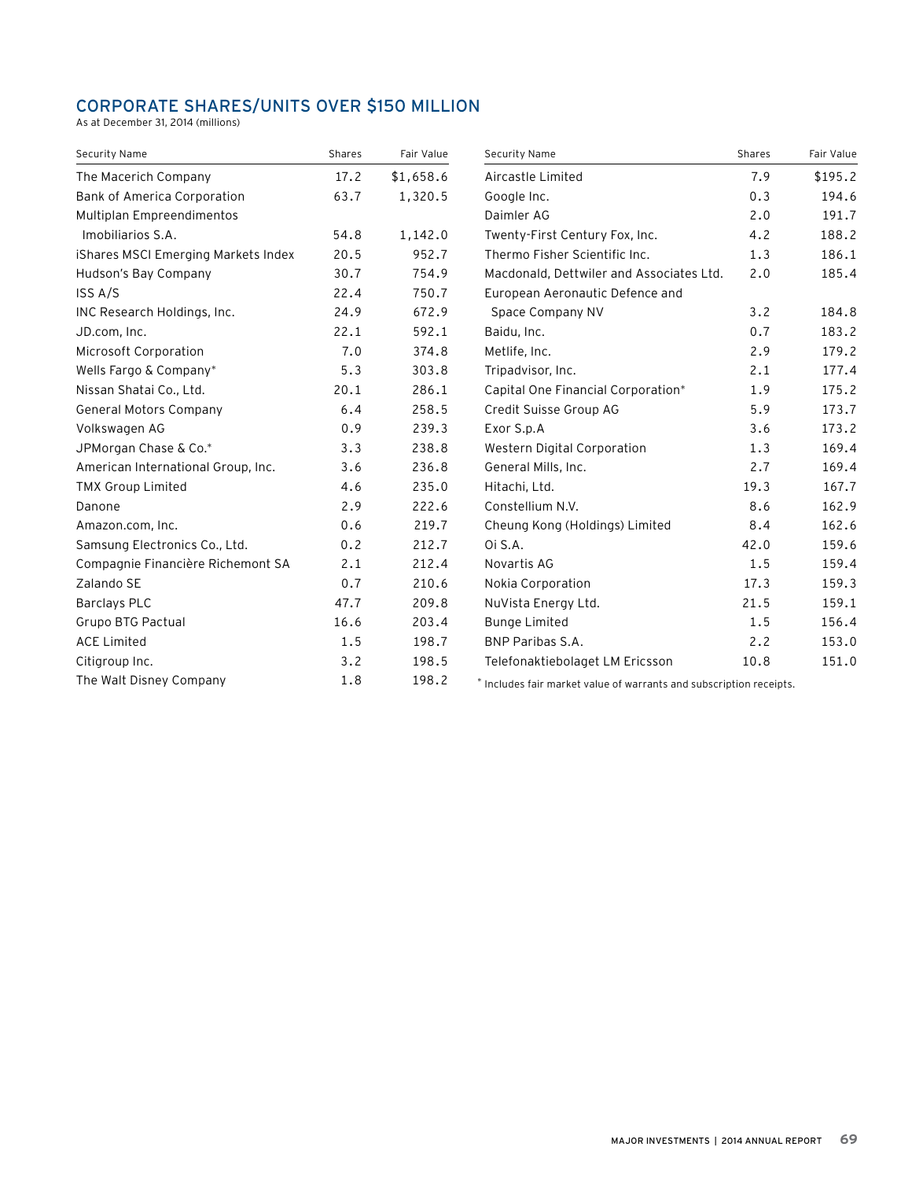## CORPORATE SHARES/UNITS OVER \$150 MILLION

As at December 31, 2014 (millions)

| Security Name                       | <b>Shares</b> | Fair Value | Security Name                                                       | <b>Shares</b> | Fair Value |
|-------------------------------------|---------------|------------|---------------------------------------------------------------------|---------------|------------|
| The Macerich Company                | 17.2          | \$1,658.6  | Aircastle Limited                                                   | 7.9           | \$195.2    |
| <b>Bank of America Corporation</b>  | 63.7          | 1,320.5    | Google Inc.                                                         | 0.3           | 194.6      |
| <b>Multiplan Empreendimentos</b>    |               |            | Daimler AG                                                          | 2.0           | 191.7      |
| Imobiliarios S.A.                   | 54.8          | 1,142.0    | Twenty-First Century Fox, Inc.                                      | 4.2           | 188.2      |
| iShares MSCI Emerging Markets Index | 20.5          | 952.7      | Thermo Fisher Scientific Inc.                                       | 1.3           | 186.1      |
| Hudson's Bay Company                | 30.7          | 754.9      | Macdonald, Dettwiler and Associates Ltd.                            | 2.0           | 185.4      |
| ISS A/S                             | 22.4          | 750.7      | European Aeronautic Defence and                                     |               |            |
| INC Research Holdings, Inc.         | 24.9          | 672.9      | Space Company NV                                                    | 3.2           | 184.8      |
| JD.com, Inc.                        | 22.1          | 592.1      | Baidu, Inc.                                                         | 0.7           | 183.2      |
| Microsoft Corporation               | 7.0           | 374.8      | Metlife, Inc.                                                       | 2.9           | 179.2      |
| Wells Fargo & Company*              | 5.3           | 303.8      | Tripadvisor, Inc.                                                   | 2.1           | 177.4      |
| Nissan Shatai Co., Ltd.             | 20.1          | 286.1      | Capital One Financial Corporation*                                  | 1.9           | 175.2      |
| General Motors Company              | 6.4           | 258.5      | Credit Suisse Group AG                                              | 5.9           | 173.7      |
| Volkswagen AG                       | 0.9           | 239.3      | Exor S.p.A                                                          | 3.6           | 173.2      |
| JPMorgan Chase & Co.*               | 3.3           | 238.8      | <b>Western Digital Corporation</b>                                  | 1.3           | 169.4      |
| American International Group, Inc.  | 3.6           | 236.8      | General Mills, Inc.                                                 | 2.7           | 169.4      |
| <b>TMX Group Limited</b>            | 4.6           | 235.0      | Hitachi, Ltd.                                                       | 19.3          | 167.7      |
| Danone                              | 2.9           | 222.6      | Constellium N.V.                                                    | 8.6           | 162.9      |
| Amazon.com, Inc.                    | 0.6           | 219.7      | Cheung Kong (Holdings) Limited                                      | 8.4           | 162.6      |
| Samsung Electronics Co., Ltd.       | 0.2           | 212.7      | Oi S.A.                                                             | 42.0          | 159.6      |
| Compagnie Financière Richemont SA   | 2.1           | 212.4      | Novartis AG                                                         | 1.5           | 159.4      |
| Zalando SE                          | 0.7           | 210.6      | Nokia Corporation                                                   | 17.3          | 159.3      |
| <b>Barclays PLC</b>                 | 47.7          | 209.8      | NuVista Energy Ltd.                                                 | 21.5          | 159.1      |
| <b>Grupo BTG Pactual</b>            | 16.6          | 203.4      | <b>Bunge Limited</b>                                                | 1.5           | 156.4      |
| <b>ACE Limited</b>                  | 1.5           | 198.7      | <b>BNP Paribas S.A.</b>                                             | 2.2           | 153.0      |
| Citigroup Inc.                      | 3.2           | 198.5      | Telefonaktiebolaget LM Ericsson                                     | 10.8          | 151.0      |
| The Walt Disney Company             | 1.8           | 198.2      | * Includes fair market value of warrants and subscription receipts. |               |            |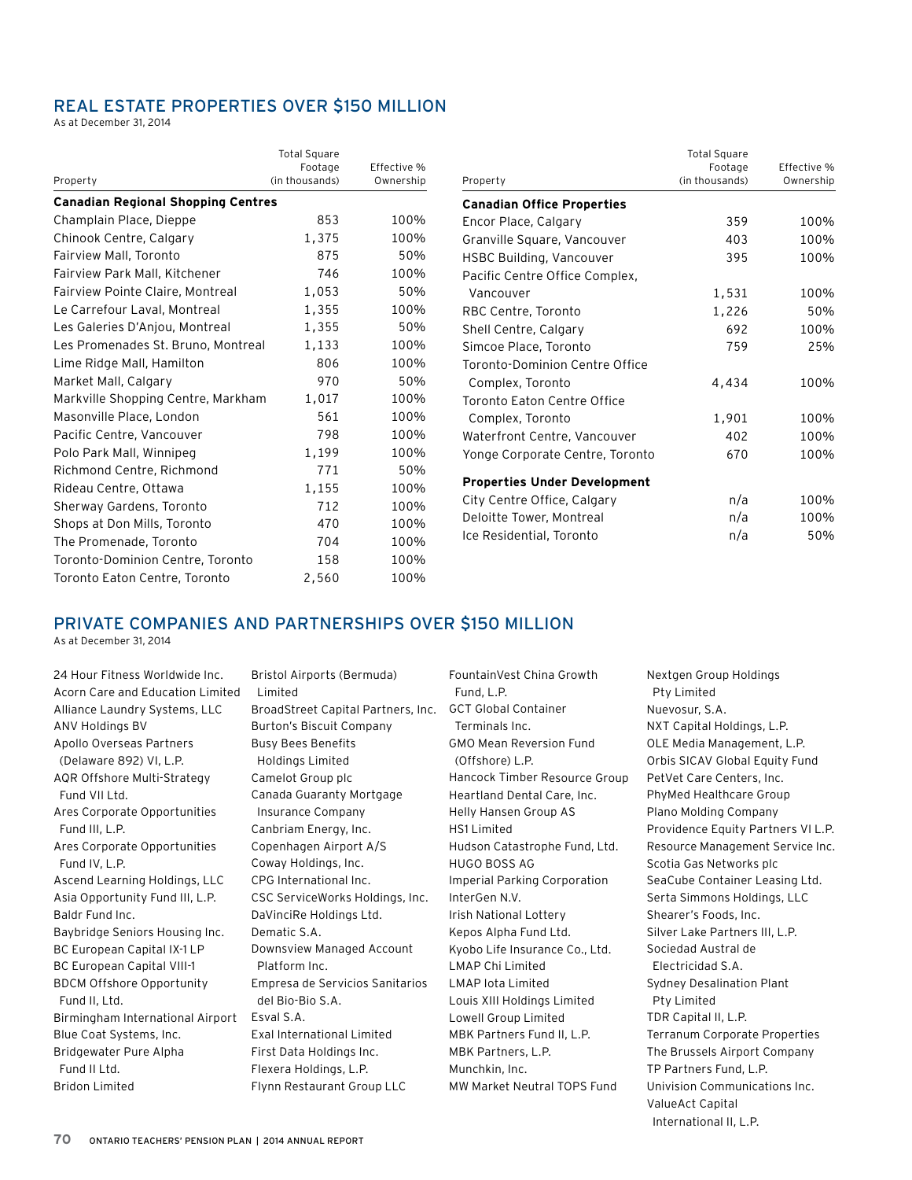### REAL ESTATE PROPERTIES OVER \$150 MILLION

As at December 31, 2014

|                                           | <b>Total Square</b> |             |
|-------------------------------------------|---------------------|-------------|
|                                           | Footage             | Effective % |
| Property                                  | (in thousands)      | Ownership   |
| <b>Canadian Regional Shopping Centres</b> |                     |             |
| Champlain Place, Dieppe                   | 853                 | 100%        |
| Chinook Centre, Calgary                   | 1,375               | 100%        |
| Fairview Mall, Toronto                    | 875                 | 50%         |
| Fairview Park Mall, Kitchener             | 746                 | 100%        |
| Fairview Pointe Claire, Montreal          | 1,053               | 50%         |
| Le Carrefour Laval, Montreal              | 1,355               | 100%        |
| Les Galeries D'Anjou, Montreal            | 1,355               | 50%         |
| Les Promenades St. Bruno, Montreal        | 1,133               | 100%        |
| Lime Ridge Mall, Hamilton                 | 806                 | 100%        |
| Market Mall, Calgary                      | 970                 | 50%         |
| Markville Shopping Centre, Markham        | 1,017               | 100%        |
| Masonville Place, London                  | 561                 | 100%        |
| Pacific Centre, Vancouver                 | 798                 | 100%        |
| Polo Park Mall, Winnipeg                  | 1,199               | 100%        |
| Richmond Centre, Richmond                 | 771                 | 50%         |
| Rideau Centre, Ottawa                     | 1,155               | 100%        |
| Sherway Gardens, Toronto                  | 712                 | 100%        |
| Shops at Don Mills, Toronto               | 470                 | 100%        |
| The Promenade, Toronto                    | 704                 | 100%        |
| Toronto-Dominion Centre, Toronto          | 158                 | 100%        |
| Toronto Eaton Centre, Toronto             | 2,560               | 100%        |

|                                     | <b>Total Square</b><br>Footage | Effective % |
|-------------------------------------|--------------------------------|-------------|
| Property                            | (in thousands)                 | Ownership   |
| <b>Canadian Office Properties</b>   |                                |             |
| Encor Place, Calgary                | 359                            | 100%        |
| Granville Square, Vancouver         | 403                            | 100%        |
| HSBC Building, Vancouver            | 395                            | 100%        |
| Pacific Centre Office Complex,      |                                |             |
| Vancouver                           | 1,531                          | 100%        |
| RBC Centre, Toronto                 | 1,226                          | 50%         |
| Shell Centre, Calgary               | 692                            | 100%        |
| Simcoe Place, Toronto               | 759                            | 25%         |
| Toronto-Dominion Centre Office      |                                |             |
| Complex, Toronto                    | 4,434                          | 100%        |
| Toronto Eaton Centre Office         |                                |             |
| Complex, Toronto                    | 1,901                          | 100%        |
| Waterfront Centre, Vancouver        | 402                            | 100%        |
| Yonge Corporate Centre, Toronto     | 670                            | 100%        |
| <b>Properties Under Development</b> |                                |             |
| City Centre Office, Calgary         | n/a                            | 100%        |
| Deloitte Tower, Montreal            | n/a                            | 100%        |
| Ice Residential, Toronto            | n/a                            | 50%         |

### PRIVATE COMPANIES AND PARTNERSHIPS OVER \$150 MILLION

As at December 31, 2014

24 Hour Fitness Worldwide Inc. Acorn Care and Education Limited Alliance Laundry Systems, LLC ANV Holdings BV Apollo Overseas Partners (Delaware 892) VI, L.P. AQR Offshore Multi-Strategy Fund VII Ltd. Ares Corporate Opportunities Fund III, L.P. Ares Corporate Opportunities Fund IV, L.P. Ascend Learning Holdings, LLC Asia Opportunity Fund III, L.P. Baldr Fund Inc. Baybridge Seniors Housing Inc. BC European Capital IX-1 LP BC European Capital VIII-1 BDCM Offshore Opportunity Fund II, Ltd. Birmingham International Airport Blue Coat Systems, Inc. Bridgewater Pure Alpha Fund II Ltd. Bridon Limited

Bristol Airports (Bermuda) Limited BroadStreet Capital Partners, Inc. Burton's Biscuit Company Busy Bees Benefits Holdings Limited Camelot Group plc Canada Guaranty Mortgage Insurance Company Canbriam Energy, Inc. Copenhagen Airport A/S Coway Holdings, Inc. CPG International Inc. CSC ServiceWorks Holdings, Inc. DaVinciRe Holdings Ltd. Dematic S.A. Downsview Managed Account Platform Inc. Empresa de Servicios Sanitarios del Bio-Bio S.A. Esval S.A. Exal International Limited First Data Holdings Inc. Flexera Holdings, L.P. Flynn Restaurant Group LLC Fund, L.P. Terminals Inc. (Offshore) L.P. HS1 Limited HUGO BOSS AG InterGen N.V. Munchkin, Inc.

FountainVest China Growth GCT Global Container GMO Mean Reversion Fund Hancock Timber Resource Group Heartland Dental Care, Inc. Helly Hansen Group AS Hudson Catastrophe Fund, Ltd. Imperial Parking Corporation Irish National Lottery Kepos Alpha Fund Ltd. Kyobo Life Insurance Co., Ltd. LMAP Chi Limited LMAP Iota Limited Louis XIII Holdings Limited Lowell Group Limited MBK Partners Fund II, L.P. MBK Partners, L.P. MW Market Neutral TOPS Fund

Nextgen Group Holdings Pty Limited Nuevosur, S.A. NXT Capital Holdings, L.P. OLE Media Management, L.P. Orbis SICAV Global Equity Fund PetVet Care Centers, Inc. PhyMed Healthcare Group Plano Molding Company Providence Equity Partners VI L.P. Resource Management Service Inc. Scotia Gas Networks plc SeaCube Container Leasing Ltd. Serta Simmons Holdings, LLC Shearer's Foods, Inc. Silver Lake Partners III, L.P. Sociedad Austral de Electricidad S.A. Sydney Desalination Plant Pty Limited TDR Capital II, L.P. Terranum Corporate Properties The Brussels Airport Company TP Partners Fund, L.P. Univision Communications Inc. ValueAct Capital International II, L.P.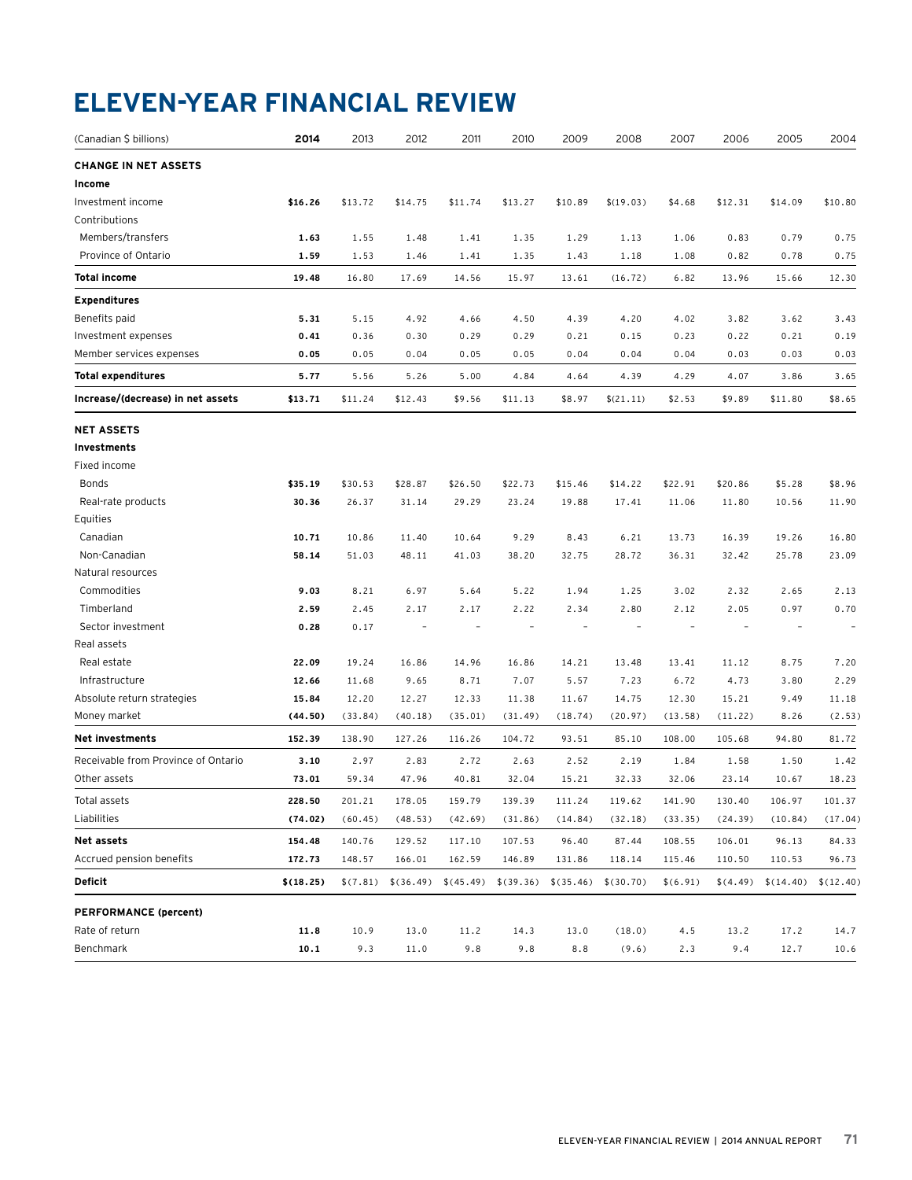# **ELEVEN-YEAR FINANCIAL REVIEW**

| (Canadian \$ billions)              | 2014      | 2013    | 2012    | 2011                                       | 2010    | 2009      | 2008      | 2007     | 2006     | 2005      | 2004      |
|-------------------------------------|-----------|---------|---------|--------------------------------------------|---------|-----------|-----------|----------|----------|-----------|-----------|
| <b>CHANGE IN NET ASSETS</b>         |           |         |         |                                            |         |           |           |          |          |           |           |
| Income                              |           |         |         |                                            |         |           |           |          |          |           |           |
| Investment income                   | \$16.26   | \$13.72 | \$14.75 | \$11.74                                    | \$13.27 | \$10.89   | \$(19.03) | \$4.68   | \$12.31  | \$14.09   | \$10.80   |
| Contributions                       |           |         |         |                                            |         |           |           |          |          |           |           |
| Members/transfers                   | 1.63      | 1.55    | 1.48    | 1.41                                       | 1.35    | 1.29      | 1.13      | 1.06     | 0.83     | 0.79      | 0.75      |
| Province of Ontario                 | 1.59      | 1.53    | 1.46    | 1.41                                       | 1.35    | 1.43      | 1.18      | 1.08     | 0.82     | 0.78      | 0.75      |
| Total income                        | 19.48     | 16.80   | 17.69   | 14.56                                      | 15.97   | 13.61     | (16.72)   | 6.82     | 13.96    | 15.66     | 12.30     |
| <b>Expenditures</b>                 |           |         |         |                                            |         |           |           |          |          |           |           |
| Benefits paid                       | 5.31      | 5.15    | 4.92    | 4.66                                       | 4.50    | 4.39      | 4.20      | 4.02     | 3.82     | 3.62      | 3.43      |
| Investment expenses                 | 0.41      | 0.36    | 0.30    | 0.29                                       | 0.29    | 0.21      | 0.15      | 0.23     | 0.22     | 0.21      | 0.19      |
| Member services expenses            | 0.05      | 0.05    | 0.04    | 0.05                                       | 0.05    | 0.04      | 0.04      | 0.04     | 0.03     | 0.03      | 0.03      |
| <b>Total expenditures</b>           | 5.77      | 5.56    | 5.26    | 5.00                                       | 4.84    | 4.64      | 4.39      | 4.29     | 4.07     | 3.86      | 3.65      |
| Increase/(decrease) in net assets   | \$13.71   | \$11.24 | \$12.43 | \$9.56                                     | \$11.13 | \$8.97    | \$(21.11) | \$2.53   | \$9.89   | \$11.80   | \$8.65    |
| <b>NET ASSETS</b>                   |           |         |         |                                            |         |           |           |          |          |           |           |
| Investments                         |           |         |         |                                            |         |           |           |          |          |           |           |
| Fixed income                        |           |         |         |                                            |         |           |           |          |          |           |           |
| Bonds                               | \$35.19   | \$30.53 | \$28.87 | \$26.50                                    | \$22.73 | \$15.46   | \$14.22   | \$22.91  | \$20.86  | \$5.28    | \$8.96    |
| Real-rate products                  | 30.36     | 26.37   | 31.14   | 29.29                                      | 23.24   | 19.88     | 17.41     | 11.06    | 11.80    | 10.56     | 11.90     |
| Equities                            |           |         |         |                                            |         |           |           |          |          |           |           |
| Canadian                            | 10.71     | 10.86   | 11.40   | 10.64                                      | 9.29    | 8.43      | 6.21      | 13.73    | 16.39    | 19.26     | 16.80     |
| Non-Canadian                        | 58.14     | 51.03   | 48.11   | 41.03                                      | 38.20   | 32.75     | 28.72     | 36.31    | 32.42    | 25.78     | 23.09     |
| Natural resources                   |           |         |         |                                            |         |           |           |          |          |           |           |
| Commodities                         | 9.03      | 8.21    | 6.97    | 5.64                                       | 5.22    | 1.94      | 1.25      | 3.02     | 2.32     | 2.65      | 2.13      |
| Timberland                          | 2.59      | 2.45    | 2.17    | 2.17                                       | 2.22    | 2.34      | 2.80      | 2.12     | 2.05     | 0.97      | 0.70      |
| Sector investment                   | 0.28      | 0.17    |         |                                            |         |           |           |          |          |           |           |
| Real assets                         |           |         |         |                                            |         |           |           |          |          |           |           |
| Real estate                         | 22.09     | 19.24   | 16.86   | 14.96                                      | 16.86   | 14.21     | 13.48     | 13.41    | 11.12    | 8.75      | 7.20      |
| Infrastructure                      | 12.66     | 11.68   | 9.65    | 8.71                                       | 7.07    | 5.57      | 7.23      | 6.72     | 4.73     | 3.80      | 2.29      |
| Absolute return strategies          | 15.84     | 12.20   | 12.27   | 12.33                                      | 11.38   | 11.67     | 14.75     | 12.30    | 15.21    | 9.49      | 11.18     |
| Money market                        | (44.50)   | (33.84) | (40.18) | (35.01)                                    | (31.49) | (18.74)   | (20.97)   | (13.58)  | (11.22)  | 8.26      | (2.53)    |
| <b>Net investments</b>              | 152.39    | 138.90  | 127.26  | 116.26                                     | 104.72  | 93.51     | 85.10     | 108.00   | 105.68   | 94.80     | 81.72     |
| Receivable from Province of Ontario | 3.10      | 2.97    | 2.83    | 2.72                                       | 2.63    | 2.52      | 2.19      | 1.84     | 1.58     | 1.50      | 1.42      |
| Other assets                        | 73.01     | 59.34   | 47.96   | 40.81                                      | 32.04   | 15.21     | 32.33     | 32.06    | 23.14    | 10.67     | 18.23     |
| Total assets                        | 228.50    | 201.21  | 178.05  | 159.79                                     | 139.39  | 111.24    | 119.62    | 141.90   | 130.40   | 106.97    | 101.37    |
| Liabilities                         | (74.02)   | (60.45) | (48.53) | (42.69)                                    | (31.86) | (14.84)   | (32.18)   | (33.35)  | (24.39)  | (10.84)   | (17.04)   |
| Net assets                          | 154.48    | 140.76  | 129.52  | 117.10                                     | 107.53  | 96.40     | 87.44     | 108.55   | 106.01   | 96.13     | 84.33     |
| Accrued pension benefits            | 172.73    | 148.57  | 166.01  | 162.59                                     | 146.89  | 131.86    | 118.14    | 115.46   | 110.50   | 110.53    | 96.73     |
| Deficit                             | \$(18.25) |         |         | $$(7.81)$ $$(36.49)$ $$(45.49)$ $$(39.36)$ |         | \$(35.46) | \$(30.70) | \$(6.91) | \$(4.49) | \$(14.40) | \$(12.40) |
| <b>PERFORMANCE (percent)</b>        |           |         |         |                                            |         |           |           |          |          |           |           |
| Rate of return                      | 11.8      | 10.9    | 13.0    | 11.2                                       | 14.3    | 13.0      | (18.0)    | 4.5      | 13.2     | 17.2      | 14.7      |
| Benchmark                           | 10.1      | 9.3     | 11.0    | 9.8                                        | 9.8     | 8.8       | (9.6)     | 2.3      | 9.4      | 12.7      | 10.6      |